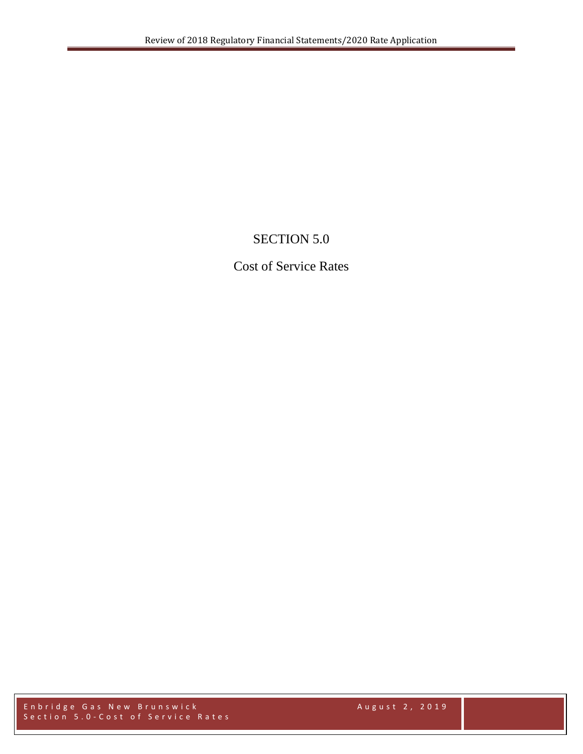# SECTION 5.0

# Cost of Service Rates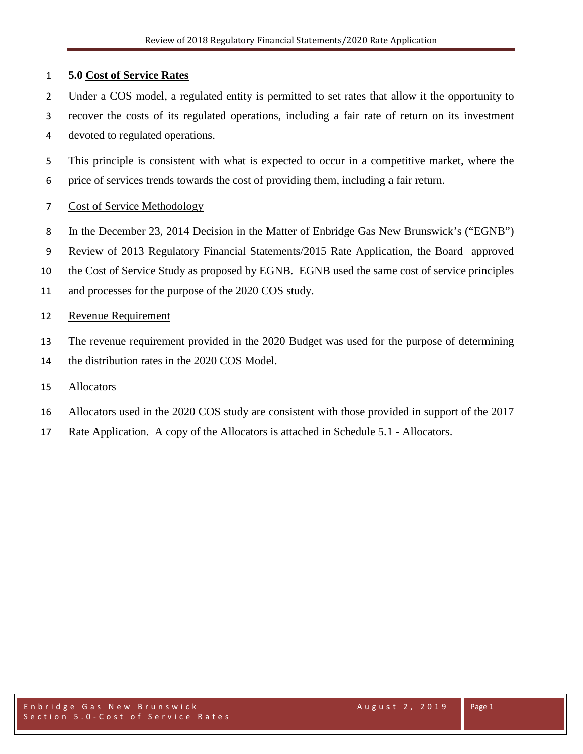## **5.0 Cost of Service Rates**

- Under a COS model, a regulated entity is permitted to set rates that allow it the opportunity to
- recover the costs of its regulated operations, including a fair rate of return on its investment devoted to regulated operations.
- This principle is consistent with what is expected to occur in a competitive market, where the price of services trends towards the cost of providing them, including a fair return.
- Cost of Service Methodology
- In the December 23, 2014 Decision in the Matter of Enbridge Gas New Brunswick's ("EGNB")
- Review of 2013 Regulatory Financial Statements/2015 Rate Application, the Board approved
- the Cost of Service Study as proposed by EGNB. EGNB used the same cost of service principles
- and processes for the purpose of the 2020 COS study.

## Revenue Requirement

- The revenue requirement provided in the 2020 Budget was used for the purpose of determining
- 14 the distribution rates in the 2020 COS Model.

## Allocators

- Allocators used in the 2020 COS study are consistent with those provided in support of the 2017
- Rate Application. A copy of the Allocators is attached in Schedule 5.1 Allocators.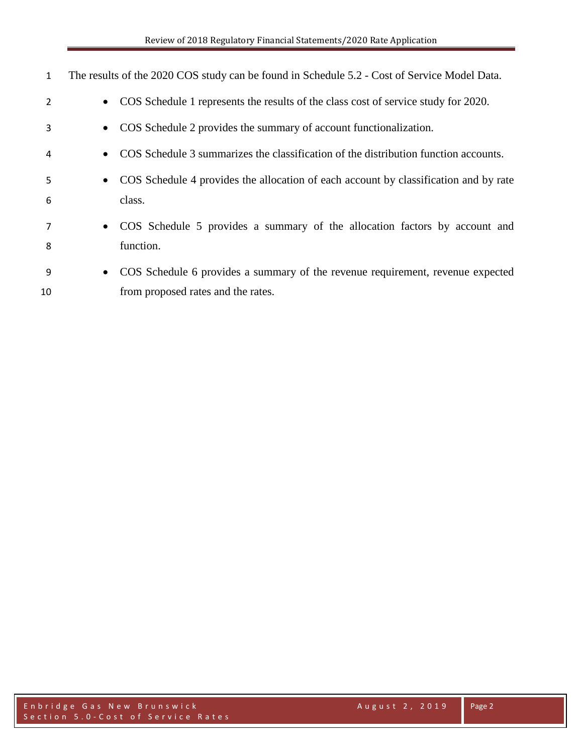| 1              |           | The results of the 2020 COS study can be found in Schedule 5.2 - Cost of Service Model Data. |
|----------------|-----------|----------------------------------------------------------------------------------------------|
| $\overline{2}$ | $\bullet$ | COS Schedule 1 represents the results of the class cost of service study for 2020.           |
| 3              | $\bullet$ | COS Schedule 2 provides the summary of account functionalization.                            |
| 4              | $\bullet$ | COS Schedule 3 summarizes the classification of the distribution function accounts.          |
| 5              | $\bullet$ | COS Schedule 4 provides the allocation of each account by classification and by rate         |
| 6              |           | class.                                                                                       |
| 7              | $\bullet$ | COS Schedule 5 provides a summary of the allocation factors by account and                   |
| 8              |           | function.                                                                                    |
| 9              | $\bullet$ | COS Schedule 6 provides a summary of the revenue requirement, revenue expected               |
| 10             |           | from proposed rates and the rates.                                                           |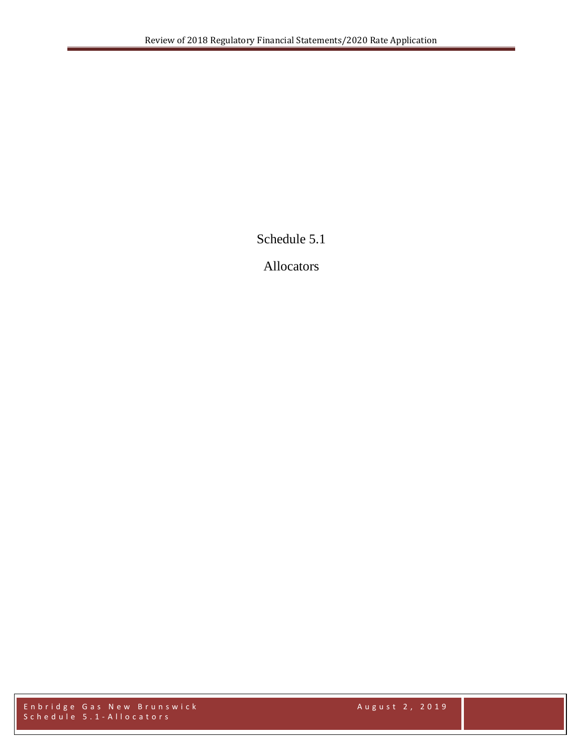Schedule 5.1

Allocators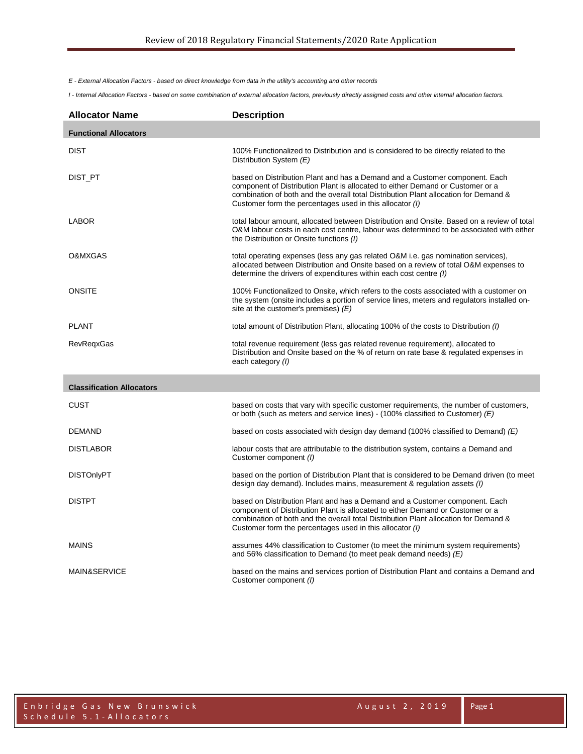*E - External Allocation Factors - based on direct knowledge from data in the utility's accounting and other records*

*I - Internal Allocation Factors - based on some combination of external allocation factors, previously directly assigned costs and other internal allocation factors.*

| <b>Allocator Name</b>            | <b>Description</b>                                                                                                                                                                                                                                                                                                |
|----------------------------------|-------------------------------------------------------------------------------------------------------------------------------------------------------------------------------------------------------------------------------------------------------------------------------------------------------------------|
| <b>Functional Allocators</b>     |                                                                                                                                                                                                                                                                                                                   |
| <b>DIST</b>                      | 100% Functionalized to Distribution and is considered to be directly related to the<br>Distribution System (E)                                                                                                                                                                                                    |
| DIST_PT                          | based on Distribution Plant and has a Demand and a Customer component. Each<br>component of Distribution Plant is allocated to either Demand or Customer or a<br>combination of both and the overall total Distribution Plant allocation for Demand &<br>Customer form the percentages used in this allocator (I) |
| LABOR                            | total labour amount, allocated between Distribution and Onsite. Based on a review of total<br>O&M labour costs in each cost centre, labour was determined to be associated with either<br>the Distribution or Onsite functions (I)                                                                                |
| O&MXGAS                          | total operating expenses (less any gas related O&M i.e. gas nomination services),<br>allocated between Distribution and Onsite based on a review of total O&M expenses to<br>determine the drivers of expenditures within each cost centre (I)                                                                    |
| <b>ONSITE</b>                    | 100% Functionalized to Onsite, which refers to the costs associated with a customer on<br>the system (onsite includes a portion of service lines, meters and regulators installed on-<br>site at the customer's premises) $(E)$                                                                                   |
| <b>PLANT</b>                     | total amount of Distribution Plant, allocating 100% of the costs to Distribution (1)                                                                                                                                                                                                                              |
| <b>RevRegxGas</b>                | total revenue requirement (less gas related revenue requirement), allocated to<br>Distribution and Onsite based on the % of return on rate base & regulated expenses in<br>each category (I)                                                                                                                      |
| <b>Classification Allocators</b> |                                                                                                                                                                                                                                                                                                                   |
| CUST                             | based on costs that vary with specific customer requirements, the number of customers,<br>or both (such as meters and service lines) - (100% classified to Customer) $(E)$                                                                                                                                        |
| <b>DEMAND</b>                    | based on costs associated with design day demand (100% classified to Demand) $(E)$                                                                                                                                                                                                                                |
| <b>DISTLABOR</b>                 | labour costs that are attributable to the distribution system, contains a Demand and<br>Customer component (I)                                                                                                                                                                                                    |
| <b>DISTOnlyPT</b>                | based on the portion of Distribution Plant that is considered to be Demand driven (to meet<br>design day demand). Includes mains, measurement & regulation assets ( <i>I</i> )                                                                                                                                    |
| <b>DISTPT</b>                    | based on Distribution Plant and has a Demand and a Customer component. Each<br>component of Distribution Plant is allocated to either Demand or Customer or a<br>combination of both and the overall total Distribution Plant allocation for Demand &<br>Customer form the percentages used in this allocator (I) |
| <b>MAINS</b>                     | assumes 44% classification to Customer (to meet the minimum system requirements)<br>and 56% classification to Demand (to meet peak demand needs) $(E)$                                                                                                                                                            |
| MAIN&SERVICE                     | based on the mains and services portion of Distribution Plant and contains a Demand and<br>Customer component (I)                                                                                                                                                                                                 |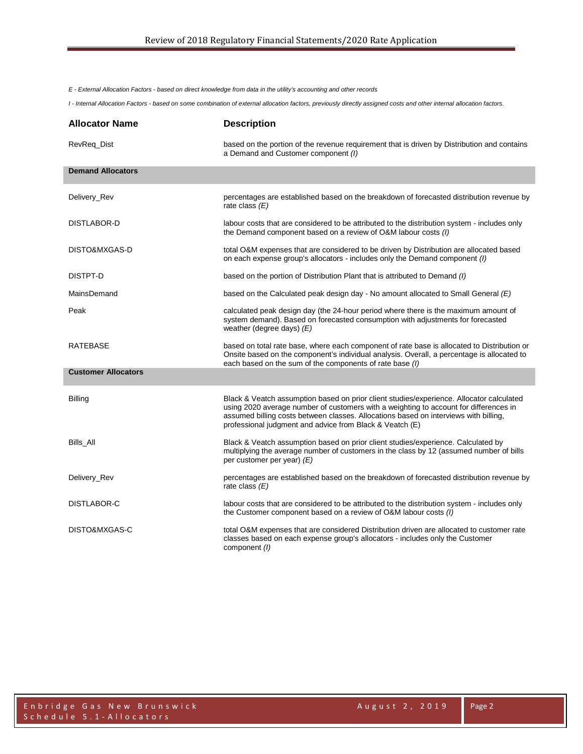*E - External Allocation Factors - based on direct knowledge from data in the utility's accounting and other records*

*I - Internal Allocation Factors - based on some combination of external allocation factors, previously directly assigned costs and other internal allocation factors.*

| <b>Allocator Name</b>      | <b>Description</b>                                                                                                                                                                                                                                                                                                                    |
|----------------------------|---------------------------------------------------------------------------------------------------------------------------------------------------------------------------------------------------------------------------------------------------------------------------------------------------------------------------------------|
| RevReq_Dist                | based on the portion of the revenue requirement that is driven by Distribution and contains<br>a Demand and Customer component (I)                                                                                                                                                                                                    |
| <b>Demand Allocators</b>   |                                                                                                                                                                                                                                                                                                                                       |
| Delivery_Rev               | percentages are established based on the breakdown of forecasted distribution revenue by<br>rate class $(E)$                                                                                                                                                                                                                          |
| DISTLABOR-D                | labour costs that are considered to be attributed to the distribution system - includes only<br>the Demand component based on a review of O&M labour costs (I)                                                                                                                                                                        |
| DISTO&MXGAS-D              | total O&M expenses that are considered to be driven by Distribution are allocated based<br>on each expense group's allocators - includes only the Demand component (I)                                                                                                                                                                |
| DISTPT-D                   | based on the portion of Distribution Plant that is attributed to Demand (1)                                                                                                                                                                                                                                                           |
| MainsDemand                | based on the Calculated peak design day - No amount allocated to Small General $(E)$                                                                                                                                                                                                                                                  |
| Peak                       | calculated peak design day (the 24-hour period where there is the maximum amount of<br>system demand). Based on forecasted consumption with adjustments for forecasted<br>weather (degree days) $(E)$                                                                                                                                 |
| RATEBASE                   | based on total rate base, where each component of rate base is allocated to Distribution or<br>Onsite based on the component's individual analysis. Overall, a percentage is allocated to<br>each based on the sum of the components of rate base (I)                                                                                 |
| <b>Customer Allocators</b> |                                                                                                                                                                                                                                                                                                                                       |
| <b>Billing</b>             | Black & Veatch assumption based on prior client studies/experience. Allocator calculated<br>using 2020 average number of customers with a weighting to account for differences in<br>assumed billing costs between classes. Allocations based on interviews with billing,<br>professional judgment and advice from Black & Veatch (E) |
| Bills_All                  | Black & Veatch assumption based on prior client studies/experience. Calculated by<br>multiplying the average number of customers in the class by 12 (assumed number of bills<br>per customer per year) $(E)$                                                                                                                          |
| Delivery_Rev               | percentages are established based on the breakdown of forecasted distribution revenue by<br>rate class $(E)$                                                                                                                                                                                                                          |
| DISTLABOR-C                | labour costs that are considered to be attributed to the distribution system - includes only<br>the Customer component based on a review of O&M labour costs (I)                                                                                                                                                                      |
| DISTO&MXGAS-C              | total O&M expenses that are considered Distribution driven are allocated to customer rate<br>classes based on each expense group's allocators - includes only the Customer<br>component (1)                                                                                                                                           |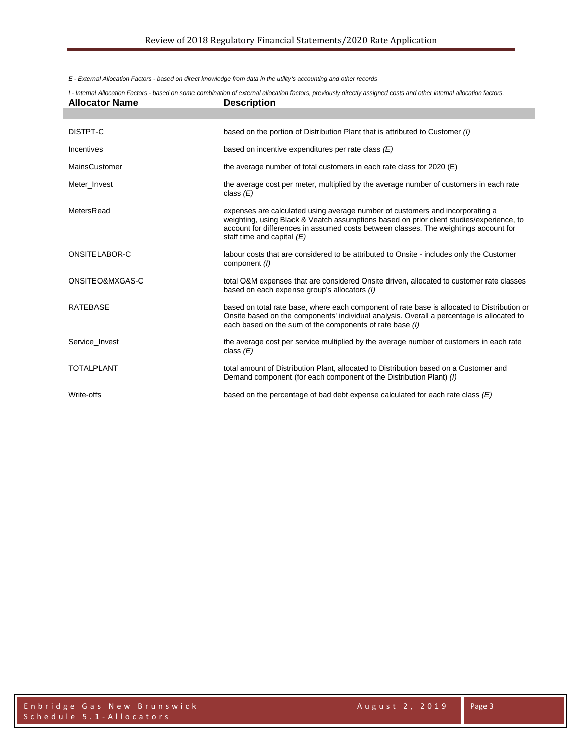*E - External Allocation Factors - based on direct knowledge from data in the utility's accounting and other records*

| <b>Allocator Name</b> | I - Internal Allocation Factors - based on some combination of external allocation factors, previously directly assigned costs and other internal allocation factors.<br><b>Description</b>                                                                                                       |
|-----------------------|---------------------------------------------------------------------------------------------------------------------------------------------------------------------------------------------------------------------------------------------------------------------------------------------------|
|                       |                                                                                                                                                                                                                                                                                                   |
| DISTPT-C              | based on the portion of Distribution Plant that is attributed to Customer (I)                                                                                                                                                                                                                     |
| Incentives            | based on incentive expenditures per rate class $(E)$                                                                                                                                                                                                                                              |
| <b>MainsCustomer</b>  | the average number of total customers in each rate class for 2020 (E)                                                                                                                                                                                                                             |
| Meter_Invest          | the average cost per meter, multiplied by the average number of customers in each rate<br>class $(E)$                                                                                                                                                                                             |
| MetersRead            | expenses are calculated using average number of customers and incorporating a<br>weighting, using Black & Veatch assumptions based on prior client studies/experience, to<br>account for differences in assumed costs between classes. The weightings account for<br>staff time and capital $(E)$ |
| ONSITELABOR-C         | labour costs that are considered to be attributed to Onsite - includes only the Customer<br>component (1)                                                                                                                                                                                         |
| ONSITEO&MXGAS-C       | total O&M expenses that are considered Onsite driven, allocated to customer rate classes<br>based on each expense group's allocators (I)                                                                                                                                                          |
| <b>RATEBASE</b>       | based on total rate base, where each component of rate base is allocated to Distribution or<br>Onsite based on the components' individual analysis. Overall a percentage is allocated to<br>each based on the sum of the components of rate base (I)                                              |
| Service Invest        | the average cost per service multiplied by the average number of customers in each rate<br>class $(E)$                                                                                                                                                                                            |
| <b>TOTALPLANT</b>     | total amount of Distribution Plant, allocated to Distribution based on a Customer and<br>Demand component (for each component of the Distribution Plant) (1)                                                                                                                                      |
| Write-offs            | based on the percentage of bad debt expense calculated for each rate class $(E)$                                                                                                                                                                                                                  |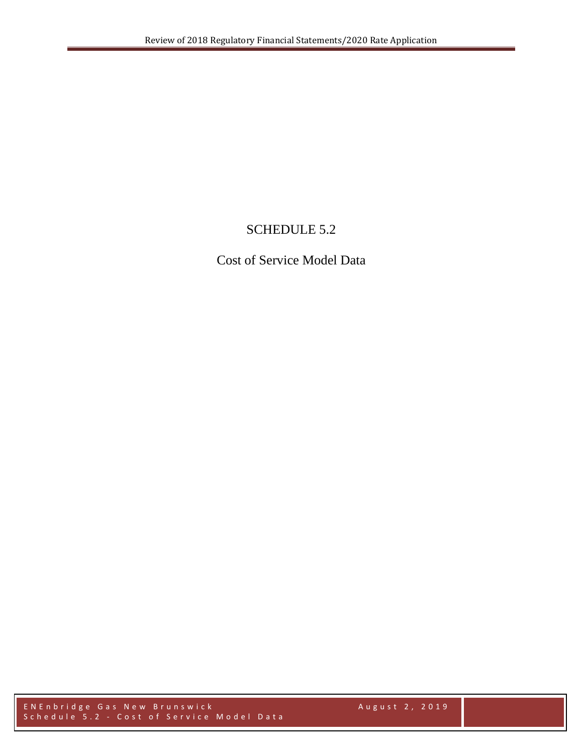# SCHEDULE 5.2

Cost of Service Model Data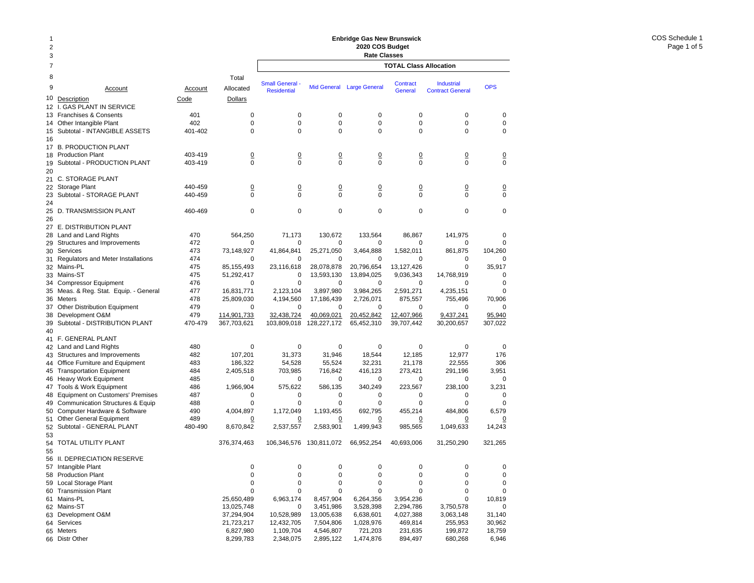| 1<br>$\overline{2}$<br>3 |                                                               | <b>Enbridge Gas New Brunswick</b><br>2020 COS Budget<br><b>Rate Classes</b> |                            |                           |                           |                           |                               |                         |                      |
|--------------------------|---------------------------------------------------------------|-----------------------------------------------------------------------------|----------------------------|---------------------------|---------------------------|---------------------------|-------------------------------|-------------------------|----------------------|
| 7                        |                                                               |                                                                             |                            |                           |                           |                           | <b>TOTAL Class Allocation</b> |                         |                      |
| 8                        |                                                               |                                                                             | Total                      | <b>Small General</b> -    |                           |                           | Contract                      | <b>Industrial</b>       |                      |
| 9                        | Account                                                       | Account                                                                     | Allocated                  | <b>Residential</b>        |                           | Mid General Large General | General                       | <b>Contract General</b> | <b>OPS</b>           |
| 10                       | Description                                                   | Code                                                                        | Dollars                    |                           |                           |                           |                               |                         |                      |
| $12 \overline{ }$        | <b>GAS PLANT IN SERVICE</b><br>L.<br>13 Franchises & Consents | 401                                                                         | 0                          | 0                         | 0                         | 0                         | $\mathbf 0$                   | 0                       | 0                    |
| 14                       | Other Intangible Plant                                        | 402                                                                         | 0                          | $\mathbf 0$               | 0                         | 0                         | $\mathbf 0$                   | 0                       | 0                    |
| 15                       | Subtotal - INTANGIBLE ASSETS                                  | 401-402                                                                     | $\Omega$                   | $\Omega$                  | $\Omega$                  | 0                         | $\mathbf 0$                   | $\Omega$                | $\mathbf 0$          |
| 16                       |                                                               |                                                                             |                            |                           |                           |                           |                               |                         |                      |
| 17                       | <b>B. PRODUCTION PLANT</b>                                    |                                                                             |                            |                           |                           |                           |                               |                         |                      |
|                          | 18 Production Plant                                           | 403-419                                                                     | $\overline{0}$             | $\overline{0}$            | $\Omega$                  | $\overline{0}$            | $\overline{0}$                | <u>0</u>                | <u>0</u>             |
| 19                       | Subtotal - PRODUCTION PLANT                                   | 403-419                                                                     | 0                          | $\mathbf 0$               | $\mathbf 0$               | $\mathbf 0$               | $\mathbf 0$                   | $\mathbf 0$             | 0                    |
| 20                       | 21 C. STORAGE PLANT                                           |                                                                             |                            |                           |                           |                           |                               |                         |                      |
| 22                       | Storage Plant                                                 | 440-459                                                                     | $\overline{0}$             | $\overline{0}$            | $\overline{0}$            | $\overline{0}$            | $\overline{0}$                | $\overline{0}$          | $\overline{0}$       |
| 23                       | Subtotal - STORAGE PLANT                                      | 440-459                                                                     | 0                          | $\mathbf 0$               | $\Omega$                  | $\Omega$                  | $\Omega$                      | $\Omega$                | $\mathbf 0$          |
| 24                       |                                                               |                                                                             |                            |                           |                           |                           |                               |                         |                      |
|                          | 25 D. TRANSMISSION PLANT                                      | 460-469                                                                     | 0                          | $\mathbf 0$               | $\mathbf 0$               | 0                         | $\mathbf 0$                   | 0                       | $\mathbf 0$          |
| 26                       |                                                               |                                                                             |                            |                           |                           |                           |                               |                         |                      |
| 27                       | E. DISTRIBUTION PLANT                                         |                                                                             |                            |                           |                           |                           |                               |                         |                      |
|                          | 28 Land and Land Rights                                       | 470                                                                         | 564,250                    | 71,173                    | 130.672                   | 133,564                   | 86,867                        | 141,975                 | 0                    |
| 29                       | Structures and Improvements<br>30 Services                    | 472<br>473                                                                  | 0<br>73,148,927            | $\mathbf 0$<br>41,864,841 | 0<br>25,271,050           | 0<br>3,464,888            | 0<br>1,582,011                | 0<br>861,875            | 0<br>104,260         |
|                          | 31 Regulators and Meter Installations                         | 474                                                                         | 0                          | 0                         | 0                         | $\Omega$                  | $\Omega$                      | 0                       | 0                    |
|                          | 32 Mains-PL                                                   | 475                                                                         | 85, 155, 493               | 23,116,618                | 28,078,878                | 20,796,654                | 13,127,426                    | 0                       | 35,917               |
|                          | 33 Mains-ST                                                   | 475                                                                         | 51,292,417                 | 0                         | 13,593,130                | 13,894,025                | 9,036,343                     | 14,768,919              | 0                    |
| 34                       | <b>Compressor Equipment</b>                                   | 476                                                                         | 0                          | $\mathbf 0$               | 0                         | 0                         | 0                             | 0                       | $\mathbf 0$          |
|                          | 35 Meas. & Reg. Stat. Equip. - General                        | 477                                                                         | 16,831,771                 | 2,123,104                 | 3,897,980                 | 3,984,265                 | 2,591,271                     | 4,235,151               | $\mathbf 0$          |
|                          | 36 Meters                                                     | 478                                                                         | 25,809,030                 | 4,194,560                 | 17,186,439                | 2,726,071                 | 875,557                       | 755,496                 | 70,906               |
| 37                       | <b>Other Distribution Equipment</b>                           | 479<br>479                                                                  | 0                          | $\mathbf 0$               | 0                         | $\mathbf 0$               | 0                             | 0                       | 0                    |
| 38<br>39                 | Development O&M<br>Subtotal - DISTRIBUTION PLANT              | 470-479                                                                     | 114,901,733<br>367,703,621 | 32,438,724<br>103,809,018 | 40,069,021<br>128,227,172 | 20,452,842<br>65,452,310  | 12,407,966<br>39,707,442      | 9,437,241<br>30,200,657 | 95,940<br>307,022    |
| 40                       |                                                               |                                                                             |                            |                           |                           |                           |                               |                         |                      |
|                          | 41 F. GENERAL PLANT                                           |                                                                             |                            |                           |                           |                           |                               |                         |                      |
|                          | 42 Land and Land Rights                                       | 480                                                                         | 0                          | 0                         | 0                         | 0                         | $\mathbf 0$                   | 0                       | 0                    |
|                          | 43 Structures and Improvements                                | 482                                                                         | 107,201                    | 31,373                    | 31,946                    | 18,544                    | 12,185                        | 12,977                  | 176                  |
| 44                       | Office Furniture and Equipment                                | 483                                                                         | 186,322                    | 54,528                    | 55,524                    | 32,231                    | 21,178                        | 22,555                  | 306                  |
| 45                       | <b>Transportation Equipment</b>                               | 484                                                                         | 2,405,518                  | 703,985                   | 716,842                   | 416,123                   | 273,421                       | 291,196                 | 3,951                |
|                          | 46 Heavy Work Equipment                                       | 485<br>486                                                                  | 0<br>1,966,904             | $\mathbf 0$<br>575,622    | 0                         | 0<br>340,249              | $\mathbf 0$<br>223,567        | 0                       | $\mathbf 0$<br>3,231 |
| 47                       | Tools & Work Equipment<br>48 Equipment on Customers' Premises | 487                                                                         | 0                          | 0                         | 586,135<br>0              | 0                         | 0                             | 238,100<br>0            | 0                    |
| 49                       | <b>Communication Structures &amp; Equip</b>                   | 488                                                                         | 0                          | $\mathbf 0$               | $\mathbf 0$               | $\mathbf 0$               | $\mathbf 0$                   | 0                       | 0                    |
| 50                       | Computer Hardware & Software                                  | 490                                                                         | 4,004,897                  | 1,172,049                 | 1,193,455                 | 692,795                   | 455,214                       | 484,806                 | 6,579                |
|                          | 51 Other General Equipment                                    | 489                                                                         | <u>0</u>                   | 0                         | <u>0</u>                  | <u>0</u>                  | 0                             | <u>0</u>                | <u>0</u>             |
| 52                       | Subtotal - GENERAL PLANT                                      | 480-490                                                                     | 8,670,842                  | 2,537,557                 | 2,583,901                 | 1,499,943                 | 985,565                       | 1,049,633               | 14,243               |
| 53                       |                                                               |                                                                             |                            |                           |                           |                           |                               |                         |                      |
| 54                       | TOTAL UTILITY PLANT                                           |                                                                             | 376,374,463                | 106,346,576               | 130,811,072               | 66,952,254                | 40,693,006                    | 31,250,290              | 321,265              |
| 55                       | 56 II. DEPRECIATION RESERVE                                   |                                                                             |                            |                           |                           |                           |                               |                         |                      |
|                          | 57 Intangible Plant                                           |                                                                             | 0                          | 0                         | $\pmb{0}$                 | 0                         | $\pmb{0}$                     | 0                       | 0                    |
|                          | 58 Production Plant                                           |                                                                             | 0                          | 0                         | $\mathbf 0$               | 0                         | $\mathbf 0$                   | 0                       | 0                    |
|                          | 59 Local Storage Plant                                        |                                                                             | 0                          | $\pmb{0}$                 | $\mathbf 0$               | 0                         | $\pmb{0}$                     | 0                       | 0                    |
|                          | 60 Transmission Plant                                         |                                                                             | 0                          | 0                         | $\mathbf 0$               | 0                         | $\mathbf 0$                   | 0                       | 0                    |
|                          | 61 Mains-PL                                                   |                                                                             | 25,650,489                 | 6,963,174                 | 8,457,904                 | 6,264,356                 | 3,954,236                     | 0                       | 10,819               |
|                          | 62 Mains-ST                                                   |                                                                             | 13,025,748                 | 0                         | 3,451,986                 | 3,528,398                 | 2,294,786                     | 3,750,578               | 0                    |
|                          | 63 Development O&M                                            |                                                                             | 37,294,904                 | 10,528,989                | 13,005,638                | 6,638,601                 | 4,027,388                     | 3,063,148               | 31,140               |
|                          | 64 Services<br>65 Meters                                      |                                                                             | 21,723,217<br>6,827,980    | 12,432,705<br>1,109,704   | 7,504,806<br>4,546,807    | 1,028,976<br>721,203      | 469,814<br>231,635            | 255,953<br>199,872      | 30,962<br>18,759     |
|                          | 66 Distr Other                                                |                                                                             | 8,299,783                  | 2,348,075                 | 2,895,122                 | 1,474,876                 | 894,497                       | 680,268                 | 6,946                |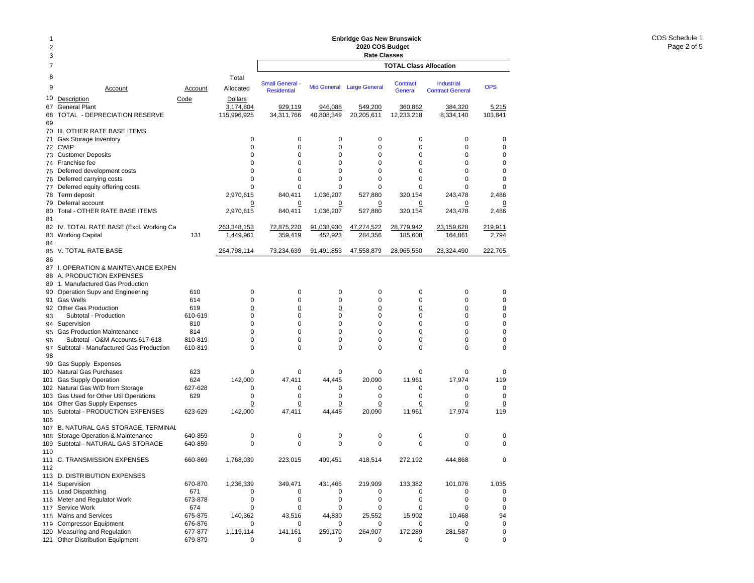### **Enbridge Gas New Brunswick 2020 COS Budget**

| 2<br>3               |                                                                                              |                |                                            | Enbridge Gas New Brunswick<br>2020 COS Budget<br><b>Rate Classes</b> |                       |                       |                               |                                              |                   |  |
|----------------------|----------------------------------------------------------------------------------------------|----------------|--------------------------------------------|----------------------------------------------------------------------|-----------------------|-----------------------|-------------------------------|----------------------------------------------|-------------------|--|
| $\overline{7}$       |                                                                                              |                |                                            |                                                                      |                       |                       | <b>TOTAL Class Allocation</b> |                                              |                   |  |
| 8<br>9               | Account                                                                                      | Account        | Total<br>Allocated                         | <b>Small General -</b><br><b>Residential</b>                         | <b>Mid General</b>    | <b>Large General</b>  | <b>Contract</b><br>General    | <b>Industrial</b><br><b>Contract General</b> | <b>OPS</b>        |  |
| 10<br>67<br>68       | Description<br><b>General Plant</b><br>TOTAL - DEPRECIATION RESERVE                          | Code           | <b>Dollars</b><br>3,174,804<br>115,996,925 | 929,119<br>34,311,766                                                | 946,088<br>40,808,349 | 549,200<br>20,205,611 | 360,862<br>12,233,218         | 384,320<br>8,334,140                         | 5,215<br>103,841  |  |
| 69<br>70             | III. OTHER RATE BASE ITEMS                                                                   |                |                                            |                                                                      |                       |                       |                               |                                              |                   |  |
| 71                   | Gas Storage Inventory                                                                        |                | 0                                          | 0                                                                    | 0                     | $\mathbf 0$           | $\mathbf 0$                   | 0                                            | 0                 |  |
| 72                   | <b>CWIP</b>                                                                                  |                | 0                                          | 0                                                                    | $\mathbf 0$           | $\mathbf 0$           | $\mathbf 0$                   | 0                                            | 0                 |  |
| 73                   | <b>Customer Deposits</b>                                                                     |                | 0                                          | 0                                                                    | $\mathbf 0$           | $\mathbf 0$           | $\mathbf 0$                   | 0<br>0                                       | 0                 |  |
| 74<br>75             | Franchise fee<br>Deferred development costs                                                  |                | 0<br>$\Omega$                              | 0<br>0                                                               | 0<br>0                | 0<br>$\mathbf 0$      | 0<br>$\mathbf 0$              | 0                                            | 0<br>0            |  |
| 76                   | Deferred carrying costs                                                                      |                | 0                                          | 0                                                                    | $\mathbf 0$           | $\mathbf 0$           | $\mathbf 0$                   | 0                                            | 0                 |  |
| 77                   | Deferred equity offering costs                                                               |                | $\Omega$                                   | $\Omega$                                                             | $\Omega$              | 0                     | $\Omega$                      | $\Omega$                                     | 0                 |  |
| 78                   | Term deposit                                                                                 |                | 2,970,615                                  | 840,411                                                              | 1,036,207             | 527,880               | 320,154                       | 243,478                                      | 2,486             |  |
| 79                   | Deferral account                                                                             |                | 0                                          | 0                                                                    | 0                     | 0                     | 0                             | 0                                            | 0                 |  |
| 80<br>81             | Total - OTHER RATE BASE ITEMS                                                                |                | 2,970,615                                  | 840,411                                                              | 1,036,207             | 527,880               | 320,154                       | 243,478                                      | 2,486             |  |
|                      | 82 IV. TOTAL RATE BASE (Excl. Working Ca                                                     |                | 263,348,153                                | 72,875,220                                                           | 91,038,930            | 47,274,522            | 28,779,942                    | 23,159,628                                   | 219,911           |  |
| 83<br>84             | <b>Working Capital</b>                                                                       | 131            | 1,449,961                                  | 359,419                                                              | 452,923               | 284,356               | 185,608                       | 164,861                                      | 2,794             |  |
| 85                   | V. TOTAL RATE BASE                                                                           |                | 264,798,114                                | 73,234,639                                                           | 91,491,853            | 47,558,879            | 28,965,550                    | 23,324,490                                   | 222,705           |  |
| 86<br>87<br>88<br>89 | I. OPERATION & MAINTENANCE EXPEN<br>A. PRODUCTION EXPENSES<br>1. Manufactured Gas Production |                |                                            |                                                                      |                       |                       |                               |                                              |                   |  |
| 90                   | Operation Supv and Engineering                                                               | 610            | 0                                          | 0                                                                    | $\mathbf 0$           | $\mathbf 0$           | $\mathbf 0$                   | 0                                            | 0                 |  |
| 91                   | Gas Wells                                                                                    | 614            | 0                                          | 0                                                                    | 0                     | $\mathbf 0$           | 0                             | 0                                            | $\mathbf 0$       |  |
|                      | 92 Other Gas Production                                                                      | 619            | $\overline{0}$                             | $\overline{0}$                                                       | $\overline{0}$        | $\overline{0}$        | $\overline{0}$                | $\overline{0}$                               | $\underline{0}$   |  |
| 93                   | Subtotal - Production                                                                        | 610-619        | 0                                          | 0                                                                    | 0                     | 0                     | 0                             | 0                                            | 0                 |  |
| 94                   | Supervision                                                                                  | 810            | 0                                          | 0                                                                    | $\mathbf 0$           | $\mathbf 0$           | $\mathbf 0$                   | 0                                            | $\pmb{0}$         |  |
| 95                   | <b>Gas Production Maintenance</b>                                                            | 814            | $\underline{0}$                            | $\overline{0}$                                                       | $\underline{0}$       | $\overline{0}$        | $\underline{0}$               | $\overline{0}$                               | $\frac{0}{0}$     |  |
| 96                   | Subtotal - O&M Accounts 617-618                                                              | 810-819        | $\overline{0}$                             | $\overline{0}$                                                       | $\overline{0}$        | $\overline{0}$        | $\underline{0}$               | $\overline{0}$                               |                   |  |
| 97<br>98             | Subtotal - Manufactured Gas Production                                                       | 610-819        | 0                                          | 0                                                                    | 0                     | $\mathbf 0$           | $\mathbf 0$                   | 0                                            | $\mathbf 0$       |  |
| 99                   | <b>Gas Supply Expenses</b>                                                                   | 623            | 0                                          |                                                                      | 0                     | 0                     | $\mathbf 0$                   | 0                                            | 0                 |  |
| 100<br>101           | Natural Gas Purchases<br><b>Gas Supply Operation</b>                                         | 624            | 142,000                                    | 0<br>47,411                                                          | 44,445                | 20,090                | 11,961                        | 17,974                                       | 119               |  |
| 102                  | Natural Gas W/D from Storage                                                                 | 627-628        | 0                                          | 0                                                                    | 0                     | 0                     | 0                             | 0                                            | $\mathbf 0$       |  |
| 103                  | Gas Used for Other Util Operations                                                           | 629            | 0                                          | 0                                                                    | 0                     | 0                     | 0                             | 0                                            | 0                 |  |
| 104                  | Other Gas Supply Expenses                                                                    |                | <u>0</u>                                   | <u>0</u>                                                             | <u>0</u>              | $\overline{0}$        | $\Omega$                      | 0                                            | $\Omega$          |  |
| 105<br>106           | Subtotal - PRODUCTION EXPENSES                                                               | 623-629        | 142,000                                    | 47,411                                                               | 44,445                | 20,090                | 11,961                        | 17,974                                       | 119               |  |
| 107                  | B. NATURAL GAS STORAGE, TERMINAL                                                             |                |                                            |                                                                      |                       |                       |                               |                                              |                   |  |
| 108                  | Storage Operation & Maintenance                                                              | 640-859        | 0                                          | 0                                                                    | 0                     | 0                     | 0                             | 0                                            | 0                 |  |
| 109<br>110           | Subtotal - NATURAL GAS STORAGE                                                               | 640-859        | $\Omega$                                   | 0                                                                    | 0                     | $\mathbf 0$           | $\mathbf 0$                   | 0                                            | $\Omega$          |  |
| 112                  | 111 C. TRANSMISSION EXPENSES                                                                 | 660-869        | 1,768,039                                  | 223,015                                                              | 409,451               | 418,514               | 272,192                       | 444,868                                      | 0                 |  |
|                      | 113 D. DISTRIBUTION EXPENSES                                                                 |                |                                            |                                                                      |                       |                       |                               |                                              |                   |  |
|                      | 114 Supervision                                                                              | 670-870        | 1,236,339                                  | 349,471                                                              | 431,465               | 219,909               | 133,382                       | 101,076                                      | 1,035             |  |
| 115                  | <b>Load Dispatching</b>                                                                      | 671            | 0                                          | 0                                                                    | 0                     | 0                     | 0                             | 0                                            | 0                 |  |
| 116                  | Meter and Regulator Work                                                                     | 673-878        | 0                                          | 0                                                                    | 0                     | 0                     | $\mathbf 0$                   | $\mathbf 0$                                  | $\mathbf 0$       |  |
| 117<br>118           | Service Work<br>Mains and Services                                                           | 674<br>675-875 | 0<br>140,362                               | 0<br>43,516                                                          | 0<br>44,830           | $\mathbf 0$<br>25,552 | $\mathbf 0$<br>15,902         | 0<br>10,468                                  | $\mathbf 0$<br>94 |  |
| 119                  | <b>Compressor Equipment</b>                                                                  | 676-876        | 0                                          | 0                                                                    | 0                     | 0                     | 0                             | 0                                            | $\mathbf 0$       |  |
| 120                  | Measuring and Regulation                                                                     | 677-877        | 1,119,114                                  | 141,161                                                              | 259,170               | 264,907               | 172,289                       | 281,587                                      | 0                 |  |
| 121                  | Other Distribution Equipment                                                                 | 679-879        | 0                                          | 0                                                                    | 0                     | 0                     | 0                             | 0                                            | 0                 |  |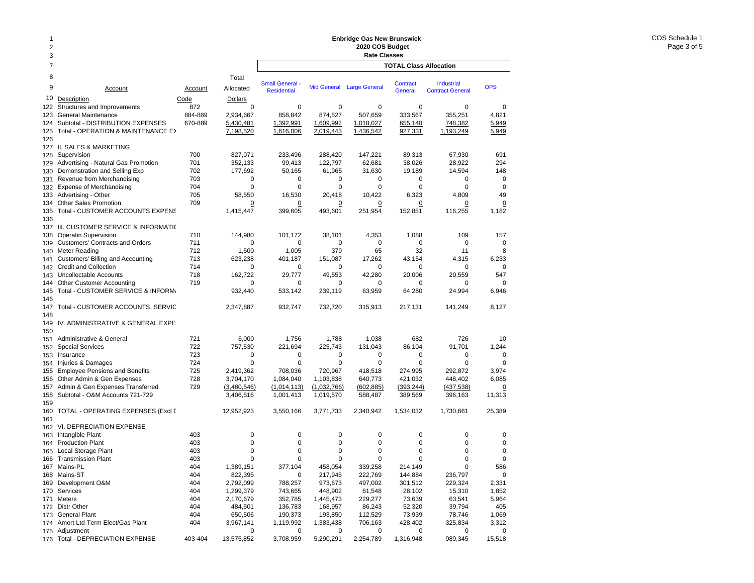#### 12378 Total9 Account Account Allocated10Description Code Dollars 122Structures and Improvements 672 123 General Maintenance 884-889 2,934,667 124 Subtotal - DISTRIBUTION EXPENSES 670-889 5,430,481 125 Total - OPERATION & MAINTENANCE E>  $\hspace{1.5cm} \overline{7,198,520}$ 126 127 II. SALES & MARKETING 128 Supervision 700 827,071 129 Advertising - Natural Gas Promotion 701 352,133 130 Demonstration and Selling Exp  $702$  177,692 131 Revenue from Merchandising 703 0 132 Expense of Merchandising 704 0 133 Advertising - Other 705 705 58,550 134 Other Sales Promotion 709 0 135 Total - CUSTOMER ACCOUNTS EXPENS 1,415,447 136137 III. CUSTOMER SERVICE & INFORMATIO 138 Operatin Supervision 138 Operatin Supervision 144,980 139 Customers' Contracts and Orders 711 0 140 Meter Reading 1,500 nm  $\,$  712  $\,$  1,500  $\,$ 141 Customers' Billing and Accounting 713 623,238 142 Credit and Collection 714 0 143 Uncollectable Accounts 718 162,722 144 Other Customer Accounting 719 0 145 Total - CUSTOMER SERVICE & INFORMA 932,440 146 147Total - CUSTOMER ACCOUNTS, SERVIC 2.347,887 148149 IV. ADMINISTRATIVE & GENERAL EXPE 150151 Administrative & General 151 721 6,000 152 Special Services 722 757,530 153 Insurance 723 0 154 Injuries & Damages 724 0 155 Employee Pensions and Benefits 725 2,419,362 156 Other Admin & Gen Expenses **728** 3,704,170 157Admin & Gen Expenses Transferred 729 (3.480.546) 158 Subtotal - O&M Accounts 721-729 3,406,516 159160 TOTAL - OPERATING EXPENSES (Excl D 12,952,923 161 162 VI. DEPRECIATION EXPENSE 163 Intangible Plant 403 0 164 Production Plant 403 0 165 Local Storage Plant 165 2003 165 2004 165 2004 165 2004 165 2004 165 2005 166 2004 167 2005 168 2007 168 20 166 Transmission Plant 403 0 167 Mains-PL 404 1,389,151 168 Mains-ST 404 822,395 169 Development O&M 404 2,792,099 170 Services 404 1,299,379 171 Meters 404 2,170,679 172 Distr Other 404 484,501 173 General Plant **173 General Plant** 173 General Plant 174 Amort Ltd-Term Elect/Gas Plant 404 3,967,141 175 Adjustment 2018 2019 12:00:00 00:00 00:00 00:00 00:00 00:00 00:00 00:00 00:00 00:00 00:00 00:00 00:00 00:0 **TOTAL Class AllocationEnbridge Gas New Brunswick 2020 COS Budget Rate Classes Industrial** Contract GeneralSmall General - Mid General Large General Contract Industrial OPS<br>Residential - Mid General Large General General Contract General 0 0 0 0 00858,842 874,527 507,659 333,567 355,251 4,821 1,392,991 1,609,992 1,018,027 655,140 748,382 5,949 1,616,006 2,019,443 1,436,542 927,331 1,193,249 5,949 233,496 288,420 147,221 89,313 67,930 691 99,413 122,797 62,681 38,026 28,922 294 50,165 61,965 31,630 19,189 14,594 148 0 0 0 0 000 0 0 0 0049 16,530 20,418 10,422 6,323 4,809 49 0 $\overline{0}$  0 0 0 0 399,605 493,601 251,954 152,851 116,255 1,182 101,172 38,101 4,353 1,088 109 157 0 0 0 0 001,005 379 65 32 11 8 401,187 151,087 17,262 43,154 4,315 6,233 0 0 0 0 00547 29,777 49,553 42,280 20,006 20,559 547 0 0 0 0 00533,142 239,119 63,959 64,280 24,994 6,946 932,747 732,720 315,913 217,131 141,249 8,127 1,756 1,788 1,038 682 726 10 221,694 225,743 131,043 86,104 91,701 1,244 0 0 0 0 000 0 0 0 00708,036 720,967 418,518 274,995 292,872 3,974 1,084,040 1,103,838 640,773 421,032 448,402 6,085 (1,014,113) (1,032,766) (602,885) (393,244) (437,538) 0 1,001,413 1,019,570 588,487 389,569 396,163 11,313 3,550,166 3,771,733 2,340,942 1,534,032 1,730,661 25,389 0 0 0 0 000 0 0 0 000 0 0 0 000 0 0 0 00377,104 458,054 339,258 214,149 0 586 0 217,945 222,769 144,884 236,797 0 788,257 973,673 497,002 301,512 229,324 2,331 743,665 448,902 61,548 28,102 15,310 1,852 352,785 1,445,473 229,277 73,639 63,541 5,964 136,783 168,957 86,243 52,320 39,794 405 190,373 193,850 112,529 73,939 78,746 1,069 1,119,992 1,383,438 706,163 428,402 325,834 3,312  $\Omega$  $\overline{0}$  0 0 0 0 3,708,959 5,290,291 2,254,789 1,316,948 989,345 15,518

176 Total - DEPRECIATION EXPENSE 403-404 13,575,852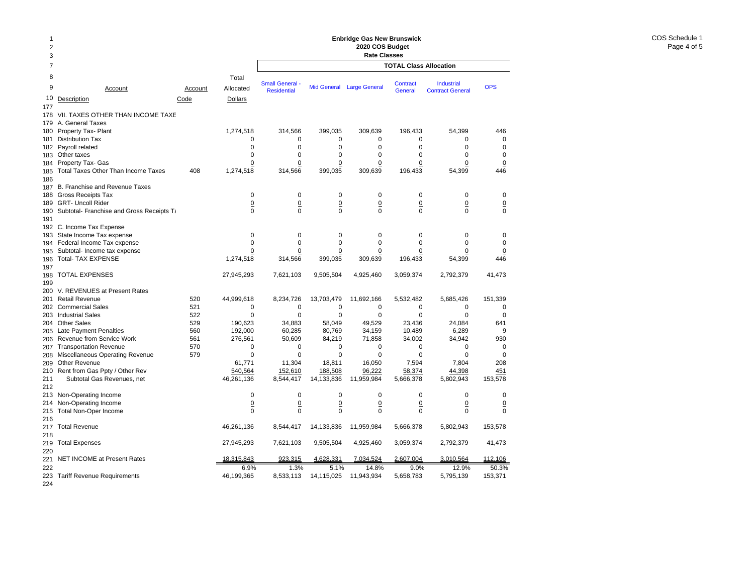#### 2378 Total9 Accountt Account Allocated 10Description Code Dollars 177178 VII. TAXES OTHER THAN INCOME TAXE 179 A. General Taxes 180 Property Tax- Plant 1,274,518 181 Distribution Tax 0 182 Payroll related 0 183Other taxes 0 184 Property Tax- Gas <u>0</u> 185 Total Taxes Other Than Income Taxes 408 1,274,518 186 187 B. Franchise and Revenue Taxes 188 Gross Receipts Tax 0 189 GRT- Uncoll Rider 0 190 Subtotal- Franchise and Gross Receipts Ta metal control of the 0 191 192 C. Income Tax Expense 193 State Income Tax expense 0 194 Federal Income Tax expense 0 195 Subtotal- Income tax expense 00 196 Total- TAX EXPENSE 1,274,518 197198 TOTAL EXPENSES 27,945,293 199 200 V. REVENUES at Present Rates 201 Retail Revenue 520 44,999,618 202 Commercial Sales 521 0 203 Industrial Sales 622 and 100 million of the state of the state of the state of the state of the state of t 204 Other Sales 529 190,623 205 Late Payment Penalties 660 192,000 206 Revenue from Service Work 561 561 276,561 207 Transportation Revenue 570 0 208 Miscellaneous Operating Revenue 579 by the settlement of the settlement of the settlement of the settlemen 209 Other Revenue 61,771 210 Rent from Gas Ppty / Other Rev 540,564 211 Subtotal Gas Revenues, net 46,261,136 212213 Non-Operating Income 0 214 Non-Operating Income <u>0</u> 215 Total Non-Oper Income 0 216 217 Total Revenue 46,261,136 218219 Total Expenses 27,945,293 220221 NET INCOME at Present Rates 18,315,843 222 6.9%223 Tariff Revenue Requirements 46,199,365 **TOTAL Class Allocation2020 COS Budget Rate Classes** Industrial Contract GeneralSmall General - Mid General Large General Contract Industrial OPS<br>Residential - Mid General Large General General Contract General 314,566 399,035 309,639 196,433 54,399 446 0 0 0 0 000 0 0 0 00 $\mathsf 0$ 0 0 0 0 000 0 0 0 0 0 314,566 399,035 309,639 196,433 54,399 446 0 0 0 0 000 0 0 0 0 0 0 0 0 0 000 0 0 0 000 0 0 0 0 0 0 0 0 0 0 0 314,566 399,035 309,639 196,433 54,399 446 7,621,103 9,505,504 4,925,460 3,059,374 2,792,379 41,473 8,234,726 13,703,479 11,692,166 5,532,482 5,685,426 151,339 0 0 0 0 00 $\Omega$ 0 0 0 0 0034,883 58,049 49,529 23,436 24,084 641 60,285 80,769 34,159 10,489 6,289 9 50,609 84,219 71,858 34,002 34,942 930 0 0 0 0 000 0 0 0 0011,304 18,811 16,050 7,594 7,804 208 152,610 188,508 96,222 58,374 44,398 451 8,544,417 14,133,836 11,959,984 5,666,378 5,802,943 153,578 0 0 0 0 00 $\Omega$  0 0 0 0 0 0 0 0 0 000 8,544,417 14,133,836 11,959,984 5,666,378 5,802,943 153,578 7,621,103 9,505,504 4,925,460 3,059,374 2,792,379 41,473 923,315 4,628,331 7,034,524 2,607,004 3,010,564 112,106 1.3% 5.1% 14.8% 9.0% 12.9% 50.3%8,533,113 14,115,025 11,943,934 5,658,783 5,795,139 153,371

**Enbridge Gas New Brunswick** 

224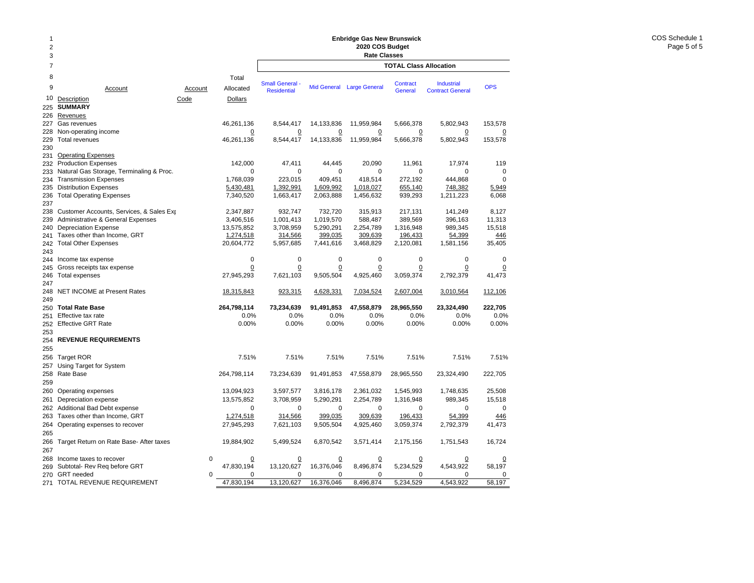### **Enbridge Gas New Brunswick 2020 COS Budget**

|                     | Enbridge Gas New Brunswick                  |          |                        |                                        |                        |                           |                               |                         |                |  |  |  |
|---------------------|---------------------------------------------|----------|------------------------|----------------------------------------|------------------------|---------------------------|-------------------------------|-------------------------|----------------|--|--|--|
| 2                   |                                             |          |                        | 2020 COS Budget<br><b>Rate Classes</b> |                        |                           |                               |                         |                |  |  |  |
| 3<br>$\overline{7}$ |                                             |          |                        |                                        |                        |                           | <b>TOTAL Class Allocation</b> |                         |                |  |  |  |
| 8                   |                                             |          |                        |                                        |                        |                           |                               |                         |                |  |  |  |
|                     |                                             |          | Total                  | <b>Small General -</b>                 |                        |                           | Contract                      | Industrial              |                |  |  |  |
| 9                   | Account                                     | Account  | Allocated              | <b>Residential</b>                     |                        | Mid General Large General | <b>General</b>                | <b>Contract General</b> | <b>OPS</b>     |  |  |  |
| 10                  | Description                                 | Code     | <b>Dollars</b>         |                                        |                        |                           |                               |                         |                |  |  |  |
| 225                 | <b>SUMMARY</b>                              |          |                        |                                        |                        |                           |                               |                         |                |  |  |  |
| 226                 | Revenues                                    |          |                        |                                        |                        |                           |                               |                         |                |  |  |  |
| 227                 | Gas revenues                                |          | 46,261,136             | 8,544,417                              | 14,133,836             | 11,959,984                | 5,666,378                     | 5,802,943               | 153,578        |  |  |  |
| 228                 | Non-operating income                        |          | $\overline{0}$         | $\Omega$                               | $\overline{0}$         | $\overline{0}$            | $\overline{0}$                | $\overline{0}$          | $\overline{0}$ |  |  |  |
| 229                 | <b>Total revenues</b>                       |          | 46,261,136             | 8,544,417                              | 14,133,836             | 11,959,984                | 5,666,378                     | 5,802,943               | 153,578        |  |  |  |
| 230                 |                                             |          |                        |                                        |                        |                           |                               |                         |                |  |  |  |
| 231                 | <b>Operating Expenses</b>                   |          |                        |                                        |                        |                           |                               |                         |                |  |  |  |
| 232                 | <b>Production Expenses</b>                  |          | 142,000                | 47,411                                 | 44,445                 | 20,090                    | 11,961                        | 17,974                  | 119            |  |  |  |
| 233                 | Natural Gas Storage, Terminaling & Proc.    |          | $\Omega$               | 0                                      | $\mathbf 0$            | $\Omega$                  | $\mathbf 0$                   | $\Omega$                | $\mathbf 0$    |  |  |  |
| 234                 | <b>Transmission Expenses</b>                |          | 1,768,039              | 223,015                                | 409,451                | 418,514                   | 272,192                       | 444,868                 | $\mathbf 0$    |  |  |  |
| 235<br>236          | <b>Distribution Expenses</b>                |          | 5,430,481<br>7,340,520 | 1,392,991<br>1,663,417                 | 1,609,992<br>2,063,888 | 1,018,027<br>1,456,632    | 655,140<br>939,293            | 748,382<br>1,211,223    | 5,949<br>6,068 |  |  |  |
| 237                 | <b>Total Operating Expenses</b>             |          |                        |                                        |                        |                           |                               |                         |                |  |  |  |
| 238                 | Customer Accounts, Services, & Sales Exp    |          | 2,347,887              | 932,747                                | 732,720                | 315,913                   | 217,131                       | 141,249                 | 8,127          |  |  |  |
| 239                 | Administrative & General Expenses           |          | 3,406,516              | 1,001,413                              | 1,019,570              | 588,487                   | 389,569                       | 396,163                 | 11,313         |  |  |  |
| 240                 | <b>Depreciation Expense</b>                 |          | 13,575,852             | 3,708,959                              | 5,290,291              | 2,254,789                 | 1,316,948                     | 989,345                 | 15,518         |  |  |  |
| 241                 | Taxes other than Income, GRT                |          | 1,274,518              | 314,566                                | 399,035                | 309,639                   | 196,433                       | 54,399                  | 446            |  |  |  |
| 242                 | <b>Total Other Expenses</b>                 |          | 20,604,772             | 5,957,685                              | 7,441,616              | 3,468,829                 | 2,120,081                     | 1,581,156               | 35,405         |  |  |  |
| 243                 |                                             |          |                        |                                        |                        |                           |                               |                         |                |  |  |  |
| 244                 | Income tax expense                          |          | $\mathbf 0$            | $\mathbf 0$                            | $\mathbf 0$            | 0                         | 0                             | $\mathbf 0$             | $\mathbf 0$    |  |  |  |
| 245                 | Gross receipts tax expense                  |          | $\mathbf 0$            | 0                                      | 0                      | $\Omega$                  | $\overline{0}$                | 0                       | 0              |  |  |  |
| 246                 | Total expenses                              |          | 27,945,293             | 7,621,103                              | 9,505,504              | 4,925,460                 | 3,059,374                     | 2,792,379               | 41,473         |  |  |  |
| 247                 |                                             |          |                        |                                        |                        |                           |                               |                         |                |  |  |  |
| 248                 | <b>NET INCOME at Present Rates</b>          |          | 18,315,843             | 923,315                                | 4,628,331              | 7,034,524                 | 2,607,004                     | 3,010,564               | 112,106        |  |  |  |
| 249                 |                                             |          |                        |                                        |                        |                           |                               |                         |                |  |  |  |
| 250                 | <b>Total Rate Base</b>                      |          | 264,798,114            | 73,234,639                             | 91,491,853             | 47,558,879                | 28,965,550                    | 23,324,490              | 222,705        |  |  |  |
| 251                 | Effective tax rate                          |          | 0.0%                   | 0.0%                                   | 0.0%                   | 0.0%                      | 0.0%                          | 0.0%                    | 0.0%           |  |  |  |
| 252                 | <b>Effective GRT Rate</b>                   |          | 0.00%                  | 0.00%                                  | 0.00%                  | 0.00%                     | 0.00%                         | 0.00%                   | 0.00%          |  |  |  |
| 253                 |                                             |          |                        |                                        |                        |                           |                               |                         |                |  |  |  |
| 254                 | <b>REVENUE REQUIREMENTS</b>                 |          |                        |                                        |                        |                           |                               |                         |                |  |  |  |
| 255                 |                                             |          |                        |                                        |                        |                           |                               |                         |                |  |  |  |
| 256                 | <b>Target ROR</b>                           |          | 7.51%                  | 7.51%                                  | 7.51%                  | 7.51%                     | 7.51%                         | 7.51%                   | 7.51%          |  |  |  |
| 257                 | Using Target for System                     |          |                        |                                        |                        |                           |                               |                         |                |  |  |  |
| 258                 | Rate Base                                   |          | 264,798,114            | 73,234,639                             | 91,491,853             | 47,558,879                | 28,965,550                    | 23,324,490              | 222,705        |  |  |  |
| 259                 |                                             |          |                        |                                        |                        |                           |                               |                         |                |  |  |  |
| 260                 | Operating expenses                          |          | 13,094,923             | 3,597,577                              | 3,816,178              | 2,361,032                 | 1,545,993                     | 1,748,635               | 25,508         |  |  |  |
| 261                 | Depreciation expense                        |          | 13,575,852             | 3,708,959                              | 5,290,291              | 2,254,789                 | 1,316,948                     | 989,345                 | 15,518         |  |  |  |
| 262                 | Additional Bad Debt expense                 |          | $\mathbf 0$            | $\mathbf 0$                            | $\mathbf 0$            | 0                         | 0                             | $\mathbf 0$             | $\mathbf 0$    |  |  |  |
| 263                 | Taxes other than Income, GRT                |          | 1,274,518              | 314,566                                | 399,035                | 309,639                   | 196,433                       | 54,399                  | 446            |  |  |  |
| 264                 | Operating expenses to recover               |          | 27,945,293             | 7,621,103                              | 9,505,504              | 4,925,460                 | 3,059,374                     | 2,792,379               | 41,473         |  |  |  |
| 265                 |                                             |          |                        |                                        |                        |                           |                               |                         |                |  |  |  |
|                     | 266 Target Return on Rate Base- After taxes |          | 19,884,902             | 5,499,524                              | 6,870,542              | 3,571,414                 | 2,175,156                     | 1,751,543               | 16,724         |  |  |  |
| 267                 |                                             |          |                        |                                        |                        |                           |                               |                         |                |  |  |  |
| 268                 | Income taxes to recover                     | 0        | $\overline{0}$         | 0                                      | 0                      | 0                         | <u>0</u>                      | 0                       | 0              |  |  |  |
| 269                 | Subtotal- Rev Req before GRT                |          | 47,830,194             | 13,120,627                             | 16,376,046             | 8,496,874                 | 5,234,529                     | 4,543,922               | 58,197         |  |  |  |
| 270                 | <b>GRT</b> needed                           | $\Omega$ | 0                      | 0                                      | 0                      | 0                         | 0                             | 0                       | $\mathbf 0$    |  |  |  |
|                     | 271 TOTAL REVENUE REQUIREMENT               |          | 47,830,194             | 13,120,627                             | 16,376,046             | 8,496,874                 | 5,234,529                     | 4,543,922               | 58,197         |  |  |  |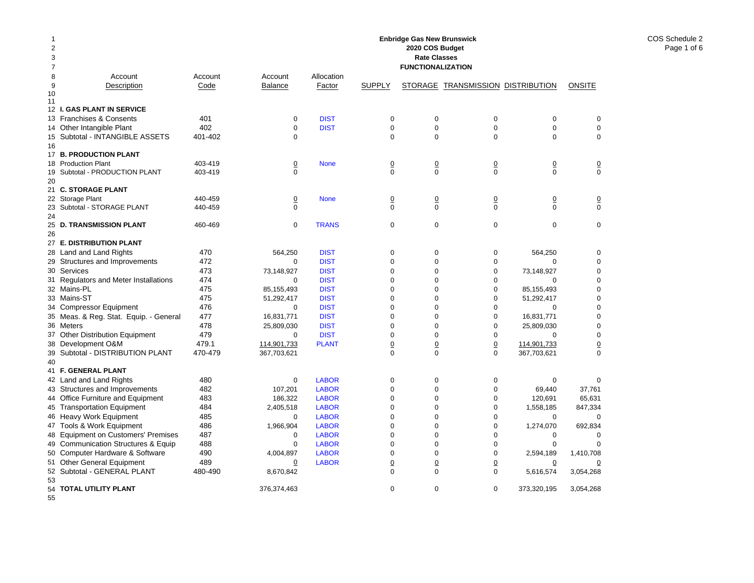| 1<br>$\overline{2}$<br>3<br>7 |                                                        |                    |                            |                              |                            | <b>Enbridge Gas New Brunswick</b><br>2020 COS Budget<br><b>Rate Classes</b><br><b>FUNCTIONALIZATION</b> |                                   |                            |                               |
|-------------------------------|--------------------------------------------------------|--------------------|----------------------------|------------------------------|----------------------------|---------------------------------------------------------------------------------------------------------|-----------------------------------|----------------------------|-------------------------------|
| 8                             | Account                                                | Account            | Account                    | Allocation                   |                            |                                                                                                         |                                   |                            |                               |
| 9                             | Description                                            | Code               | <b>Balance</b>             | Factor                       | <b>SUPPLY</b>              |                                                                                                         | STORAGE TRANSMISSION DISTRIBUTION |                            | <b>ONSITE</b>                 |
| 10<br>11                      |                                                        |                    |                            |                              |                            |                                                                                                         |                                   |                            |                               |
|                               | 12 I. GAS PLANT IN SERVICE                             |                    |                            |                              |                            |                                                                                                         |                                   |                            |                               |
|                               | 13 Franchises & Consents                               | 401                | $\mathbf 0$                | <b>DIST</b>                  | 0                          | $\mathbf 0$                                                                                             | $\mathbf 0$                       | $\mathbf 0$                | 0                             |
|                               | 14 Other Intangible Plant                              | 402                | $\Omega$                   | <b>DIST</b>                  | $\mathbf 0$                | $\mathbf 0$                                                                                             | $\mathbf 0$                       | $\mathbf 0$                | $\mathbf 0$                   |
|                               | 15 Subtotal - INTANGIBLE ASSETS                        | 401-402            | $\Omega$                   |                              | $\Omega$                   | $\mathbf 0$                                                                                             | $\Omega$                          | $\Omega$                   | $\Omega$                      |
| 16                            |                                                        |                    |                            |                              |                            |                                                                                                         |                                   |                            |                               |
|                               | 17 B. PRODUCTION PLANT                                 |                    |                            |                              |                            |                                                                                                         |                                   |                            |                               |
|                               | 18 Production Plant                                    | 403-419            | $\overline{0}$             | <b>None</b>                  | $\underline{0}$            | $\underline{0}$                                                                                         | $\underline{0}$                   | $\overline{0}$             | $\overline{0}$                |
| 19                            | Subtotal - PRODUCTION PLANT                            | 403-419            | $\Omega$                   |                              | $\Omega$                   | $\Omega$                                                                                                | $\Omega$                          | $\Omega$                   | $\Omega$                      |
| 20                            |                                                        |                    |                            |                              |                            |                                                                                                         |                                   |                            |                               |
|                               | 21 C. STORAGE PLANT                                    |                    |                            |                              |                            |                                                                                                         |                                   |                            |                               |
| 23                            | 22 Storage Plant                                       | 440-459<br>440-459 | $\overline{0}$<br>$\Omega$ | <b>None</b>                  | $\overline{0}$<br>$\Omega$ | $\Omega$<br>$\Omega$                                                                                    | $\overline{0}$<br>$\Omega$        | $\overline{0}$<br>$\Omega$ | $\overline{0}$<br>$\mathbf 0$ |
| 24                            | Subtotal - STORAGE PLANT                               |                    |                            |                              |                            |                                                                                                         |                                   |                            |                               |
| 25                            | <b>D. TRANSMISSION PLANT</b>                           | 460-469            | $\mathbf 0$                | <b>TRANS</b>                 | $\pmb{0}$                  | $\mathbf 0$                                                                                             | $\mathbf 0$                       | $\mathbf 0$                | $\mathbf 0$                   |
| 26                            |                                                        |                    |                            |                              |                            |                                                                                                         |                                   |                            |                               |
|                               | 27 E. DISTRIBUTION PLANT                               |                    |                            |                              |                            |                                                                                                         |                                   |                            |                               |
| 28                            | Land and Land Rights                                   | 470                | 564.250                    | <b>DIST</b>                  | $\mathbf 0$                | $\mathbf 0$                                                                                             | $\mathbf 0$                       | 564,250                    | $\mathbf 0$                   |
|                               | 29 Structures and Improvements                         | 472                | 0                          | <b>DIST</b>                  | $\pmb{0}$                  | $\mathbf 0$                                                                                             | $\mathbf 0$                       | $\Omega$                   | $\mathbf 0$                   |
| 30                            | Services                                               | 473                | 73,148,927                 | <b>DIST</b>                  | 0                          | $\mathbf 0$                                                                                             | $\mathbf 0$                       | 73,148,927                 | 0                             |
|                               | 31 Regulators and Meter Installations                  | 474                | $\Omega$                   | <b>DIST</b>                  | 0                          | $\mathbf 0$                                                                                             | $\mathbf 0$                       | $\Omega$                   | 0                             |
|                               | 32 Mains-PL                                            | 475                | 85,155,493                 | <b>DIST</b>                  | $\mathbf 0$                | $\overline{0}$                                                                                          | $\mathbf 0$                       | 85,155,493                 | 0                             |
|                               | 33 Mains-ST                                            | 475                | 51,292,417                 | <b>DIST</b>                  | $\mathbf 0$                | $\mathbf 0$                                                                                             | $\mathbf 0$                       | 51,292,417                 | $\mathbf 0$                   |
|                               | 34 Compressor Equipment                                | 476                | $\mathbf 0$                | <b>DIST</b>                  | $\mathbf 0$                | $\mathbf 0$                                                                                             | $\mathbf 0$                       | 0                          | 0                             |
|                               | 35 Meas. & Reg. Stat. Equip. - General                 | 477                | 16,831,771                 | <b>DIST</b>                  | $\mathbf 0$                | $\mathbf 0$                                                                                             | $\mathbf 0$                       | 16,831,771                 | $\mathbf 0$                   |
|                               | 36 Meters                                              | 478                | 25.809.030                 | <b>DIST</b>                  | $\Omega$                   | $\Omega$                                                                                                | $\mathbf 0$                       | 25,809,030                 | $\Omega$                      |
| 37                            | Other Distribution Equipment                           | 479                | $\mathbf 0$                | <b>DIST</b>                  | $\mathbf 0$                | $\mathbf 0$                                                                                             | $\mathbf 0$                       | $\Omega$                   | $\mathbf 0$                   |
|                               | 38 Development O&M                                     | 479.1              | 114,901,733                | <b>PLANT</b>                 | $\overline{0}$             | $\overline{0}$                                                                                          | $\overline{0}$                    | 114,901,733                | $\underline{0}$               |
|                               | 39 Subtotal - DISTRIBUTION PLANT                       | 470-479            | 367,703,621                |                              | $\Omega$                   | $\Omega$                                                                                                | $\Omega$                          | 367,703,621                | $\Omega$                      |
| 40                            |                                                        |                    |                            |                              |                            |                                                                                                         |                                   |                            |                               |
|                               | 41 F. GENERAL PLANT                                    |                    |                            |                              |                            |                                                                                                         |                                   |                            |                               |
|                               | 42 Land and Land Rights                                | 480                | $\mathbf 0$                | <b>LABOR</b>                 | $\mathbf 0$                | $\mathbf 0$                                                                                             | $\mathbf 0$                       | $\mathbf 0$                | $\mathbf 0$                   |
|                               | 43 Structures and Improvements                         | 482                | 107,201                    | <b>LABOR</b>                 | $\pmb{0}$                  | $\mathbf 0$                                                                                             | $\mathbf 0$                       | 69,440                     | 37,761                        |
|                               | 44 Office Furniture and Equipment                      | 483<br>484         | 186,322                    | <b>LABOR</b><br><b>LABOR</b> | $\pmb{0}$<br>$\mathbf 0$   | $\mathbf 0$<br>$\mathbf 0$                                                                              | $\mathbf 0$<br>$\mathbf 0$        | 120,691                    | 65,631<br>847,334             |
|                               | 45 Transportation Equipment<br>46 Heavy Work Equipment | 485                | 2,405,518<br>0             | <b>LABOR</b>                 | $\mathbf 0$                | $\mathbf 0$                                                                                             | $\mathbf 0$                       | 1,558,185<br>0             | 0                             |
|                               | 47 Tools & Work Equipment                              | 486                | 1,966,904                  | <b>LABOR</b>                 | $\mathbf 0$                | $\mathbf 0$                                                                                             | $\mathbf 0$                       | 1,274,070                  | 692,834                       |
|                               | 48 Equipment on Customers' Premises                    | 487                | $\mathbf 0$                | <b>LABOR</b>                 | $\mathbf 0$                | $\mathbf 0$                                                                                             | $\mathbf 0$                       | $\mathbf 0$                | 0                             |
| 49                            | <b>Communication Structures &amp; Equip</b>            | 488                | $\mathbf 0$                | <b>LABOR</b>                 | $\Omega$                   | $\Omega$                                                                                                | $\mathbf 0$                       | $\mathbf 0$                | $\mathbf 0$                   |
| 50                            | Computer Hardware & Software                           | 490                | 4,004,897                  | <b>LABOR</b>                 | $\mathbf 0$                | $\mathbf 0$                                                                                             | $\mathbf 0$                       | 2,594,189                  | 1,410,708                     |
|                               | 51 Other General Equipment                             | 489                | 0                          | <b>LABOR</b>                 | $\overline{0}$             | $\overline{0}$                                                                                          | $\overline{0}$                    | 0                          | 0                             |
|                               | 52 Subtotal - GENERAL PLANT                            | 480-490            | 8,670,842                  |                              | $\mathbf 0$                | $\Omega$                                                                                                | $\mathbf 0$                       | 5,616,574                  | 3,054,268                     |
| 53                            |                                                        |                    |                            |                              |                            |                                                                                                         |                                   |                            |                               |
|                               | 54 TOTAL UTILITY PLANT                                 |                    | 376,374,463                |                              | $\mathbf 0$                | $\mathbf 0$                                                                                             | $\mathbf 0$                       | 373,320,195                | 3,054,268                     |
| 55                            |                                                        |                    |                            |                              |                            |                                                                                                         |                                   |                            |                               |

COS Schedule 2 Page 1 of 6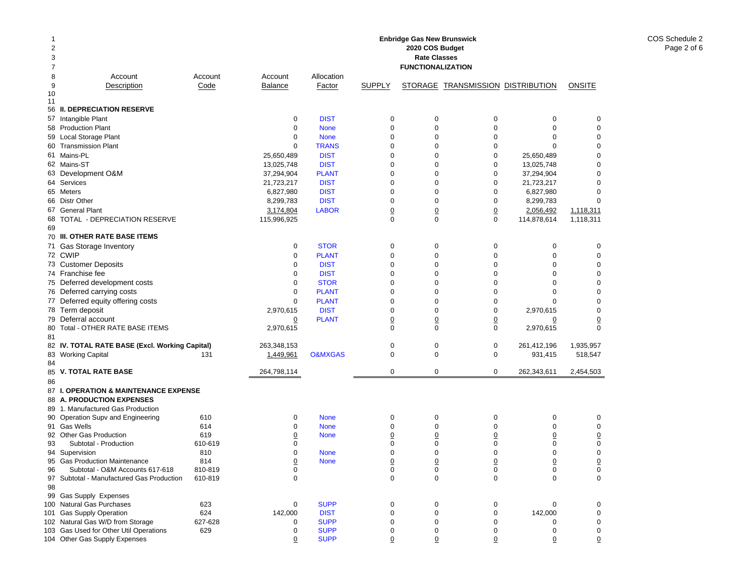| 2<br>3 |                                                |         |             |                    |                 | Enbridge Gas New Brunswick<br>2020 COS Budget<br><b>Rate Classes</b> |                                   |                |                 |
|--------|------------------------------------------------|---------|-------------|--------------------|-----------------|----------------------------------------------------------------------|-----------------------------------|----------------|-----------------|
| 7      |                                                |         |             |                    |                 | <b>FUNCTIONALIZATION</b>                                             |                                   |                |                 |
| 8      | Account                                        | Account | Account     | Allocation         |                 |                                                                      |                                   |                |                 |
| 9      | Description                                    | Code    | Balance     | Factor             | <b>SUPPLY</b>   |                                                                      | STORAGE TRANSMISSION DISTRIBUTION |                | ONSITE          |
| 10     |                                                |         |             |                    |                 |                                                                      |                                   |                |                 |
| 11     |                                                |         |             |                    |                 |                                                                      |                                   |                |                 |
|        | 56 II. DEPRECIATION RESERVE                    |         |             |                    |                 |                                                                      |                                   |                |                 |
|        | 57 Intangible Plant                            |         | 0           | <b>DIST</b>        | 0               | 0                                                                    | 0                                 | 0              | 0               |
|        | 58 Production Plant                            |         | $\mathbf 0$ | <b>None</b>        | 0               | 0                                                                    | $\mathbf 0$                       | $\mathbf 0$    | 0               |
|        | 59 Local Storage Plant                         |         | 0           | <b>None</b>        | $\Omega$        | 0                                                                    | $\mathbf 0$                       | $\mathbf 0$    | 0               |
|        | 60 Transmission Plant                          |         | $\mathbf 0$ | <b>TRANS</b>       | 0               | 0                                                                    | $\mathbf 0$                       | $\Omega$       | 0               |
|        | 61 Mains-PL                                    |         | 25.650.489  | <b>DIST</b>        | $\mathbf 0$     | 0                                                                    | $\mathbf 0$                       | 25,650,489     | 0               |
|        | 62 Mains-ST                                    |         | 13,025,748  | <b>DIST</b>        | 0               | 0                                                                    | $\mathbf 0$                       | 13,025,748     | 0               |
|        | 63 Development O&M                             |         | 37,294,904  | <b>PLANT</b>       | 0               | 0                                                                    | $\mathbf 0$                       | 37,294,904     | $\mathbf 0$     |
|        | 64 Services                                    |         | 21,723,217  | <b>DIST</b>        | 0               | 0                                                                    | $\mathbf 0$                       | 21,723,217     | $\Omega$        |
|        | 65 Meters                                      |         | 6,827,980   | <b>DIST</b>        | 0               | 0                                                                    | $\mathbf 0$                       | 6,827,980      | $\mathbf 0$     |
|        | 66 Distr Other                                 |         | 8,299,783   | <b>DIST</b>        | $\mathbf 0$     | 0                                                                    | $\mathbf 0$                       | 8,299,783      | $\mathbf 0$     |
|        | 67 General Plant                               |         | 3,174,804   | <b>LABOR</b>       | $\underline{0}$ | $\underline{0}$                                                      | $\overline{0}$                    | 2,056,492      | 1,118,311       |
|        | 68 TOTAL - DEPRECIATION RESERVE                |         | 115,996,925 |                    | 0               | $\mathbf 0$                                                          | $\mathbf 0$                       | 114,878,614    | 1,118,311       |
| 69     |                                                |         |             |                    |                 |                                                                      |                                   |                |                 |
|        | 70 III. OTHER RATE BASE ITEMS                  |         |             |                    |                 |                                                                      |                                   |                |                 |
|        | 71 Gas Storage Inventory                       |         | 0           | <b>STOR</b>        | $\mathbf 0$     | 0                                                                    | $\mathbf 0$                       | 0              | 0               |
|        | 72 CWIP                                        |         | 0           | <b>PLANT</b>       | $\mathbf 0$     | 0                                                                    | $\mathbf 0$                       | $\mathbf 0$    | $\mathbf 0$     |
|        | 73 Customer Deposits                           |         | 0           | <b>DIST</b>        | 0               | 0                                                                    | $\mathbf 0$                       | 0              | 0               |
|        | 74 Franchise fee                               |         | $\mathbf 0$ | <b>DIST</b>        | $\mathbf 0$     | 0                                                                    | $\mathbf 0$                       | $\Omega$       | $\mathbf 0$     |
|        | 75 Deferred development costs                  |         | 0           | <b>STOR</b>        | 0               | 0                                                                    | $\mathbf 0$                       | $\mathbf 0$    | 0               |
|        | 76 Deferred carrying costs                     |         | 0           | <b>PLANT</b>       | 0               | 0                                                                    | $\mathbf 0$                       | $\Omega$       | $\mathbf 0$     |
|        | 77 Deferred equity offering costs              |         | $\mathbf 0$ | <b>PLANT</b>       | $\mathbf 0$     | 0                                                                    | $\mathbf 0$                       | $\Omega$       | 0               |
|        | 78 Term deposit                                |         | 2,970,615   | <b>DIST</b>        | 0               | 0                                                                    | $\mathbf 0$                       | 2,970,615      | 0               |
|        | 79 Deferral account                            |         | 0           | <b>PLANT</b>       | $\overline{0}$  | $\underline{0}$                                                      | $\overline{0}$                    | <u>0</u>       | $\overline{0}$  |
| 80     | Total - OTHER RATE BASE ITEMS                  |         | 2,970,615   |                    | 0               | $\mathbf 0$                                                          | $\mathbf 0$                       | 2,970,615      | $\mathbf 0$     |
| 81     |                                                |         |             |                    |                 |                                                                      |                                   |                |                 |
|        | 82 IV. TOTAL RATE BASE (Excl. Working Capital) |         | 263,348,153 |                    | 0               | 0                                                                    | $\pmb{0}$                         | 261,412,196    | 1,935,957       |
|        | 83 Working Capital                             | 131     | 1,449,961   | <b>O&amp;MXGAS</b> | 0               | $\mathsf 0$                                                          | $\mathbf 0$                       | 931,415        | 518,547         |
| 84     |                                                |         |             |                    |                 |                                                                      |                                   |                |                 |
|        | 85 V. TOTAL RATE BASE                          |         | 264,798,114 |                    | 0               | 0                                                                    | 0                                 | 262,343,611    | 2,454,503       |
| 86     |                                                |         |             |                    |                 |                                                                      |                                   |                |                 |
|        | 87 I. OPERATION & MAINTENANCE EXPENSE          |         |             |                    |                 |                                                                      |                                   |                |                 |
|        | 88 A. PRODUCTION EXPENSES                      |         |             |                    |                 |                                                                      |                                   |                |                 |
|        | 89 1. Manufactured Gas Production              |         |             |                    |                 |                                                                      |                                   |                |                 |
|        | 90 Operation Supv and Engineering              | 610     | 0           | <b>None</b>        | $\mathbf 0$     | 0                                                                    | $\mathbf 0$                       | $\mathbf 0$    | 0               |
|        | 91 Gas Wells                                   | 614     | 0           | <b>None</b>        | 0               | 0                                                                    | $\mathbf 0$                       | $\mathbf 0$    | $\mathbf 0$     |
|        | 92 Other Gas Production                        | 619     | 0           | <b>None</b>        | $\overline{0}$  | $\overline{0}$                                                       | $\overline{0}$                    | $\overline{0}$ | $\underline{0}$ |
| 93     | Subtotal - Production                          | 610-619 | 0           |                    | 0               | 0                                                                    | $\mathbf 0$                       | $\mathbf 0$    | 0               |
|        | 94 Supervision                                 | 810     | 0           | <b>None</b>        | 0               | 0                                                                    | $\mathbf 0$                       | 0              | 0               |
|        | 95 Gas Production Maintenance                  | 814     | $\Omega$    | <b>None</b>        | $\Omega$        | 0                                                                    | $\mathbf 0$                       | $\Omega$       | $\Omega$        |
| 96     | Subtotal - O&M Accounts 617-618                | 810-819 | 0           |                    | 0               | 0                                                                    | 0                                 | 0              | 0               |
|        | 97 Subtotal - Manufactured Gas Production      | 610-819 | 0           |                    | $\pmb{0}$       | $\mathsf 0$                                                          | $\mathbf 0$                       | $\mathbf 0$    | 0               |
| 98     | 99 Gas Supply Expenses                         |         |             |                    |                 |                                                                      |                                   |                |                 |
|        | 100 Natural Gas Purchases                      | 623     | 0           | <b>SUPP</b>        | 0               | 0                                                                    | 0                                 | 0              | 0               |
|        | 101 Gas Supply Operation                       | 624     | 142,000     | <b>DIST</b>        | 0               | 0                                                                    | 0                                 | 142,000        | 0               |
|        | 102 Natural Gas W/D from Storage               | 627-628 | 0           | <b>SUPP</b>        | 0               | 0                                                                    | 0                                 | 0              | 0               |
|        | 103 Gas Used for Other Util Operations         | 629     | 0           | <b>SUPP</b>        | 0               | 0                                                                    | 0                                 | 0              | 0               |
|        | 104 Other Gas Supply Expenses                  |         | 0           | <b>SUPP</b>        | $\overline{0}$  | $\overline{0}$                                                       | $\pmb{0}$                         | 0              | $\overline{0}$  |

COS Schedule 2 Page 2 of 6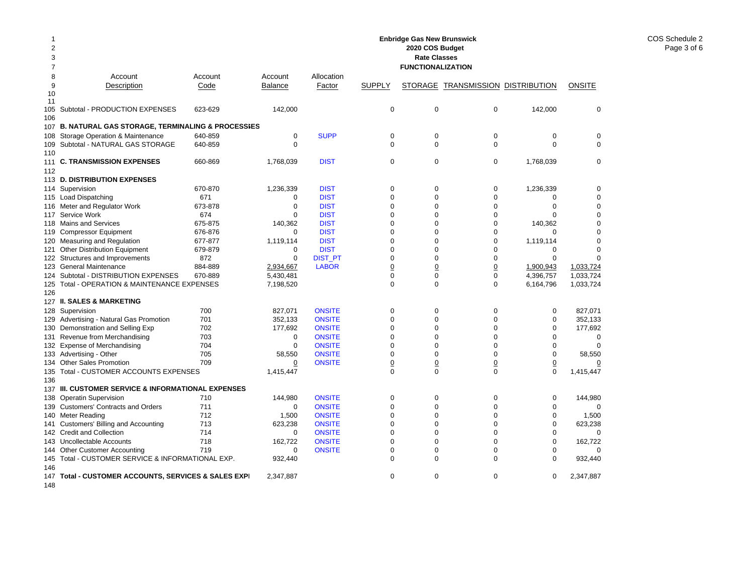| 2020 COS Budget<br>2<br>3<br><b>Rate Classes</b> |                                                                                    |            |                |               |                  |                          |                                          |                  |                |
|--------------------------------------------------|------------------------------------------------------------------------------------|------------|----------------|---------------|------------------|--------------------------|------------------------------------------|------------------|----------------|
| 7                                                |                                                                                    |            |                |               |                  | <b>FUNCTIONALIZATION</b> |                                          |                  |                |
| 8                                                | Account                                                                            | Account    | Account        | Allocation    |                  |                          |                                          |                  |                |
| 9                                                | Description                                                                        | Code       | <b>Balance</b> | Factor        | <b>SUPPLY</b>    |                          | <b>STORAGE TRANSMISSION DISTRIBUTION</b> |                  | <b>ONSITE</b>  |
| 10<br>11                                         |                                                                                    |            |                |               |                  |                          |                                          |                  |                |
| 106                                              | 105 Subtotal - PRODUCTION EXPENSES                                                 | 623-629    | 142,000        |               | 0                | 0                        | $\mathbf 0$                              | 142,000          | $\mathbf 0$    |
|                                                  | 107 B. NATURAL GAS STORAGE, TERMINALING & PROCESSIES                               |            |                |               |                  |                          |                                          |                  |                |
| 108                                              | Storage Operation & Maintenance                                                    | 640-859    | $\mathbf 0$    | <b>SUPP</b>   | $\mathbf 0$      | $\mathbf 0$              | $\mathbf 0$                              | $\mathbf 0$      | $\mathbf 0$    |
| 110                                              | 109 Subtotal - NATURAL GAS STORAGE                                                 | 640-859    | $\Omega$       |               | $\Omega$         | $\Omega$                 | $\mathbf 0$                              | $\Omega$         | $\mathbf 0$    |
| 111<br>112                                       | <b>C. TRANSMISSION EXPENSES</b>                                                    | 660-869    | 1,768,039      | <b>DIST</b>   | 0                | 0                        | $\mathbf 0$                              | 1,768,039        | $\mathbf 0$    |
|                                                  | 113 D. DISTRIBUTION EXPENSES                                                       |            |                |               |                  |                          |                                          |                  |                |
|                                                  | 114 Supervision                                                                    | 670-870    | 1,236,339      | <b>DIST</b>   | 0                | $\mathbf 0$              | 0                                        | 1,236,339        | $\mathbf 0$    |
|                                                  | 115 Load Dispatching                                                               | 671        | 0              | <b>DIST</b>   | $\mathbf 0$      | $\Omega$                 | $\mathbf 0$                              | $\mathbf 0$      | $\mathbf 0$    |
|                                                  | 116 Meter and Regulator Work                                                       | 673-878    | $\mathbf 0$    | <b>DIST</b>   | $\Omega$         | $\Omega$                 | $\mathbf 0$                              | $\Omega$         | $\mathbf 0$    |
| 117                                              | Service Work                                                                       | 674        | $\Omega$       | <b>DIST</b>   | $\mathbf 0$      | $\Omega$                 | $\mathbf 0$                              | $\Omega$         | $\mathbf 0$    |
|                                                  | 118 Mains and Services                                                             | 675-875    | 140,362        | <b>DIST</b>   | $\mathbf 0$      | $\Omega$                 | $\mathbf 0$                              | 140,362          | $\mathbf 0$    |
| 119                                              | <b>Compressor Equipment</b>                                                        | 676-876    | $\mathbf 0$    | <b>DIST</b>   | $\mathbf 0$      | $\mathbf 0$              | $\mathbf 0$                              | $\mathbf 0$      | $\mathbf 0$    |
| 120                                              | Measuring and Regulation                                                           | 677-877    | 1,119,114      | <b>DIST</b>   | $\mathbf 0$      | $\mathbf 0$              | $\mathbf 0$                              | 1,119,114        | $\mathbf 0$    |
| 121                                              | <b>Other Distribution Equipment</b>                                                | 679-879    | 0              | <b>DIST</b>   | $\mathbf 0$      | $\mathbf 0$              | $\mathbf 0$                              | $\mathbf 0$      | $\mathbf 0$    |
|                                                  | 122 Structures and Improvements                                                    | 872        | $\Omega$       | DIST_PT       | $\Omega$         | $\Omega$                 | $\Omega$                                 | $\Omega$         | $\Omega$       |
| 123                                              | <b>General Maintenance</b>                                                         | 884-889    | 2,934,667      | <b>LABOR</b>  | $\underline{0}$  | $\overline{0}$           | $\underline{0}$                          | 1.900.943        | 1.033.724      |
|                                                  | 124 Subtotal - DISTRIBUTION EXPENSES                                               | 670-889    | 5,430,481      |               | $\Omega$         | $\Omega$                 | $\mathbf 0$                              | 4,396,757        | 1,033,724      |
| 125                                              | Total - OPERATION & MAINTENANCE EXPENSES                                           |            | 7,198,520      |               | $\Omega$         | $\Omega$                 | $\Omega$                                 | 6,164,796        | 1,033,724      |
| 126                                              |                                                                                    |            |                |               |                  |                          |                                          |                  |                |
|                                                  | 127 II. SALES & MARKETING                                                          |            |                |               |                  |                          |                                          |                  |                |
|                                                  | 128 Supervision                                                                    | 700        | 827,071        | <b>ONSITE</b> | 0                | $\mathbf 0$              | $\mathbf 0$                              | 0                | 827,071        |
| 129                                              | Advertising - Natural Gas Promotion                                                | 701        | 352,133        | <b>ONSITE</b> | $\Omega$         | $\Omega$                 | $\Omega$                                 | $\Omega$         | 352,133        |
|                                                  | 130 Demonstration and Selling Exp                                                  | 702        | 177,692        | <b>ONSITE</b> | $\Omega$         | $\Omega$                 | $\mathbf 0$                              | $\Omega$         | 177,692        |
|                                                  | 131 Revenue from Merchandising                                                     | 703        | 0              | <b>ONSITE</b> | $\Omega$         | $\Omega$                 | $\Omega$                                 | $\Omega$         | 0              |
|                                                  | 132 Expense of Merchandising                                                       | 704        | $\mathbf 0$    | <b>ONSITE</b> | $\Omega$         | $\Omega$                 | $\Omega$                                 | $\Omega$         | $\Omega$       |
|                                                  | 133 Advertising - Other                                                            | 705        | 58,550         | <b>ONSITE</b> | $\mathbf 0$      | $\Omega$                 | $\mathbf 0$                              | $\mathbf 0$      | 58,550         |
| 134                                              | <b>Other Sales Promotion</b>                                                       | 709        | 0              | <b>ONSITE</b> | $\underline{0}$  | $\overline{0}$           | $\underline{0}$                          | $\overline{0}$   | $\overline{0}$ |
|                                                  | 135 Total - CUSTOMER ACCOUNTS EXPENSES                                             |            | 1,415,447      |               | $\mathbf 0$      | $\Omega$                 | $\Omega$                                 | $\mathbf 0$      | 1,415,447      |
| 136                                              |                                                                                    |            |                |               |                  |                          |                                          |                  |                |
|                                                  | 137 III. CUSTOMER SERVICE & INFORMATIONAL EXPENSES                                 |            |                |               |                  |                          |                                          |                  |                |
| 138                                              | <b>Operatin Supervision</b>                                                        | 710        | 144,980        | <b>ONSITE</b> | 0                | $\mathbf 0$              | 0                                        | 0                | 144,980        |
|                                                  | 139 Customers' Contracts and Orders                                                | 711        | 0              | <b>ONSITE</b> | $\mathbf 0$      | $\mathbf 0$              | $\mathbf 0$                              | $\mathbf 0$      | $\Omega$       |
|                                                  | 140 Meter Reading                                                                  | 712        | 1,500          | <b>ONSITE</b> | $\mathbf 0$      | $\Omega$                 | $\mathbf 0$                              | $\mathbf 0$      | 1,500          |
| 141                                              | Customers' Billing and Accounting                                                  | 713        | 623,238        | <b>ONSITE</b> | $\mathbf 0$      | $\mathbf 0$              | $\mathbf 0$                              | $\mathbf 0$      | 623,238        |
|                                                  | 142 Credit and Collection                                                          | 714        | 0              | <b>ONSITE</b> | 0                | 0                        | $\mathbf 0$                              | $\mathbf 0$      | $\mathbf 0$    |
|                                                  | 143 Uncollectable Accounts                                                         | 718<br>719 | 162,722        | <b>ONSITE</b> | $\mathbf 0$<br>0 | 0<br>$\mathbf 0$         | $\mathbf 0$<br>$\mathbf 0$               | 0<br>$\mathbf 0$ | 162,722        |
|                                                  | 144 Other Customer Accounting<br>145 Total - CUSTOMER SERVICE & INFORMATIONAL EXP. |            | 0              | <b>ONSITE</b> | $\mathbf 0$      | $\Omega$                 | $\mathbf 0$                              | $\Omega$         | 0              |
| 146                                              |                                                                                    |            | 932,440        |               |                  |                          |                                          |                  | 932,440        |
| 147<br>148                                       | Total - CUSTOMER ACCOUNTS, SERVICES & SALES EXPI                                   |            | 2,347,887      |               | $\Omega$         | $\Omega$                 | $\Omega$                                 | 0                | 2,347,887      |

**Enbridge Gas New Brunswick**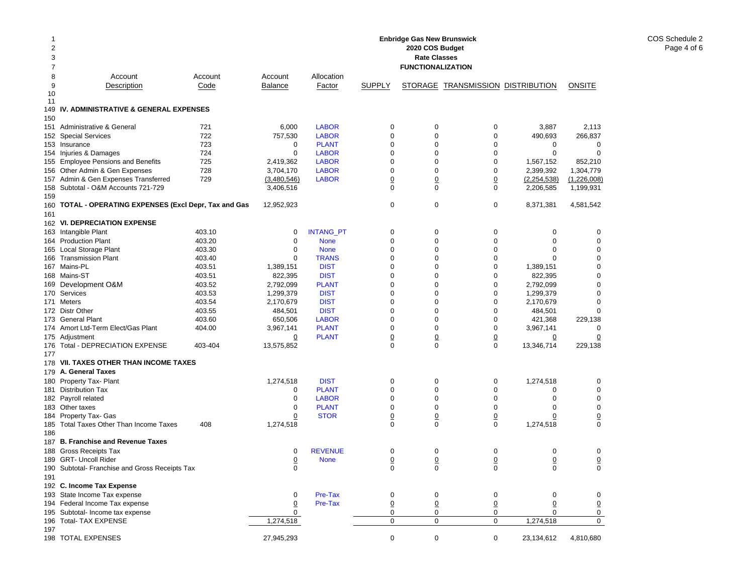| 2<br>3<br>$\overline{7}$ |                                                              |            |                 |                              |                | 2020 COS Budget<br><b>Rate Classes</b><br><b>FUNCTIONALIZATION</b> |                                   |                  |                            |
|--------------------------|--------------------------------------------------------------|------------|-----------------|------------------------------|----------------|--------------------------------------------------------------------|-----------------------------------|------------------|----------------------------|
| 8                        | Account                                                      | Account    | Account         | Allocation                   |                |                                                                    |                                   |                  |                            |
| 9                        | Description                                                  | Code       | Balance         | Factor                       | <b>SUPPLY</b>  |                                                                    | STORAGE TRANSMISSION DISTRIBUTION |                  | <b>ONSITE</b>              |
| 10                       |                                                              |            |                 |                              |                |                                                                    |                                   |                  |                            |
| 11                       |                                                              |            |                 |                              |                |                                                                    |                                   |                  |                            |
|                          | 149 IV. ADMINISTRATIVE & GENERAL EXPENSES                    |            |                 |                              |                |                                                                    |                                   |                  |                            |
| 150                      |                                                              |            |                 |                              |                |                                                                    |                                   |                  |                            |
|                          | 151 Administrative & General                                 | 721        | 6,000           | <b>LABOR</b>                 | 0              | 0                                                                  | 0                                 | 3,887            | 2,113                      |
|                          | 152 Special Services                                         | 722        | 757,530         | <b>LABOR</b>                 | 0              | 0                                                                  | 0                                 | 490,693          | 266,837                    |
|                          | 153 Insurance                                                | 723<br>724 | 0<br>0          | <b>PLANT</b><br><b>LABOR</b> | 0<br>0         | 0<br>$\Omega$                                                      | 0<br>0                            | 0<br>$\mathbf 0$ | $\mathbf 0$<br>$\mathbf 0$ |
|                          | 154 Injuries & Damages<br>155 Employee Pensions and Benefits | 725        | 2,419,362       | <b>LABOR</b>                 | 0              | 0                                                                  | 0                                 | 1,567,152        | 852,210                    |
|                          | 156 Other Admin & Gen Expenses                               | 728        | 3,704,170       | <b>LABOR</b>                 | 0              | 0                                                                  | 0                                 | 2,399,392        | 1,304,779                  |
|                          | 157 Admin & Gen Expenses Transferred                         | 729        | (3,480,546)     | <b>LABOR</b>                 | <u>0</u>       | $\overline{0}$                                                     | $\overline{0}$                    | (2, 254, 538)    | (1,226,008)                |
|                          | 158 Subtotal - O&M Accounts 721-729                          |            | 3,406,516       |                              | 0              | $\Omega$                                                           | 0                                 | 2,206,585        | 1,199,931                  |
| 159                      |                                                              |            |                 |                              |                |                                                                    |                                   |                  |                            |
| 161                      | 160 TOTAL - OPERATING EXPENSES (Excl Depr, Tax and Gas       |            | 12,952,923      |                              | 0              | 0                                                                  | 0                                 | 8,371,381        | 4,581,542                  |
|                          | 162 VI. DEPRECIATION EXPENSE                                 |            |                 |                              |                |                                                                    |                                   |                  |                            |
|                          | 163 Intangible Plant                                         | 403.10     | 0               | <b>INTANG_PT</b>             | 0              | 0                                                                  | 0                                 | 0                | 0                          |
|                          | 164 Production Plant                                         | 403.20     | 0               | <b>None</b>                  | 0              | 0                                                                  | 0                                 | 0                | 0                          |
|                          | 165 Local Storage Plant                                      | 403.30     | 0               | <b>None</b>                  | 0              | 0                                                                  | 0                                 | 0                | 0                          |
|                          | 166 Transmission Plant                                       | 403.40     | 0               | <b>TRANS</b>                 | 0              | 0                                                                  | 0                                 | 0                | 0                          |
|                          | 167 Mains-PL                                                 | 403.51     | 1,389,151       | <b>DIST</b>                  | 0              | 0                                                                  | $\mathbf 0$                       | 1,389,151        | 0                          |
|                          | 168 Mains-ST                                                 | 403.51     | 822,395         | <b>DIST</b>                  | 0              | 0                                                                  | 0                                 | 822,395          | 0                          |
|                          | 169 Development O&M                                          | 403.52     | 2,792,099       | <b>PLANT</b>                 | 0              | 0                                                                  | 0                                 | 2,792,099        | 0                          |
|                          | 170 Services                                                 | 403.53     | 1,299,379       | <b>DIST</b>                  | $\Omega$       | $\Omega$                                                           | 0                                 | 1,299,379        | 0                          |
|                          | 171 Meters                                                   | 403.54     | 2,170,679       | <b>DIST</b>                  | 0              | $\Omega$                                                           | $\Omega$                          | 2,170,679        | 0                          |
|                          | 172 Distr Other                                              | 403.55     | 484,501         | <b>DIST</b>                  | $\Omega$       | $\Omega$                                                           | 0                                 | 484,501          | 0                          |
|                          | 173 General Plant                                            | 403.60     | 650,506         | <b>LABOR</b>                 | 0              | $\Omega$                                                           | 0                                 | 421,368          | 229,138                    |
|                          | 174 Amort Ltd-Term Elect/Gas Plant                           | 404.00     | 3,967,141       | <b>PLANT</b>                 | 0              | 0                                                                  | 0                                 | 3,967,141        | 0                          |
|                          | 175 Adjustment                                               |            | 0               | <b>PLANT</b>                 | <u>0</u>       | $\overline{0}$                                                     | $\overline{0}$                    | 0                | 0                          |
|                          | 176 Total - DEPRECIATION EXPENSE                             | 403-404    | 13,575,852      |                              | 0              | $\Omega$                                                           | $\Omega$                          | 13,346,714       | 229,138                    |
| 177                      |                                                              |            |                 |                              |                |                                                                    |                                   |                  |                            |
|                          | 178 VII. TAXES OTHER THAN INCOME TAXES                       |            |                 |                              |                |                                                                    |                                   |                  |                            |
|                          | 179 A. General Taxes                                         |            |                 |                              |                |                                                                    |                                   |                  |                            |
|                          | 180 Property Tax- Plant                                      |            | 1,274,518       | <b>DIST</b>                  | 0              | 0                                                                  | 0                                 | 1,274,518        | 0                          |
|                          | 181 Distribution Tax                                         |            | 0               | <b>PLANT</b>                 | 0              | 0                                                                  | 0                                 | 0                | 0                          |
|                          | 182 Payroll related                                          |            | 0               | <b>LABOR</b>                 | 0              | 0                                                                  | 0                                 | 0                | 0                          |
|                          | 183 Other taxes                                              |            | 0               | <b>PLANT</b>                 | 0              | 0                                                                  | 0                                 | 0                | 0                          |
|                          | 184 Property Tax- Gas                                        |            | <u>0</u>        | <b>STOR</b>                  | 0              | $\overline{0}$                                                     | <u>0</u>                          | 0                | 0                          |
| 186                      | 185 Total Taxes Other Than Income Taxes                      | 408        | 1,274,518       |                              | $\Omega$       | $\Omega$                                                           | 0                                 | 1,274,518        | 0                          |
|                          | 187 B. Franchise and Revenue Taxes                           |            |                 |                              |                |                                                                    |                                   |                  |                            |
|                          | 188 Gross Receipts Tax                                       |            | 0               | <b>REVENUE</b>               | 0              | 0                                                                  | 0                                 | 0                | 0                          |
|                          | 189 GRT- Uncoll Rider                                        |            | <u>0</u>        | <b>None</b>                  | <u>0</u>       | $\overline{0}$                                                     | 0                                 | $\overline{0}$   | $\overline{0}$             |
|                          | 190 Subtotal- Franchise and Gross Receipts Tax               |            | $\Omega$        |                              | 0              | $\Omega$                                                           | 0                                 | 0                | 0                          |
| 191                      |                                                              |            |                 |                              |                |                                                                    |                                   |                  |                            |
|                          | 192 C. Income Tax Expense                                    |            |                 |                              |                |                                                                    |                                   |                  |                            |
|                          | 193 State Income Tax expense                                 |            | 0               | Pre-Tax                      | 0              | 0                                                                  | 0                                 | 0                | 0                          |
|                          | 194 Federal Income Tax expense                               |            | $\underline{0}$ | Pre-Tax                      | $\overline{0}$ | $\overline{0}$                                                     | $\underline{0}$                   | $\overline{0}$   | $\Omega$                   |
|                          | 195 Subtotal- Income tax expense                             |            | 0               |                              | 0              | 0                                                                  | 0                                 | 0                | 0                          |
|                          | 196 Total- TAX EXPENSE                                       |            | 1,274,518       |                              | 0              | 0                                                                  | 0                                 | 1,274,518        | $\mathbf 0$                |
| 197                      |                                                              |            |                 |                              |                |                                                                    |                                   |                  |                            |
|                          | 198 TOTAL EXPENSES                                           |            | 27,945,293      |                              | 0              | 0                                                                  | 0                                 | 23,134,612       | 4,810,680                  |

**Enbridge Gas New Brunswick**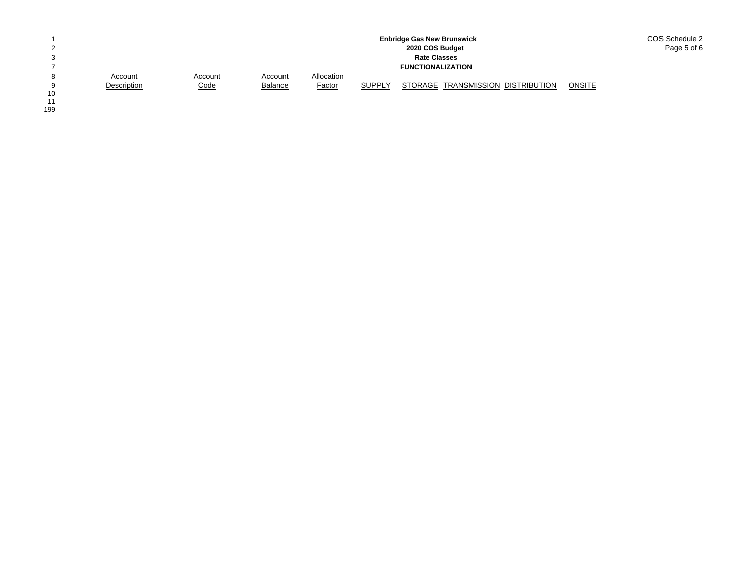|        |             |             |                |               |        | <b>Enbridge Gas New Brunswick</b> | COS Schedule 2 |
|--------|-------------|-------------|----------------|---------------|--------|-----------------------------------|----------------|
| $\sim$ |             |             |                |               |        | 2020 COS Budget                   | Page 5 of 6    |
| 3      |             |             |                |               |        | <b>Rate Classes</b>               |                |
|        |             |             |                |               |        | <b>FUNCTIONALIZATION</b>          |                |
| 8      | Account     | Account     | Account        | Allocation    |        |                                   |                |
| a      | Description | <u>Code</u> | <b>Balance</b> | <b>Factor</b> | SUPPLY | STORAGE TRANSMISSION DISTRIBUTION | <b>ONSITE</b>  |
| 10     |             |             |                |               |        |                                   |                |

10<br>11<br>199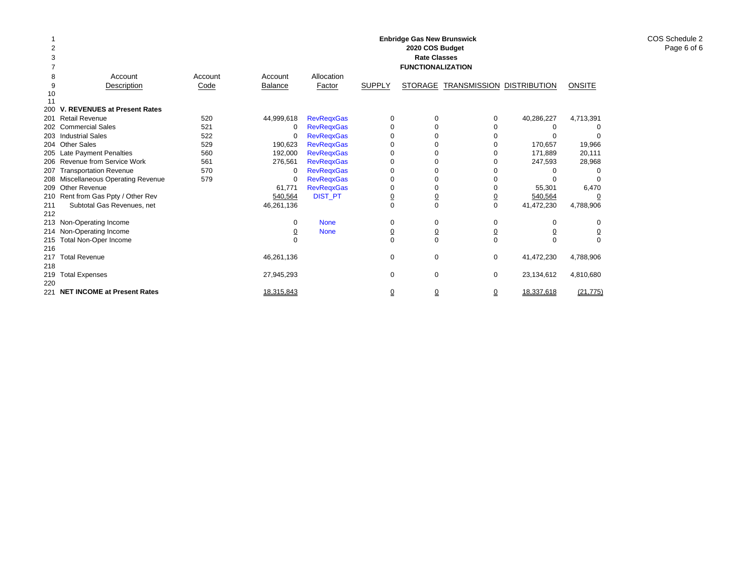|     |                                     |         |                |                   |                     | <b>Enbridge Gas New Brunswick</b> |                |                     |                |
|-----|-------------------------------------|---------|----------------|-------------------|---------------------|-----------------------------------|----------------|---------------------|----------------|
|     |                                     |         |                |                   |                     | 2020 COS Budget                   |                |                     |                |
| 3   |                                     |         |                |                   |                     | <b>Rate Classes</b>               |                |                     |                |
|     |                                     |         |                |                   |                     | <b>FUNCTIONALIZATION</b>          |                |                     |                |
| 8   | Account                             | Account | Account        | Allocation        |                     |                                   |                |                     |                |
| 9   | Description                         | Code    | <b>Balance</b> | Factor            | <b>SUPPLY</b>       | <b>STORAGE</b>                    | TRANSMISSION   | <b>DISTRIBUTION</b> | <b>ONSITE</b>  |
| 10  |                                     |         |                |                   |                     |                                   |                |                     |                |
| 11  |                                     |         |                |                   |                     |                                   |                |                     |                |
| 200 | <b>V. REVENUES at Present Rates</b> |         |                |                   |                     |                                   |                |                     |                |
| 201 | <b>Retail Revenue</b>               | 520     | 44,999,618     | <b>RevRegxGas</b> | 0                   | $\Omega$                          | $\Omega$       | 40,286,227          | 4,713,391      |
| 202 | <b>Commercial Sales</b>             | 521     | 0              | <b>RevRegxGas</b> | $\Omega$            |                                   |                |                     |                |
| 203 | <b>Industrial Sales</b>             | 522     | 0              | <b>RevRegxGas</b> | 0                   |                                   |                |                     |                |
| 204 | <b>Other Sales</b>                  | 529     | 190.623        | <b>RevRegxGas</b> | 0                   |                                   |                | 170.657             | 19,966         |
| 205 | Late Payment Penalties              | 560     | 192,000        | <b>RevRegxGas</b> | 0                   |                                   |                | 171,889             | 20,111         |
|     | 206 Revenue from Service Work       | 561     | 276,561        | <b>RevRegxGas</b> | 0                   |                                   |                | 247,593             | 28,968         |
| 207 | <b>Transportation Revenue</b>       | 570     | 0              | <b>RevRegxGas</b> | $\Omega$            |                                   |                |                     |                |
| 208 | Miscellaneous Operating Revenue     | 579     | 0              | <b>RevRegxGas</b> | 0                   |                                   |                |                     |                |
| 209 | Other Revenue                       |         | 61.771         | <b>RevRegxGas</b> | 0                   | $\Omega$                          |                | 55,301              | 6,470          |
|     | 210 Rent from Gas Ppty / Other Rev  |         | 540,564        | <b>DIST_PT</b>    | $\overline{0}$      | $\overline{0}$                    | $\overline{0}$ | 540,564             | 0              |
| 211 | Subtotal Gas Revenues, net          |         | 46,261,136     |                   | $\Omega$            | $\Omega$                          | $\mathbf 0$    | 41,472,230          | 4,788,906      |
| 212 |                                     |         |                |                   |                     |                                   |                |                     |                |
| 213 | Non-Operating Income                |         | 0              | <b>None</b>       | 0                   | 0                                 | 0              | O                   | 0              |
| 214 | Non-Operating Income                |         | <u>0</u>       | <b>None</b>       | <u>0</u>            | $\overline{0}$                    | $\overline{0}$ |                     | $\overline{0}$ |
| 215 | Total Non-Oper Income               |         |                |                   | $\Omega$            | $\Omega$                          | $\Omega$       | $\Omega$            | $\Omega$       |
| 216 |                                     |         |                |                   |                     |                                   |                |                     |                |
| 217 | <b>Total Revenue</b>                |         | 46,261,136     |                   | 0                   | 0                                 | $\mathbf 0$    | 41,472,230          | 4,788,906      |
| 218 |                                     |         |                |                   |                     |                                   |                |                     |                |
| 219 | <b>Total Expenses</b>               |         | 27,945,293     |                   | 0                   | $\Omega$                          | 0              | 23,134,612          | 4,810,680      |
| 220 |                                     |         |                |                   |                     |                                   |                |                     |                |
| 221 | <b>NET INCOME at Present Rates</b>  |         | 18.315.843     |                   | $\overline{\Omega}$ | $\overline{0}$                    | $\Omega$       | 18.337.618          | (21.775)       |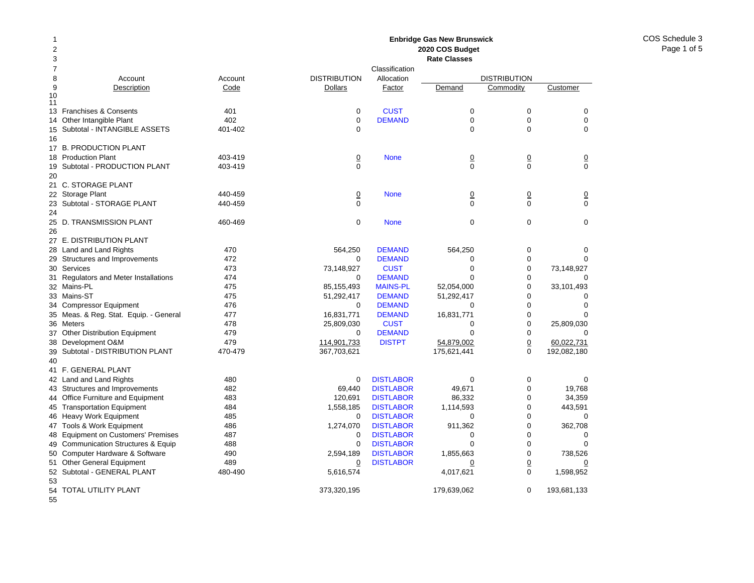COS Schedule 3Page 1 of 5

#### Account Account Description Code 13 Franchises & Consents 401 14 Other Intangible Plant 402 Subtotal - INTANGIBLE ASSETS 401-402 17 B. PRODUCTION PLANT 18 Production Plant 403-419 Subtotal - PRODUCTION PLANT 403-419 21 C. STORAGE PLANT 22 Storage Plant 440-459 23 Subtotal - STORAGE PLANT 440-459 25 D. TRANSMISSION PLANT 460-469 27 E. DISTRIBUTION PLANT 28 Land and Land Rights 470 29 Structures and Improvements 472 Services 473 Regulators and Meter Installations 474 Mains-PL 475 33 Mains-ST 475 Compressor Equipment 476 Meas. & Reg. Stat. Equip. - General 477 36 Meters 478 Other Distribution Equipment 479 Development O&M 479 Subtotal - DISTRIBUTION PLANT 470-479 41 F. GENERAL PLANT 42 Land and Land Rights 480 43 Structures and Improvements 482 44 Office Furniture and Equipment 483 45 Transportation Equipment 484 46 Heavy Work Equipment 485 47 Tools & Work Equipment 486 48 Equipment on Customers' Premises 487 49 Communication Structures & Equip 488 Computer Hardware & Software 490 51 Other General Equipment 489 52 Subtotal - GENERAL PLANT 480-490 54 TOTAL UTILITY PLANT **2020 COS Budget Rate Classes**ClassificationDISTRIBUTION Allocation DISTRIBUTION**Dollars** Factor Demand Commodity Customer 0**CUST** T 0 0 0 0**DEMAND** D 0 0 0 0 0000**None** e 0 0 0 0 0000 None 0 0 0 0 0000 None 000 564,250 DEMAND 564,250 0 0 0 DEMANDD 0 0 0 73,148,927 CUST 0 0 73,148,927  $\Omega$  DEMANDD 0 0 0 85,155,493 MAINS-PL 52,054,000 0 33,101,493 51,292,417 DEMAND 51,292,417 0 0  $\Omega$  DEMANDD 0 0 0 16,831,771 DEMAND 16,831,771 0 0 0 25,809,030 CUST 0 0 25,809,030 0 DEMANDD 0 0 0 114,901,733 DISTPT 54,879,002 0 60,022,731 367,703,621 175,621,441 0 192,082,180 0**DISTLABOR** R 0 0 0 69.440 DISTLABOR 49.671 0 19.768 120,691 DISTLABOR 86,332 0 34,359 1,558,185 DISTLABOR 1,114,593 0 443,591  $\Omega$ **DISTLABOR** R 0 0 0 1,274,070 DISTLABOR 911,362 0 362,708 0 DISTLABORR 0 0 0 0**DISTLABOR** R 0 0 0 2,594,189 DISTLABOR 1,855,663 0 738,526 0 DISTLABORR 0 0 0 5,616,574 4,017,621 0 1,598,952 373,320,195 179,639,062 0 193,681,133

**Enbridge Gas New Brunswick** 

55

50

53

9

1011

15

16

19

20

24

26

30

31

32

34

35

37

38

39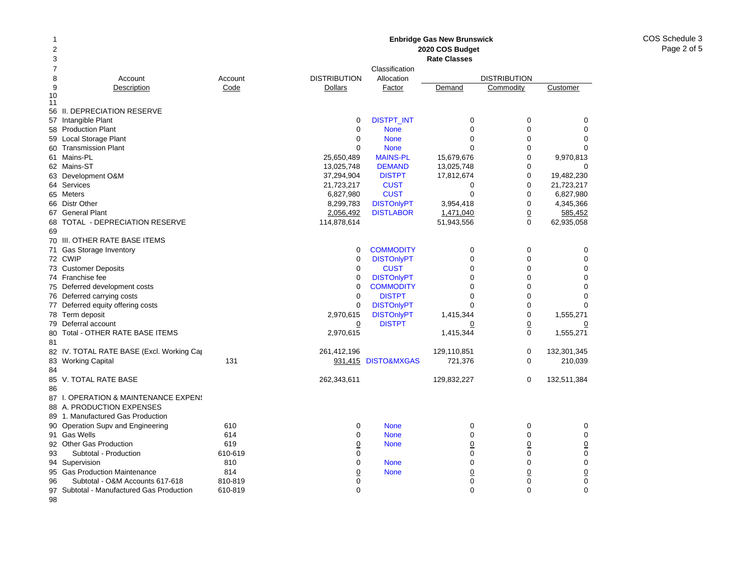#### 2 378 Account Account 9Description Code 10 11 56 II. DEPRECIATION RESERVE 57 Intangible Plant 58 Production Plant 59 Local Storage Plant 60 Transmission Plant 61 Mains-PL 62 Mains-ST 63 Development O&M 64 Services 65 Meters 66 Distr Other 67 General Plant 68 TOTAL - DEPRECIATION RESERVE 6970 III. OTHER RATE BASE ITEMS 71 Gas Storage Inventory 72 CWIP 73 Customer Deposits 74 Franchise fee 75 Deferred development costs 76 Deferred carrying costs 77 Deferred equity offering costs 78 Term deposit 79 Deferral account 80 Total - OTHER RATE BASE ITEMS 8182 IV. TOTAL RATE BASE (Excl. Working Cap 83 Working Capital 131 8485 V. TOTAL RATE BASE 8687 I. OPERATION & MAINTENANCE EXPENS 88 A. PRODUCTION EXPENSES 89 1. Manufactured Gas Production 90 Operation Supv and Engineering **610** 91 Gas Wells 614 92 Other Gas Production 619 93 Subtotal - Production 610-619 94 Supervision 810 95Gas Production Maintenance **814** 96 Subtotal - O&M Accounts 617-618 810-819 97 Subtotal - Manufactured Gas Production 610-819 **Enbridge Gas New Brunswick 2020 COS Budget Rate Classes**ClassificationDISTRIBUTION Allocation DISTRIBUTION**Dollars** Factor Demand Commodity Customer 0DISTPT\_INT 0 0 0 0 0 None 000 0 None 000  $\Omega$  None 000 25,650,489 MAINS-PL 15,679,676 0 9,970,813 13,025,748 **DEMAND** 13,025,748 0 0 0 37,294,904 DISTPT 17,812,674 0 19,482,230 21,723,217 CUST 0 0 21,723,217 6,827,980 CUST 0 0 6,827,980 8,299,783 DISTOnlyPT 3,954,418 0 4,345,366 2,056,492 DISTLABOR 1,471,040 0 585,452 114,878,614 51,943,556 0 62,935,058 0**COMMODITY** Y 0 0 0 0DISTOnlyPT 0 0 0 0 0**CUST** T 0 0 0 0DISTONIVPT 0 0 0 0  $\Omega$ **COMMODITY** Y 0 0 0 0 DISTPTT 0 0 0  $\Omega$ DISTONIVPT 0 0 0 0 2,970,615 DISTOnlyPT 1,415,344 0 1,555,271 0 DISTPT 0 0 0 2,970,615 1,415,344 0 1,555,271 261,412,196 129,110,851 0 132,301,345 931,415 DISTO&MXGAS 721,376 0 210,039 262,343,611 129,832,227 0 132,511,384 0 None 000 0 None 000 0 Nonee 0 0 0 0 0000 None 000 0 Nonee 0 0 0 0 0000 000

98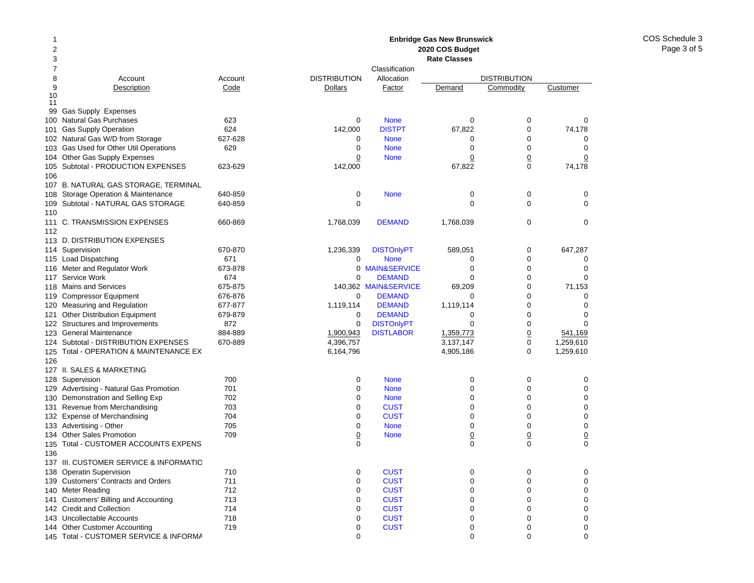#### 12378 Account Account 9Description Code 10 1199 Gas Supply Expenses 100Natural Gas Purchases 623 101Gas Supply Operation 624 102 Natural Gas W/D from Storage 627-628 103Gas Used for Other Util Operations 629 104 Other Gas Supply Expenses 105Subtotal - PRODUCTION EXPENSES 623-629 106107 B. NATURAL GAS STORAGE, TERMINAL 108 Storage Operation & Maintenance 640-859 109Subtotal - NATURAL GAS STORAGE 640-859 110111 C. TRANSMISSION EXPENSES 660-869 112113 D. DISTRIBUTION EXPENSES 114 Supervision 670-870 115 Load Dispatching 671 116Meter and Regulator Work 673-878 117Service Work 674 118Mains and Services 675-875 119Compressor Equipment 676-876 120Measuring and Regulation 677-877 121 Other Distribution Equipment 679-879 122 Structures and Improvements 872 123General Maintenance 884-889 124 Subtotal - DISTRIBUTION EXPENSES 670-889 125 Total - OPERATION & MAINTENANCE EX 126127 II. SALES & MARKETING128Supervision 700 129Advertising - Natural Gas Promotion 701 130Demonstration and Selling Exp 702 131Revenue from Merchandising 703 132 Expense of Merchandising metal of the 704 133Advertising - Other 705 134Other Sales Promotion 709 135 Total - CUSTOMER ACCOUNTS EXPENS 136137 III. CUSTOMER SERVICE & INFORMATIO138Operatin Supervision 710 139 Customers' Contracts and Orders 711 140Meter Reading **712** 141 Customers' Billing and Accounting 713 142 Credit and Collection 714 143Uncollectable Accounts 718 144Other Customer Accounting T19 **Enbridge Gas New Brunswick 2020 COS Budget Rate Classes**ClassificationDISTRIBUTION Allocation DISTRIBUTION**Dollars** Factor Demand Commodity Customer 0 None 000 142,000 DISTPT 67,822 0 74,178 0 None 000 0 None 000 0**None** e 0 0 0 142,000 67,822 0 74,178 0 None 000 0 0001,768,039 DEMAND 1,768,039 0 0 1,236,339 DISTOnlyPT 589,051 0 647,287 0 None 000 0 MAIN&SERVICEE 0 0 0  $\Omega$  DEMANDD 0 0 0 140,362 MAIN&SERVICE 69,209 0 71,153 0 DEMANDD 0 0 0 1,119,114 **DEMAND** 1,119,114 0 0 0  $\Omega$  DEMANDD 0 0 0 0DISTONIVPT 0 0 0 0 1,900,943 DISTLABOR 1,359,773 0 541,169 4,396,757 3,137,147 0 1,259,610 6,164,796 4,905,186 0 1,259,610 0 None 000 0 None 000 0 None 000 0**CUST** T 0 0 0 0**CUST** T 0 0 0 0 None 000 0**None** e 0 0 0 0 0000**CUST** T 0 0 0 0**CUST** T 0 0 0 0**CUST** T 0 0 0 0**CUST** T 0 0 0 0**CUST** T 0 0 0 0**CUST** T 0 0 0 0**CUST** T 0 0 0

0 000

145 Total - CUSTOMER SERVICE & INFORMA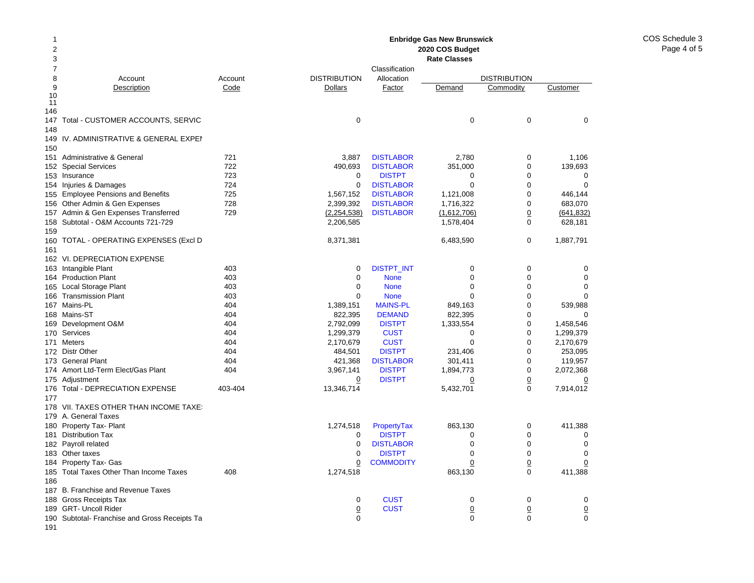COS Schedule 3Page 4 of 5

#### 12 378 Account Account 9Description Code 10 11 146147 Total - CUSTOMER ACCOUNTS, SERVIC 148149IV. ADMINISTRATIVE & GENERAL EXPEI 150151 Administrative & General 721 152Special Services 722 153 Insurance 723 154 Injuries & Damages 724 155 Employee Pensions and Benefits 725 156Other Admin & Gen Expenses 728 157Admin & Gen Expenses Transferred 729 158 Subtotal - O&M Accounts 721-729 159160 TOTAL - OPERATING EXPENSES (Excl D 161162 VI. DEPRECIATION EXPENSE 163 Intangible Plant 163 Ann an 403 164Production Plant 403 165Local Storage Plant 403 166Transmission Plant 403 167Mains-PL 404 168 Mains-ST 404 169Development O&M 404 170Services 404 171 Meters 404 172 Distr Other **404** 173 General Plant 404 174 Amort Ltd-Term Elect/Gas Plant 174 Amort Ltd-Term Elect/Gas 175 Adjustment 176Total - DEPRECIATION EXPENSE 403-404 177178 VII. TAXES OTHER THAN INCOME TAXES 179 A. General Taxes 180 Property Tax- Plant 181 Distribution Tax 182 Payroll related 183 Other taxes 184 Property Tax- Gas 185Total Taxes Other Than Income Taxes 408 186187 B. Franchise and Revenue Taxes 188 Gross Receipts Tax 189 GRT- Uncoll Rider 190 Subtotal- Franchise and Gross Receipts Ta **Enbridge Gas New Brunswick 2020 COS Budget Rate Classes**ClassificationDISTRIBUTION Allocation DISTRIBUTION**Dollars** Factor Demand Commodity Customer 0 0003,887 DISTLABOR 2,780 0 1,106 490,693 DISTLABOR 351,000 0 139,693 0**DISTPT** T 0 0 0 0**DISTLABOR** R 0 0 0 1,567,152 DISTLABOR 1,121,008 0 446,144 2,399,392 DISTLABOR 1,716,322 0 683,070 (2,254,538) DISTLABOR (1,612,706) 0 (641,832) 2,206,585 1,578,404 0 628,181 8,371,381 6,483,590 0 1,887,791 0DISTPT\_INT 0 0 0 0 0 None 000 0 None 000 0 None 000 1,389,151 MAINS-PL 849,163 0 539,988 822,395 **DEMAND** 822,395 0 0 0 2,792,099 DISTPT 1,333,554 0 1,458,546 1,299,379 CUST 0 0 1,299,379 2,170,679 CUST 0 0 2,170,679 484,501 DISTPT 231,406 0 253,095 421,368 DISTLABOR 301,411 0 119,957 3,967,141 DISTPT 1,894,773 0 2,072,368 0 DISTPT 0 0 0 13,346,714 5,432,701 0 7,914,012 1,274,518 PropertyTax 863,130 0 411,388 0 DISTPTT 0 0 0 0**DISTLABOR** R 0 0 0 0 DISTPTT 0 0 0 0**COMMODITY**  0 0 0 1,274,518 863,130 0 411,388 0**CUST** T 0 0 0 0**CUST**  0 0 0 0 000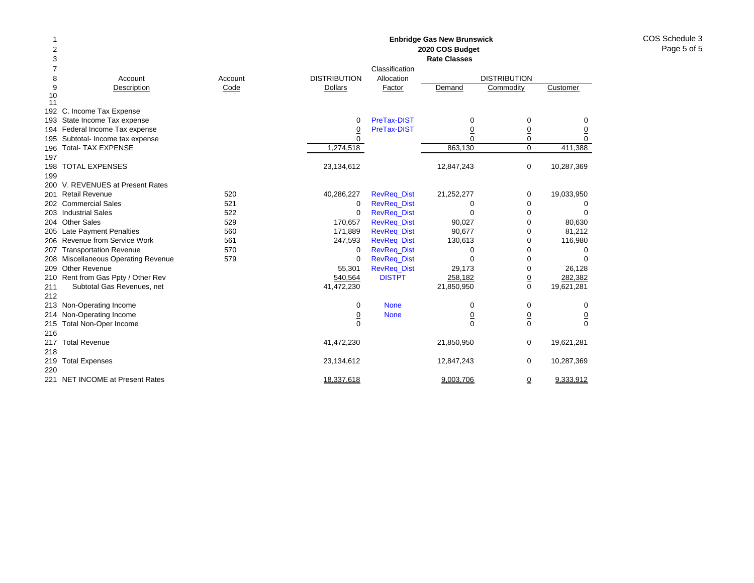| 1                       |                                        |         |                     |                    | <b>Enbridge Gas New Brunswick</b> |                     |            |
|-------------------------|----------------------------------------|---------|---------------------|--------------------|-----------------------------------|---------------------|------------|
| $\overline{\mathbf{c}}$ |                                        |         |                     |                    | 2020 COS Budget                   |                     |            |
| 3                       |                                        |         |                     |                    | <b>Rate Classes</b>               |                     |            |
| 7                       |                                        |         |                     | Classification     |                                   |                     |            |
| 8                       | Account                                | Account | <b>DISTRIBUTION</b> | Allocation         |                                   | <b>DISTRIBUTION</b> |            |
| 9                       | Description                            | Code    | <b>Dollars</b>      | Factor             | Demand                            | Commodity           | Customer   |
| 10                      |                                        |         |                     |                    |                                   |                     |            |
| 11                      |                                        |         |                     |                    |                                   |                     |            |
|                         | 192 C. Income Tax Expense              |         |                     |                    |                                   |                     |            |
|                         | 193 State Income Tax expense           |         | $\Omega$            | PreTax-DIST        | 0                                 | 0                   | 0          |
|                         | 194 Federal Income Tax expense         |         | $\overline{0}$      | PreTax-DIST        | $\overline{0}$                    | $\underline{0}$     | <u>0</u>   |
|                         | 195 Subtotal- Income tax expense       |         | $\Omega$            |                    | $\Omega$                          | $\mathbf 0$         | 0          |
| 196                     | <b>Total- TAX EXPENSE</b>              |         | 1,274,518           |                    | 863,130                           | $\mathbf 0$         | 411,388    |
| 197                     |                                        |         |                     |                    |                                   |                     |            |
| 198                     | <b>TOTAL EXPENSES</b>                  |         | 23,134,612          |                    | 12,847,243                        | $\mathbf 0$         | 10,287,369 |
| 199                     |                                        |         |                     |                    |                                   |                     |            |
|                         | 200 V. REVENUES at Present Rates       |         |                     |                    |                                   |                     |            |
| 201                     | <b>Retail Revenue</b>                  | 520     | 40,286,227          | <b>RevReq_Dist</b> | 21,252,277                        | 0                   | 19,033,950 |
|                         | 202 Commercial Sales                   | 521     | 0                   | <b>RevReq_Dist</b> | 0                                 | 0                   | 0          |
|                         | 203 Industrial Sales                   | 522     | $\mathbf 0$         | <b>RevReg Dist</b> | 0                                 | $\mathbf 0$         |            |
|                         | 204 Other Sales                        | 529     | 170,657             | <b>RevReq_Dist</b> | 90,027                            | $\mathbf 0$         | 80,630     |
| 205                     | <b>Late Payment Penalties</b>          | 560     | 171,889             | <b>RevReg Dist</b> | 90,677                            | 0                   | 81,212     |
| 206                     | Revenue from Service Work              | 561     | 247,593             | <b>RevReq_Dist</b> | 130,613                           | 0                   | 116,980    |
| 207                     | <b>Transportation Revenue</b>          | 570     | 0                   | <b>RevReq_Dist</b> | 0                                 | 0                   | 0          |
| 208                     | <b>Miscellaneous Operating Revenue</b> | 579     | $\mathbf 0$         | <b>RevReq_Dist</b> | $\Omega$                          | $\mathbf 0$         | $\Omega$   |
| 209                     | Other Revenue                          |         | 55,301              | <b>RevReq_Dist</b> | 29,173                            | 0                   | 26,128     |
|                         | 210 Rent from Gas Ppty / Other Rev     |         | 540,564             | <b>DISTPT</b>      | 258,182                           | $\overline{0}$      | 282,382    |
| 211                     | Subtotal Gas Revenues, net             |         | 41,472,230          |                    | 21,850,950                        | $\mathbf 0$         | 19,621,281 |
| 212                     |                                        |         |                     |                    |                                   |                     |            |
|                         | 213 Non-Operating Income               |         | 0                   | <b>None</b>        | 0                                 | 0                   | 0          |
| 214                     | Non-Operating Income                   |         | $\overline{0}$      | <b>None</b>        | $\underline{0}$                   | $\underline{0}$     | <u>0</u>   |
| 215                     | Total Non-Oper Income                  |         | $\Omega$            |                    | $\Omega$                          | $\Omega$            | $\Omega$   |
| 216                     |                                        |         |                     |                    |                                   |                     |            |
| 217                     | <b>Total Revenue</b>                   |         | 41,472,230          |                    | 21,850,950                        | 0                   | 19,621,281 |
| 218                     |                                        |         |                     |                    |                                   |                     |            |
| 219                     | <b>Total Expenses</b>                  |         | 23,134,612          |                    | 12,847,243                        | 0                   | 10,287,369 |
| 220                     |                                        |         |                     |                    |                                   |                     |            |
|                         | 221 NET INCOME at Present Rates        |         | 18,337,618          |                    | 9,003,706                         |                     | 9,333,912  |
|                         |                                        |         |                     |                    |                                   | $\overline{0}$      |            |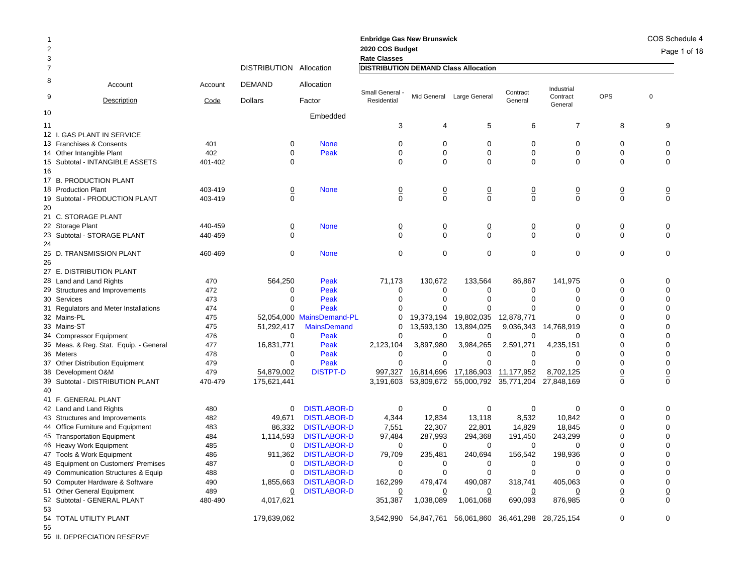| -1<br>$\overline{2}$<br>3 |                                        |         |                         |                           | <b>Enbridge Gas New Brunswick</b><br>2020 COS Budget<br><b>Rate Classes</b> |                      |                           |                                  |                        |                | COS Schedule 4<br>Page 1 of 18 |
|---------------------------|----------------------------------------|---------|-------------------------|---------------------------|-----------------------------------------------------------------------------|----------------------|---------------------------|----------------------------------|------------------------|----------------|--------------------------------|
| $\overline{7}$            |                                        |         | DISTRIBUTION Allocation |                           | <b>DISTRIBUTION DEMAND Class Allocation</b>                                 |                      |                           |                                  |                        |                |                                |
| 8                         | Account                                | Account | <b>DEMAND</b>           | Allocation                | Small General                                                               |                      |                           | Contract                         | Industrial<br>Contract | <b>OPS</b>     | $\mathbf 0$                    |
| 9                         | Description                            | Code    | <b>Dollars</b>          | Factor                    | Residential                                                                 |                      | Mid General Large General | General                          | General                |                |                                |
| 10                        |                                        |         |                         | Embedded                  |                                                                             |                      |                           |                                  |                        |                |                                |
| 11                        |                                        |         |                         |                           | 3                                                                           | 4                    | 5                         | 6                                | $\overline{7}$         | 8              | 9                              |
|                           | 12 I. GAS PLANT IN SERVICE             |         |                         |                           |                                                                             |                      |                           |                                  |                        |                |                                |
|                           | 13 Franchises & Consents               | 401     | 0                       | <b>None</b>               | 0                                                                           | 0                    | 0                         | 0                                | 0                      | 0              | 0                              |
|                           | 14 Other Intangible Plant              | 402     | $\Omega$                | Peak                      | $\Omega$                                                                    | $\mathbf 0$          | 0                         | $\mathbf 0$                      | $\mathbf 0$            | $\mathbf 0$    | $\Omega$                       |
|                           | 15 Subtotal - INTANGIBLE ASSETS        | 401-402 | $\Omega$                |                           | $\Omega$                                                                    | 0                    | 0                         | $\Omega$                         | $\Omega$               | $\Omega$       | $\Omega$                       |
| 16                        |                                        |         |                         |                           |                                                                             |                      |                           |                                  |                        |                |                                |
|                           | 17 B. PRODUCTION PLANT                 |         |                         |                           |                                                                             |                      |                           |                                  |                        |                |                                |
|                           | 18 Production Plant                    | 403-419 | $\overline{0}$          | <b>None</b>               | $\overline{0}$                                                              | $\overline{0}$       | <u>0</u>                  | $\overline{0}$                   | $\overline{0}$         | $\overline{0}$ | $\overline{0}$                 |
|                           | 19 Subtotal - PRODUCTION PLANT         | 403-419 | $\Omega$                |                           | $\Omega$                                                                    | $\mathbf 0$          | 0                         | $\mathbf 0$                      | $\Omega$               | $\Omega$       | $\mathbf 0$                    |
| 20                        |                                        |         |                         |                           |                                                                             |                      |                           |                                  |                        |                |                                |
|                           | 21 C. STORAGE PLANT                    |         |                         |                           |                                                                             |                      |                           |                                  |                        |                |                                |
|                           | 22 Storage Plant                       | 440-459 | $\overline{0}$          | <b>None</b>               | $\overline{0}$                                                              | $\overline{0}$       | $\overline{0}$            | $\overline{0}$                   | $\overline{0}$         | $\overline{0}$ | $\overline{0}$                 |
|                           | 23 Subtotal - STORAGE PLANT            | 440-459 | $\Omega$                |                           | $\Omega$                                                                    | $\mathbf 0$          | $\mathbf 0$               | $\Omega$                         | $\Omega$               | $\Omega$       | $\Omega$                       |
| 24                        |                                        |         |                         |                           |                                                                             |                      |                           |                                  |                        |                |                                |
|                           | 25 D. TRANSMISSION PLANT               | 460-469 | 0                       | <b>None</b>               | $\mathbf 0$                                                                 | $\mathbf 0$          | 0                         | $\mathbf 0$                      | $\mathbf 0$            | $\mathbf 0$    | $\mathbf 0$                    |
| 26                        |                                        |         |                         |                           |                                                                             |                      |                           |                                  |                        |                |                                |
|                           | 27 E. DISTRIBUTION PLANT               |         |                         |                           |                                                                             |                      |                           |                                  |                        |                |                                |
|                           | 28 Land and Land Rights                | 470     | 564,250                 | Peak                      | 71,173                                                                      | 130,672              | 133,564                   | 86,867                           | 141.975                | $\Omega$       | $\Omega$                       |
|                           | 29 Structures and Improvements         | 472     | 0                       | Peak                      | $\mathbf 0$                                                                 | 0                    | 0                         | 0                                | 0                      | $\Omega$       | $\Omega$                       |
|                           | 30 Services                            | 473     | $\Omega$                | Peak                      | $\Omega$                                                                    | $\Omega$             | $\Omega$                  | $\Omega$                         | $\Omega$               | $\Omega$       | $\Omega$                       |
|                           | 31 Regulators and Meter Installations  | 474     | $\Omega$                | Peak                      | 0                                                                           | $\Omega$             | $\Omega$                  | $\Omega$                         | $\Omega$               | $\Omega$       | $\Omega$                       |
|                           | 32 Mains-PL                            | 475     |                         | 52,054,000 MainsDemand-PL | 0                                                                           | 19,373,194           | 19,802,035                | 12,878,771                       | ∩                      | $\Omega$       | ∩                              |
|                           | 33 Mains-ST                            | 475     | 51,292,417              | <b>MainsDemand</b>        | $\Omega$                                                                    | 13,593,130           | 13,894,025                | 9,036,343                        | 14,768,919             | $\Omega$       | $\Omega$                       |
|                           | 34 Compressor Equipment                | 476     | 0                       | Peak                      | $\Omega$                                                                    | 0                    | 0                         | 0                                | $\Omega$               | $\Omega$       | $\Omega$                       |
|                           | 35 Meas. & Reg. Stat. Equip. - General | 477     | 16,831,771              | Peak                      | 2,123,104                                                                   | 3,897,980            | 3,984,265                 | 2,591,271                        | 4,235,151              | $\Omega$       | $\Omega$                       |
|                           | 36 Meters                              | 478     | $\Omega$                | Peak                      | $\mathbf 0$                                                                 | $\Omega$             | 0                         | $\Omega$                         | $\Omega$               | $\Omega$       | $\Omega$                       |
|                           | 37 Other Distribution Equipment        | 479     | 0                       | Peak                      | $\mathbf 0$                                                                 | $\Omega$             | 0                         | 0                                | $\Omega$               | 0              | $\Omega$                       |
|                           | 38 Development O&M                     | 479     | 54,879,002              | <b>DISTPT-D</b>           | 997,327                                                                     | 16,814,696           | <u>17,186,903</u>         | 11,177,952                       | 8,702,125              | $\overline{0}$ | $\overline{0}$                 |
|                           | 39 Subtotal - DISTRIBUTION PLANT       | 470-479 | 175,621,441             |                           | 3,191,603                                                                   | 53,809,672           | 55,000,792                | 35,771,204                       | 27,848,169             | $\mathbf 0$    | 0                              |
| 40                        |                                        |         |                         |                           |                                                                             |                      |                           |                                  |                        |                |                                |
|                           | 41 F. GENERAL PLANT                    |         |                         |                           |                                                                             |                      |                           |                                  |                        |                |                                |
|                           | 42 Land and Land Rights                | 480     | $\mathbf 0$             | <b>DISTLABOR-D</b>        | $\mathbf 0$                                                                 | 0                    | 0                         | $\mathbf 0$                      | $\Omega$               | $\mathbf 0$    | $\Omega$                       |
|                           | 43 Structures and Improvements         | 482     | 49,671                  | <b>DISTLABOR-D</b>        | 4,344                                                                       | 12,834               | 13,118                    | 8,532                            | 10,842                 | $\Omega$       | $\Omega$                       |
|                           | 44 Office Furniture and Equipment      | 483     | 86,332                  | <b>DISTLABOR-D</b>        | 7,551                                                                       | 22,307               | 22,801                    | 14,829                           | 18,845                 | $\Omega$       | ∩                              |
|                           | 45 Transportation Equipment            | 484     | 1,114,593               | <b>DISTLABOR-D</b>        | 97,484                                                                      | 287,993              | 294,368                   | 191,450                          | 243,299                | $\Omega$       | $\Omega$                       |
|                           | 46 Heavy Work Equipment                | 485     | 0                       | <b>DISTLABOR-D</b>        | 0                                                                           | 0                    | 0                         | $\Omega$                         | $\Omega$               | $\Omega$       | $\Omega$                       |
|                           | 47 Tools & Work Equipment              | 486     | 911,362                 | <b>DISTLABOR-D</b>        | 79,709                                                                      | 235,481              | 240,694                   | 156,542                          | 198,936                | $\Omega$       | $\Omega$                       |
|                           | 48 Equipment on Customers' Premises    | 487     | 0                       | <b>DISTLABOR-D</b>        | 0                                                                           | 0                    | 0                         | $\Omega$                         | $\Omega$               | $\Omega$       | $\Omega$                       |
|                           | 49 Communication Structures & Equip    | 488     | $\mathbf 0$             | <b>DISTLABOR-D</b>        | $\mathbf 0$                                                                 | 0                    | 0                         | $\mathbf 0$                      | $\mathbf 0$            | $\Omega$       | $\Omega$                       |
|                           | 50 Computer Hardware & Software        | 490     | 1,855,663               | <b>DISTLABOR-D</b>        | 162,299                                                                     | 479,474              | 490,087                   | 318,741                          | 405,063                | $\Omega$       | $\Omega$                       |
|                           | 51 Other General Equipment             | 489     | 0                       | <b>DISTLABOR-D</b>        | $\overline{0}$                                                              |                      | 0                         | 0                                | 0                      | $\overline{0}$ | 0                              |
|                           | 52 Subtotal - GENERAL PLANT            | 480-490 | 4,017,621               |                           | 351,387                                                                     | 1,038,089            | 1,061,068                 | 690,093                          | 876,985                | $\Omega$       | $\Omega$                       |
| 53                        |                                        |         |                         |                           |                                                                             |                      |                           |                                  |                        |                |                                |
|                           | 54 TOTAL UTILITY PLANT                 |         | 179,639,062             |                           |                                                                             | 3,542,990 54,847,761 |                           | 56,061,860 36,461,298 28,725,154 |                        | $\Omega$       | $\Omega$                       |
| 55                        |                                        |         |                         |                           |                                                                             |                      |                           |                                  |                        |                |                                |

56 II. DEPRECIATION RESERVE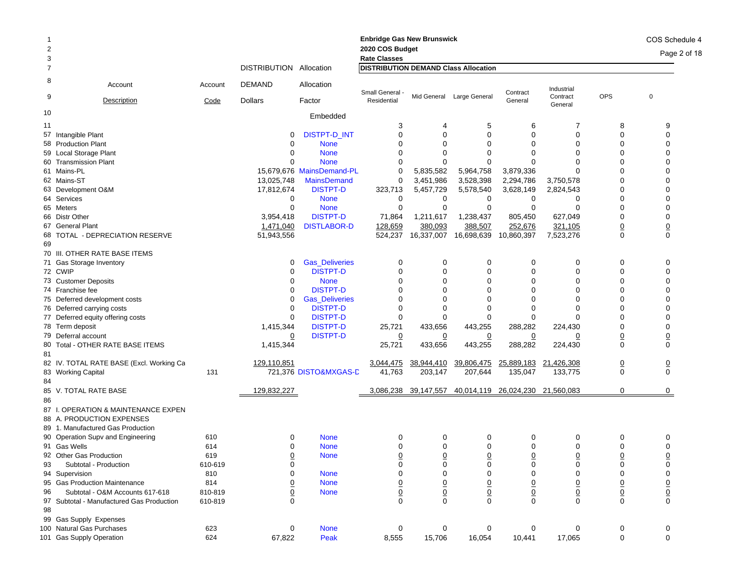|                                                                                             |                    |                         |                           | <b>Enbridge Gas New Brunswick</b>      |                            |                               |                                  |                               |                                | COS Schedule 4                |
|---------------------------------------------------------------------------------------------|--------------------|-------------------------|---------------------------|----------------------------------------|----------------------------|-------------------------------|----------------------------------|-------------------------------|--------------------------------|-------------------------------|
| $\overline{2}$<br>3                                                                         |                    |                         |                           | 2020 COS Budget<br><b>Rate Classes</b> |                            |                               |                                  |                               |                                | Page 2 of 18                  |
| $\overline{7}$                                                                              |                    | DISTRIBUTION Allocation |                           | DISTRIBUTION DEMAND Class Allocation   |                            |                               |                                  |                               |                                |                               |
| 8<br>Account                                                                                | Account            | <b>DEMAND</b>           | Allocation                |                                        |                            |                               |                                  | Industrial                    |                                |                               |
| 9<br>Description                                                                            | Code               | <b>Dollars</b>          | Factor                    | Small General -<br>Residential         | Mid General                | Large General                 | Contract<br>General              | Contract<br>General           | <b>OPS</b>                     | $\overline{0}$                |
| 10                                                                                          |                    |                         | Embedded                  |                                        |                            |                               |                                  |                               |                                |                               |
| 11                                                                                          |                    |                         |                           | 3                                      | 4                          | 5                             | 6                                | 7                             | 8                              | 9                             |
| 57 Intangible Plant                                                                         |                    | 0                       | <b>DISTPT-D INT</b>       | 0                                      | $\Omega$                   | $\mathbf 0$                   | $\Omega$                         | 0                             | $\Omega$                       | $\mathbf 0$                   |
| 58 Production Plant                                                                         |                    | 0                       | <b>None</b>               | $\Omega$                               | $\Omega$                   | $\Omega$                      | $\Omega$                         | $\Omega$                      | $\Omega$                       | $\Omega$                      |
| 59 Local Storage Plant                                                                      |                    | 0                       | <b>None</b>               | $\Omega$                               | O                          | 0                             | 0                                | $\Omega$                      | 0                              | 0                             |
| 60 Transmission Plant                                                                       |                    | $\Omega$                | <b>None</b>               | $\Omega$                               | $\Omega$                   | $\Omega$                      |                                  | U                             | $\Omega$                       | 0                             |
| 61 Mains-PL                                                                                 |                    |                         | 15,679,676 MainsDemand-PL | 0                                      | 5,835,582                  | 5,964,758                     | 3,879,336                        | $\Omega$                      | $\Omega$                       | 0                             |
| 62 Mains-ST                                                                                 |                    | 13,025,748              | <b>MainsDemand</b>        | 0                                      | 3,451,986                  | 3,528,398                     | 2,294,786                        | 3,750,578                     | O                              | 0                             |
| 63 Development O&M                                                                          |                    | 17,812,674              | <b>DISTPT-D</b>           | 323,713                                | 5,457,729                  | 5,578,540                     | 3,628,149                        | 2,824,543                     | $\Omega$                       | 0                             |
| 64 Services                                                                                 |                    | 0                       | <b>None</b>               | 0                                      | 0                          | 0                             | 0                                | 0                             | 0                              | 0                             |
| 65 Meters                                                                                   |                    | $\mathbf 0$             | <b>None</b>               | 0                                      | $\mathbf 0$                | 0                             | 0                                | 0                             | $\mathbf 0$                    | 0                             |
| 66 Distr Other                                                                              |                    | 3,954,418               | <b>DISTPT-D</b>           | 71,864                                 | 1,211,617                  | 1,238,437                     | 805,450                          | 627,049                       | $\mathbf 0$                    | $\mathbf 0$                   |
| 67 General Plant                                                                            |                    | 1,471,040               | <b>DISTLABOR-D</b>        | 128,659                                | 380,093                    | 388,507                       | 252,676                          | 321,105                       | $\underline{0}$                | $\underline{0}$               |
| 68 TOTAL - DEPRECIATION RESERVE<br>69                                                       |                    | 51,943,556              |                           | 524,237                                | 16,337,007                 | 16,698,639                    | 10,860,397                       | 7,523,276                     | $\mathbf 0$                    | $\mathbf 0$                   |
| 70 III. OTHER RATE BASE ITEMS                                                               |                    |                         |                           |                                        |                            |                               |                                  |                               |                                |                               |
| 71 Gas Storage Inventory                                                                    |                    | 0                       | <b>Gas_Deliveries</b>     | 0                                      | 0                          | 0                             | 0                                | 0                             | 0                              | 0                             |
| 72 CWIP                                                                                     |                    | 0                       | <b>DISTPT-D</b>           | $\Omega$                               | $\Omega$                   | 0                             | $\Omega$                         | 0                             | $\Omega$                       | $\mathbf 0$                   |
| 73 Customer Deposits                                                                        |                    | 0                       | <b>None</b>               | $\Omega$                               | $\Omega$                   | $\Omega$                      | $\Omega$                         | $\Omega$                      | $\Omega$                       | 0                             |
| 74 Franchise fee                                                                            |                    | 0                       | <b>DISTPT-D</b>           | $\Omega$                               | $\Omega$                   | $\Omega$                      | $\Omega$                         | $\Omega$                      | 0                              | 0                             |
| 75 Deferred development costs                                                               |                    | 0                       | <b>Gas Deliveries</b>     | $\Omega$                               | $\Omega$                   | $\Omega$                      | $\Omega$                         | $\Omega$                      | $\Omega$                       | 0                             |
| 76 Deferred carrying costs                                                                  |                    | $\mathbf 0$             | <b>DISTPT-D</b>           | $\mathbf 0$                            | 0                          | $\mathbf 0$                   | $\Omega$                         | $\Omega$                      | $\Omega$                       | 0                             |
| 77 Deferred equity offering costs                                                           |                    | $\mathbf{0}$            | <b>DISTPT-D</b>           | 0                                      | 0                          | 0                             | 0                                | $\Omega$                      |                                | 0                             |
|                                                                                             |                    | 1,415,344               | <b>DISTPT-D</b>           | 25,721                                 | 433,656                    | 443,255                       | 288,282                          | 224,430                       | $\mathbf 0$                    | $\Omega$                      |
| 78 Term deposit                                                                             |                    |                         |                           |                                        |                            |                               |                                  |                               |                                |                               |
| 79 Deferral account                                                                         |                    | $\overline{0}$          | <b>DISTPT-D</b>           | $\overline{0}$                         | $\overline{0}$             | $\overline{0}$                | $\overline{0}$                   | 0                             | $\underline{0}$<br>$\mathbf 0$ | $\overline{0}$<br>$\mathbf 0$ |
| Total - OTHER RATE BASE ITEMS<br>80<br>81                                                   |                    | 1,415,344               |                           | 25,721                                 | 433,656                    | 443,255                       | 288,282                          | 224,430                       |                                |                               |
| 82 IV. TOTAL RATE BASE (Excl. Working Ca                                                    |                    | 129,110,851             |                           | 3,044,475                              | 38,944,410                 | 39,806,475                    | 25,889,183                       | 21,426,308                    | $\overline{0}$                 | $\overline{0}$                |
| 83 Working Capital                                                                          | 131                |                         | 721,376 DISTO&MXGAS-D     | 41,763                                 | 203,147                    | 207,644                       | 135,047                          | 133,775                       | $\mathbf 0$                    | $\Omega$                      |
| 84<br>85 V. TOTAL RATE BASE                                                                 |                    | 129,832,227             |                           |                                        | 3,086,238 39,147,557       |                               | 40,014,119 26,024,230 21,560,083 |                               | $\mathbf 0$                    | 0                             |
| 86                                                                                          |                    |                         |                           |                                        |                            |                               |                                  |                               |                                |                               |
| 87 I. OPERATION & MAINTENANCE EXPEN<br>88 A. PRODUCTION EXPENSES                            |                    |                         |                           |                                        |                            |                               |                                  |                               |                                |                               |
| 89 1. Manufactured Gas Production                                                           |                    |                         |                           |                                        |                            |                               |                                  |                               |                                |                               |
| 90 Operation Supv and Engineering                                                           | 610                | 0                       | <b>None</b>               | 0                                      | 0                          | 0                             | 0                                | 0                             | 0                              | 0                             |
| 91 Gas Wells                                                                                | 614                | 0                       | <b>None</b>               | $\Omega$                               | 0                          | $\Omega$                      | $\Omega$                         | $\Omega$                      | $\Omega$                       | 0                             |
| 92 Other Gas Production                                                                     | 619                | 0                       | <b>None</b>               | 0                                      | $\mathbf 0$                | 0                             | 0                                | $\mathbf 0$                   | 0                              | 0                             |
| 93<br>Subtotal - Production                                                                 | 610-619            | 0                       |                           | 0                                      | 0                          | 0                             | 0                                | 0                             | 0                              | 0                             |
| 94 Supervision                                                                              | 810                | $\mathbf 0$             | <b>None</b>               | 0                                      | 0                          | $\mathbf 0$                   | 0                                | 0                             | 0                              | 0                             |
| 95 Gas Production Maintenance                                                               |                    |                         |                           |                                        |                            |                               |                                  |                               |                                |                               |
|                                                                                             | 814                | $\overline{0}$          | <b>None</b>               | $\overline{0}$                         | <u>0</u>                   | $\overline{0}$                | <u>0</u>                         | $\overline{0}$                | $\overline{0}$                 | $\pmb{0}$                     |
| Subtotal - O&M Accounts 617-618<br>96<br>Subtotal - Manufactured Gas Production<br>97<br>98 | 810-819<br>610-819 | $\overline{0}$<br>0     | <b>None</b>               | <u>0</u><br>$\mathbf 0$                | $\overline{0}$<br>$\Omega$ | $\overline{0}$<br>$\mathbf 0$ | $\overline{0}$<br>$\Omega$       | $\overline{0}$<br>$\mathbf 0$ | $\overline{0}$<br>$\mathbf 0$  | $\underline{0}$<br>0          |
| 99 Gas Supply Expenses                                                                      |                    |                         |                           |                                        |                            |                               |                                  |                               |                                |                               |
| 100 Natural Gas Purchases                                                                   | 623                | 0                       | <b>None</b>               | 0                                      | 0                          | 0                             | 0                                | 0                             | 0                              | 0                             |
| 101 Gas Supply Operation                                                                    | 624                | 67,822                  | Peak                      | 8,555                                  | 15,706                     | 16,054                        | 10,441                           | 17,065                        | 0                              | $\mathbf 0$                   |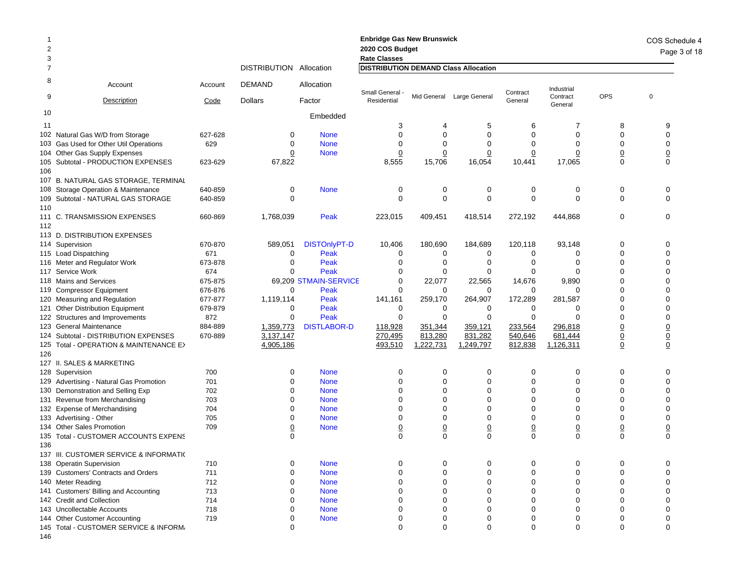| $\overline{2}$<br>3 |                                         |         |                         |                       | <b>Enbridge Gas New Brunswick</b><br>2020 COS Budget<br><b>Rate Classes</b> |                 |                           |                |                     |                 | COS Schedule 4<br>Page 3 of 18 |
|---------------------|-----------------------------------------|---------|-------------------------|-----------------------|-----------------------------------------------------------------------------|-----------------|---------------------------|----------------|---------------------|-----------------|--------------------------------|
| $\overline{7}$      |                                         |         | DISTRIBUTION Allocation |                       | <b>DISTRIBUTION DEMAND Class Allocation</b>                                 |                 |                           |                |                     |                 |                                |
| 8                   | Account                                 | Account | <b>DEMAND</b>           | Allocation            | Small General -                                                             |                 |                           | Contract       | Industrial          |                 |                                |
| 9                   | Description                             | Code    | <b>Dollars</b>          | Factor                | Residential                                                                 |                 | Mid General Large General | General        | Contract<br>General | <b>OPS</b>      | $\mathbf 0$                    |
| 10                  |                                         |         |                         | Embedded              |                                                                             |                 |                           |                |                     |                 |                                |
| 11                  |                                         |         |                         |                       | 3                                                                           | 4               | 5                         | 6              | 7                   | 8               | 9                              |
|                     | 102 Natural Gas W/D from Storage        | 627-628 | 0                       | <b>None</b>           | 0                                                                           | 0               | 0                         | 0              | 0                   | 0               | $\mathbf 0$                    |
|                     | 103 Gas Used for Other Util Operations  | 629     | 0                       | <b>None</b>           | 0                                                                           | 0               | 0                         | 0              | 0                   | 0               | $\mathbf 0$                    |
|                     | 104 Other Gas Supply Expenses           |         | 0                       | <b>None</b>           | $\overline{0}$                                                              | 0               | $\overline{0}$            | $\overline{0}$ | $\overline{0}$      | $\overline{0}$  | $\underline{0}$                |
|                     | 105 Subtotal - PRODUCTION EXPENSES      | 623-629 | 67,822                  |                       | 8,555                                                                       | 15,706          | 16,054                    | 10,441         | 17,065              | $\mathbf 0$     | $\Omega$                       |
| 106                 |                                         |         |                         |                       |                                                                             |                 |                           |                |                     |                 |                                |
|                     | 107 B. NATURAL GAS STORAGE, TERMINAL    |         |                         |                       |                                                                             |                 |                           |                |                     |                 |                                |
|                     | 108 Storage Operation & Maintenance     | 640-859 | 0                       | <b>None</b>           | 0                                                                           | 0               | 0                         | 0              | 0                   | 0               | 0                              |
|                     | 109 Subtotal - NATURAL GAS STORAGE      | 640-859 | 0                       |                       | $\mathbf 0$                                                                 | 0               | 0                         | 0              | $\mathbf 0$         | $\mathbf 0$     | $\Omega$                       |
| 110                 |                                         |         |                         |                       |                                                                             |                 |                           |                |                     |                 |                                |
|                     | 111 C. TRANSMISSION EXPENSES            | 660-869 | 1,768,039               | Peak                  | 223,015                                                                     | 409,451         | 418,514                   | 272,192        | 444,868             | 0               | 0                              |
| 112                 |                                         |         |                         |                       |                                                                             |                 |                           |                |                     |                 |                                |
|                     | 113 D. DISTRIBUTION EXPENSES            |         |                         |                       |                                                                             |                 |                           |                |                     |                 |                                |
|                     | 114 Supervision                         | 670-870 | 589,051                 | <b>DISTOnlyPT-D</b>   | 10,406                                                                      | 180,690         | 184,689                   | 120,118        | 93,148              | $\mathbf 0$     | 0                              |
|                     | 115 Load Dispatching                    | 671     | 0                       | Peak                  | 0                                                                           | 0               | 0                         | 0              | 0                   | $\Omega$        | $\Omega$                       |
|                     | 116 Meter and Regulator Work            | 673-878 | 0                       | Peak                  | 0                                                                           | 0               | 0                         | 0              | 0                   | 0               | $\Omega$                       |
|                     | 117 Service Work                        | 674     | $\mathbf 0$             | Peak                  | 0                                                                           | 0               | 0                         | $\Omega$       | 0                   | 0               | $\Omega$                       |
|                     | 118 Mains and Services                  | 675-875 |                         | 69.209 STMAIN-SERVICE | 0                                                                           | 22,077          | 22,565                    | 14,676         | 9,890               | 0               | $\Omega$                       |
|                     | 119 Compressor Equipment                | 676-876 | $\mathbf 0$             | Peak                  | $\mathbf 0$                                                                 | 0               | 0                         | 0              | 0                   | O               | $\Omega$                       |
|                     | 120 Measuring and Regulation            | 677-877 | 1,119,114               | Peak                  | 141,161                                                                     | 259,170         | 264,907                   | 172,289        | 281,587             | 0               | $\Omega$                       |
|                     | 121 Other Distribution Equipment        | 679-879 | 0                       | Peak                  | 0                                                                           | 0               | 0                         | 0              | 0                   | 0               | 0                              |
|                     | 122 Structures and Improvements         | 872     | 0                       | Peak                  | 0                                                                           | 0               | 0                         | 0              | $\mathbf 0$         | $\Omega$        | $\mathbf 0$                    |
|                     | 123 General Maintenance                 | 884-889 | 1,359,773               | <b>DISTLABOR-D</b>    | 118,928                                                                     | 351,344         | 359,121                   | 233,564        | 296,818             | <u>0</u>        | $\overline{0}$                 |
|                     | 124 Subtotal - DISTRIBUTION EXPENSES    | 670-889 | 3,137,147               |                       | 270,495                                                                     | 813,280         | 831,282                   | 540,646        | 681,444             | $\underline{0}$ | $\underline{0}$                |
|                     | 125 Total - OPERATION & MAINTENANCE E>  |         | 4,905,186               |                       | 493,510                                                                     | 1,222,731       | 1,249,797                 | 812,838        | 1,126,311           | $\underline{0}$ | $\mathbf 0$                    |
| 126                 |                                         |         |                         |                       |                                                                             |                 |                           |                |                     |                 |                                |
|                     | 127 II. SALES & MARKETING               |         |                         |                       |                                                                             |                 |                           |                |                     |                 |                                |
|                     | 128 Supervision                         | 700     | 0                       | <b>None</b>           | 0                                                                           | 0               | 0                         | 0              | 0                   | 0               | 0                              |
|                     | 129 Advertising - Natural Gas Promotion | 701     | 0                       | <b>None</b>           | 0                                                                           | 0               | 0                         | $\Omega$       | 0                   | $\Omega$        | $\mathbf 0$                    |
|                     | 130 Demonstration and Selling Exp       | 702     | 0                       | <b>None</b>           | 0                                                                           | 0               | 0                         | 0              | $\mathbf 0$         | $\Omega$        | $\Omega$                       |
|                     | 131 Revenue from Merchandising          | 703     | 0                       | <b>None</b>           | 0                                                                           | 0               | 0                         | 0              | 0                   | 0               | 0                              |
|                     | 132 Expense of Merchandising            | 704     | $\Omega$                | <b>None</b>           | 0                                                                           | 0               | 0                         | $\Omega$       | 0                   | 0               | $\mathbf 0$                    |
|                     | 133 Advertising - Other                 | 705     | 0                       | <b>None</b>           | 0                                                                           | 0               | 0                         | 0              | 0                   | 0               | $\mathbf 0$                    |
|                     | 134 Other Sales Promotion               | 709     | $\overline{0}$          | <b>None</b>           | $\underline{0}$                                                             | $\underline{0}$ | $\overline{\mathbf{0}}$   | $\overline{0}$ | $\underline{0}$     | $\overline{0}$  | $\underline{0}$                |
|                     | 135 Total - CUSTOMER ACCOUNTS EXPENS    |         | $\mathbf 0$             |                       | $\mathbf 0$                                                                 | $\mathbf 0$     | $\mathbf 0$               | $\mathbf 0$    | $\mathbf 0$         | $\mathbf 0$     | $\mathbf 0$                    |
| 136                 |                                         |         |                         |                       |                                                                             |                 |                           |                |                     |                 |                                |
|                     | 137 III. CUSTOMER SERVICE & INFORMATI(  |         |                         |                       |                                                                             |                 |                           |                |                     |                 |                                |
|                     | 138 Operatin Supervision                | 710     | 0                       | <b>None</b>           | 0                                                                           | 0               | 0                         | 0              | 0                   | 0               |                                |
|                     | 139 Customers' Contracts and Orders     | 711     | 0                       | <b>None</b>           | 0                                                                           | 0               | 0                         | 0              | 0                   | 0               | $\Omega$                       |
|                     | 140 Meter Reading                       | 712     | 0                       | <b>None</b>           | 0                                                                           | 0               | 0                         | 0              | 0                   | $\Omega$        | $\Omega$                       |
|                     | 141 Customers' Billing and Accounting   | 713     | 0                       | <b>None</b>           | 0                                                                           | 0               | 0                         | 0              | 0                   | 0               | $\Omega$                       |
|                     | 142 Credit and Collection               | 714     | $\Omega$                | <b>None</b>           | 0                                                                           | 0               | 0                         | 0              | 0                   | 0               | $\Omega$                       |
|                     | 143 Uncollectable Accounts              | 718     | 0                       | <b>None</b>           | 0                                                                           | 0               | 0                         | 0              | 0                   | 0               | $\Omega$                       |
|                     | 144 Other Customer Accounting           | 719     | 0                       | <b>None</b>           | 0                                                                           | 0               | 0                         | 0              | 0                   | 0               | 0                              |
|                     | 145 Total - CUSTOMER SERVICE & INFORM,  |         | $\mathbf 0$             |                       | $\mathbf 0$                                                                 | $\mathbf 0$     | 0                         | 0              | $\mathbf 0$         | $\mathbf 0$     | $\mathbf 0$                    |
| 146                 |                                         |         |                         |                       |                                                                             |                 |                           |                |                     |                 |                                |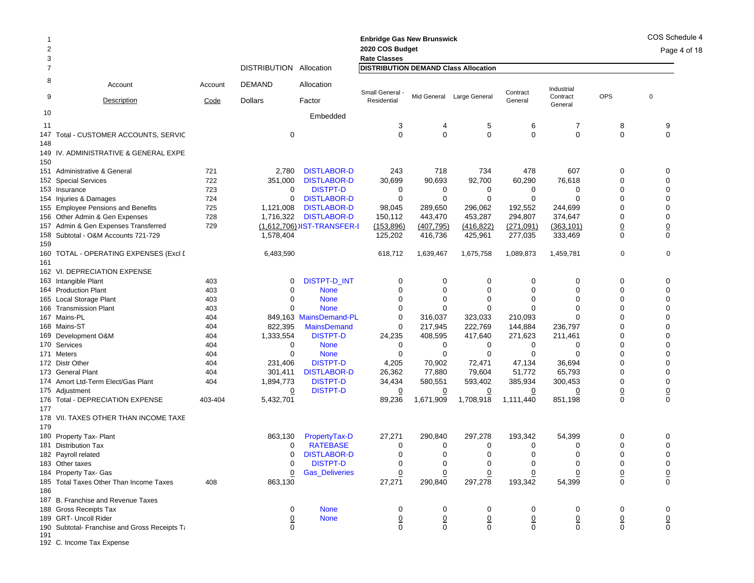| 1      |                                               |         |                         |                            | <b>Enbridge Gas New Brunswick</b>           |                |                |                |                     |                | COS Schedule 4 |
|--------|-----------------------------------------------|---------|-------------------------|----------------------------|---------------------------------------------|----------------|----------------|----------------|---------------------|----------------|----------------|
| 2<br>3 |                                               |         |                         |                            | 2020 COS Budget<br><b>Rate Classes</b>      |                |                |                |                     |                | Page 4 of 18   |
| 7      |                                               |         | DISTRIBUTION Allocation |                            | <b>DISTRIBUTION DEMAND Class Allocation</b> |                |                |                |                     |                |                |
| 8      | Account                                       | Account | <b>DEMAND</b>           | Allocation                 | Small General -                             |                |                | Contract       | Industrial          |                |                |
| 9      | <b>Description</b>                            | Code    | <b>Dollars</b>          | Factor                     | Residential                                 | Mid General    | Large General  | General        | Contract<br>General | <b>OPS</b>     | $\pmb{0}$      |
| 10     |                                               |         |                         | Embedded                   |                                             |                |                |                |                     |                |                |
| 11     |                                               |         |                         |                            | 3                                           | 4              | 5              | 6              | 7                   | 8              | 9              |
|        | 147 Total - CUSTOMER ACCOUNTS, SERVIC         |         | 0                       |                            | $\Omega$                                    | $\mathbf 0$    | $\mathbf 0$    | $\mathbf 0$    | $\mathbf 0$         | $\mathbf 0$    | 0              |
| 148    |                                               |         |                         |                            |                                             |                |                |                |                     |                |                |
| 150    | 149 IV. ADMINISTRATIVE & GENERAL EXPE         |         |                         |                            |                                             |                |                |                |                     |                |                |
|        | 151 Administrative & General                  | 721     | 2,780                   | <b>DISTLABOR-D</b>         | 243                                         | 718            | 734            | 478            | 607                 | 0              | 0              |
|        | 152 Special Services                          | 722     | 351,000                 | <b>DISTLABOR-D</b>         | 30,699                                      | 90,693         | 92,700         | 60,290         | 76,618              | $\mathbf 0$    | $\mathbf 0$    |
|        | 153 Insurance                                 | 723     | 0                       | <b>DISTPT-D</b>            | 0                                           | 0              | 0              | 0              | <sup>0</sup>        | $\Omega$       | 0              |
|        | 154 Injuries & Damages                        | 724     | 0                       | <b>DISTLABOR-D</b>         | $\mathbf 0$                                 | 0              | 0              | 0              | $\Omega$            | $\mathbf 0$    | 0              |
|        | 155 Employee Pensions and Benefits            | 725     | 1,121,008               | <b>DISTLABOR-D</b>         | 98,045                                      | 289,650        | 296,062        | 192,552        | 244,699             | $\Omega$       | 0              |
|        | 156 Other Admin & Gen Expenses                | 728     | 1,716,322               | <b>DISTLABOR-D</b>         | 150,112                                     | 443,470        | 453,287        | 294,807        | 374,647             | 0              | 0              |
|        | 157 Admin & Gen Expenses Transferred          | 729     |                         | (1,612,706) IST-TRANSFER-I | (153, 896)                                  | (407, 795)     | (416, 822)     | (271,091)      | (363, 101)          | $\overline{0}$ | $\pmb{0}$      |
| 159    | 158 Subtotal - O&M Accounts 721-729           |         | 1,578,404               |                            | 125,202                                     | 416,736        | 425,961        | 277,035        | 333,469             | $\mathbf 0$    | $\mathbf 0$    |
| 161    | 160   TOTAL - OPERATING EXPENSES (Excl [      |         | 6,483,590               |                            | 618,712                                     | 1,639,467      | 1,675,758      | 1,089,873      | 1,459,781           | $\mathbf 0$    | $\mathbf 0$    |
|        | 162 VI. DEPRECIATION EXPENSE                  |         |                         |                            |                                             |                |                |                |                     |                |                |
|        | 163 Intangible Plant                          | 403     | 0                       | <b>DISTPT-D_INT</b>        | 0                                           | 0              | 0              | 0              | 0                   | 0              | 0              |
|        | 164 Production Plant                          | 403     | 0                       | <b>None</b>                | 0                                           | $\mathbf 0$    | 0              | 0              | 0                   | 0              | 0              |
|        | 165 Local Storage Plant                       | 403     | 0                       | <b>None</b>                | 0                                           | $\Omega$       | 0              | $\Omega$       | $\Omega$            | $\Omega$       | 0              |
|        | 166 Transmission Plant                        | 403     | $\Omega$                | <b>None</b>                | 0                                           | 0              | 0              | O              | O                   | $\Omega$       | 0              |
|        | 167 Mains-PL                                  | 404     |                         | 849,163 MainsDemand-PL     | $\mathbf 0$                                 | 316,037        | 323,033        | 210,093        | $\Omega$            | O              | 0              |
|        | 168 Mains-ST                                  | 404     | 822,395                 | <b>MainsDemand</b>         | $\mathbf 0$                                 | 217,945        | 222,769        | 144,884        | 236,797             | $\Omega$       | 0              |
|        | 169 Development O&M                           | 404     | 1,333,554               | <b>DISTPT-D</b>            | 24,235                                      | 408,595        | 417,640        | 271,623        | 211,461             | 0              | 0              |
|        | 170 Services                                  | 404     | $\mathbf 0$             | <b>None</b>                | 0                                           | 0              | 0              | 0              | 0                   | $\Omega$       | 0              |
|        | 171 Meters                                    | 404     | 0                       | <b>None</b>                | 0                                           | 0              | 0              | 0              | $\Omega$            | $\Omega$       | 0              |
|        | 172 Distr Other                               | 404     | 231,406                 | <b>DISTPT-D</b>            | 4,205                                       | 70,902         | 72,471         | 47,134         | 36,694              | $\Omega$       | 0              |
|        | 173 General Plant                             | 404     | 301,411                 | <b>DISTLABOR-D</b>         | 26,362                                      | 77,880         | 79,604         | 51,772         | 65,793              | $\Omega$       | 0              |
|        | 174 Amort Ltd-Term Elect/Gas Plant            | 404     | 1,894,773               | <b>DISTPT-D</b>            | 34,434                                      | 580,551        | 593,402        | 385,934        | 300,453             | 0              | 0              |
|        | 175 Adjustment                                |         | $\Omega$                | <b>DISTPT-D</b>            | $\overline{0}$                              | $\overline{0}$ | $\overline{0}$ | $\overline{0}$ | $\overline{0}$      | $\overline{0}$ | $\pmb{0}$      |
| 177    | 176 Total - DEPRECIATION EXPENSE              | 403-404 | 5,432,701               |                            | 89,236                                      | 1,671,909      | 1,708,918      | 1,111,440      | 851,198             | $\mathbf 0$    | $\mathbf 0$    |
|        | 178 VII. TAXES OTHER THAN INCOME TAXE         |         |                         |                            |                                             |                |                |                |                     |                |                |
| 179    |                                               |         |                         |                            |                                             |                |                |                |                     |                |                |
|        | 180 Property Tax- Plant                       |         | 863,130                 | PropertyTax-D              | 27,271                                      | 290,840        | 297,278        | 193,342        | 54,399              | 0              | 0              |
|        | 181 Distribution Tax                          |         | 0                       | <b>RATEBASE</b>            | 0                                           | 0              | 0              | 0              | 0                   | 0              | 0              |
|        | 182 Payroll related                           |         | 0                       | <b>DISTLABOR-D</b>         | $\mathbf 0$                                 | $\mathbf 0$    | $\mathbf 0$    | $\Omega$       | $\Omega$            | $\mathbf 0$    | $\mathbf 0$    |
|        | 183 Other taxes                               |         | 0                       | <b>DISTPT-D</b>            | 0                                           | 0              | 0              | 0              | 0                   | 0              | 0              |
|        | 184 Property Tax- Gas                         |         | $\overline{0}$          | <b>Gas_Deliveries</b>      | $\overline{0}$                              | $\overline{0}$ | $\overline{0}$ | 0              |                     | $\overline{0}$ | 0              |
|        | 185 Total Taxes Other Than Income Taxes       | 408     | 863,130                 |                            | 27,271                                      | 290,840        | 297,278        | 193,342        | 54,399              | 0              | $\mathbf 0$    |
| 186    |                                               |         |                         |                            |                                             |                |                |                |                     |                |                |
|        | 187 B. Franchise and Revenue Taxes            |         |                         |                            |                                             |                |                |                |                     |                |                |
|        | 188 Gross Receipts Tax                        |         | 0                       | <b>None</b>                | 0                                           | 0              | 0              | 0              | 0                   | 0              | 0              |
|        | 189 GRT- Uncoll Rider                         |         | $\overline{0}$          | <b>None</b>                | $\overline{0}$                              | $\overline{0}$ | $\overline{0}$ | $\overline{0}$ | $\overline{0}$      | $\overline{0}$ | $\overline{0}$ |
| 191    | 190 Subtotal- Franchise and Gross Receipts Ta |         | 0                       |                            | $\mathbf 0$                                 | 0              | 0              | 0              | 0                   | 0              | 0              |

192 C. Income Tax Expense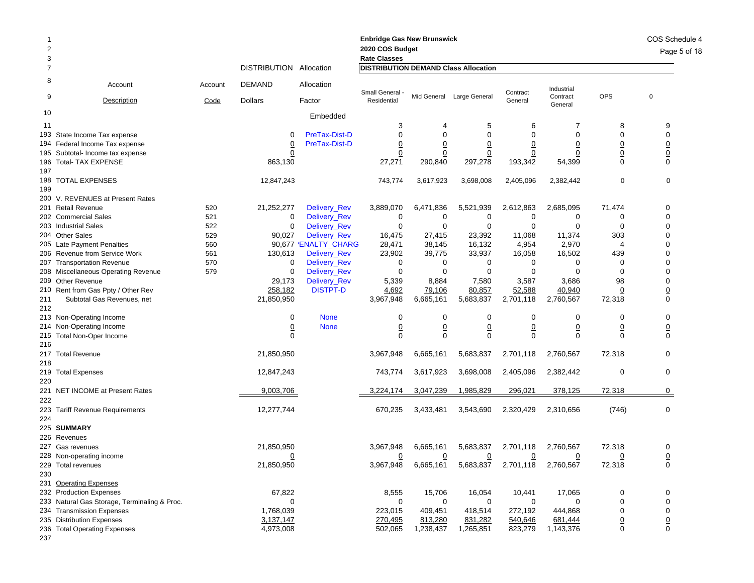| 2<br>3     |                                              |         |                         |                      | <b>Enbridge Gas New Brunswick</b><br>2020 COS Budget<br><b>Rate Classes</b> |                |                           |                |                     |                | COS Schedule 4<br>Page 5 of 18 |
|------------|----------------------------------------------|---------|-------------------------|----------------------|-----------------------------------------------------------------------------|----------------|---------------------------|----------------|---------------------|----------------|--------------------------------|
| 7          |                                              |         | DISTRIBUTION Allocation |                      | <b>DISTRIBUTION DEMAND Class Allocation</b>                                 |                |                           |                |                     |                |                                |
| 8          | Account                                      | Account | <b>DEMAND</b>           | Allocation           | Small General -                                                             |                |                           | Contract       | Industrial          |                |                                |
| 9          | <b>Description</b>                           | Code    | <b>Dollars</b>          | Factor               | Residential                                                                 |                | Mid General Large General | General        | Contract<br>General | <b>OPS</b>     | $\mathbf 0$                    |
| 10         |                                              |         |                         | Embedded             |                                                                             |                |                           |                |                     |                |                                |
| 11         |                                              |         |                         |                      | 3                                                                           |                | 5                         | 6              | 7                   | 8              | 9                              |
|            | 193 State Income Tax expense                 |         | 0                       | PreTax-Dist-D        | 0                                                                           | 0              | 0                         | 0              | 0                   | $\Omega$       | 0                              |
|            | 194 Federal Income Tax expense               |         | $\overline{0}$          | PreTax-Dist-D        | <u>0</u>                                                                    | $\overline{0}$ | <u>0</u>                  | $\overline{0}$ | <u>0</u>            | $\overline{0}$ | $\overline{0}$                 |
|            | 195 Subtotal- Income tax expense             |         | 0                       |                      | 0                                                                           | 0              | 0                         | 0              | 0                   | $\overline{0}$ | $\underline{0}$                |
| 197        | 196 Total- TAX EXPENSE                       |         | 863,130                 |                      | 27,271                                                                      | 290,840        | 297,278                   | 193,342        | 54,399              | 0              | 0                              |
|            | 198 TOTAL EXPENSES                           |         | 12,847,243              |                      | 743,774                                                                     | 3,617,923      | 3,698,008                 | 2,405,096      | 2,382,442           | 0              | 0                              |
| 199        | 200 V. REVENUES at Present Rates             |         |                         |                      |                                                                             |                |                           |                |                     |                |                                |
|            | 201 Retail Revenue                           | 520     | 21,252,277              | Delivery_Rev         | 3,889,070                                                                   | 6,471,836      | 5,521,939                 | 2,612,863      | 2,685,095           | 71,474         | 0                              |
|            | 202 Commercial Sales                         | 521     | 0                       | Delivery_Rev         | 0                                                                           | 0              | 0                         | 0              | 0                   | 0              | 0                              |
|            | 203 Industrial Sales                         | 522     | $\mathbf 0$             | Delivery_Rev         | 0                                                                           | 0              | 0                         | $\mathbf 0$    | $\mathbf 0$         | 0              | $\Omega$                       |
|            | 204 Other Sales                              | 529     | 90,027                  | Delivery_Rev         | 16,475                                                                      | 27,415         | 23,392                    | 11,068         | 11,374              | 303            | $\Omega$                       |
|            | 205 Late Payment Penalties                   | 560     |                         | 90,677 'ENALTY CHARG | 28,471                                                                      | 38,145         | 16,132                    | 4,954          | 2,970               | $\overline{4}$ | 0                              |
|            | 206 Revenue from Service Work                | 561     | 130,613                 | Delivery_Rev         | 23,902                                                                      | 39,775         | 33,937                    | 16,058         | 16,502              | 439            | 0                              |
|            | 207 Transportation Revenue                   | 570     | 0                       | Delivery_Rev         | 0                                                                           | 0              | 0                         | 0              | 0                   | 0              | 0                              |
|            | 208 Miscellaneous Operating Revenue          | 579     | $\mathbf 0$             | Delivery_Rev         | 0                                                                           | $\mathbf 0$    | 0                         | $\mathbf 0$    | 0                   | 0              | $\Omega$                       |
|            | 209 Other Revenue                            |         | 29,173                  | Delivery_Rev         | 5,339                                                                       | 8,884          | 7,580                     | 3,587          | 3,686               | 98             | $\Omega$                       |
|            | 210 Rent from Gas Ppty / Other Rev           |         | 258,182                 | <b>DISTPT-D</b>      | 4,692                                                                       | 79,106         | 80,857                    | 52,588         | 40,940              | $\mathbf 0$    | $\overline{0}$                 |
| 211<br>212 | Subtotal Gas Revenues, net                   |         | 21,850,950              |                      | 3,967,948                                                                   | 6,665,161      | 5,683,837                 | 2,701,118      | 2,760,567           | 72,318         | 0                              |
|            | 213 Non-Operating Income                     |         | 0                       | <b>None</b>          | 0                                                                           | 0              | 0                         | 0              | 0                   | 0              | 0                              |
|            | 214 Non-Operating Income                     |         | <u>0</u>                | <b>None</b>          | $\overline{0}$                                                              | $\overline{0}$ | $\overline{0}$            | $\overline{0}$ | $\overline{0}$      | $\overline{0}$ | $\overline{0}$                 |
| 216        | 215 Total Non-Oper Income                    |         | 0                       |                      | 0                                                                           | 0              | 0                         | $\mathbf 0$    | 0                   | $\Omega$       | 0                              |
| 218        | 217 Total Revenue                            |         | 21,850,950              |                      | 3,967,948                                                                   | 6,665,161      | 5,683,837                 | 2,701,118      | 2,760,567           | 72,318         | 0                              |
| 220        | 219 Total Expenses                           |         | 12,847,243              |                      | 743,774                                                                     | 3,617,923      | 3,698,008                 | 2,405,096      | 2,382,442           | 0              | 0                              |
| 222        | 221 NET INCOME at Present Rates              |         | 9,003,706               |                      | 3,224,174                                                                   | 3,047,239      | 1,985,829                 | 296,021        | 378,125             | 72,318         | 0                              |
| 224        | 223 Tariff Revenue Requirements              |         | 12,277,744              |                      | 670,235                                                                     | 3,433,481      | 3,543,690                 | 2,320,429      | 2,310,656           | (746)          | $\mathbf 0$                    |
|            | 225 SUMMARY                                  |         |                         |                      |                                                                             |                |                           |                |                     |                |                                |
|            | 226 Revenues                                 |         |                         |                      |                                                                             |                |                           |                |                     |                |                                |
|            | 227 Gas revenues                             |         | 21,850,950              |                      | 3,967,948                                                                   | 6,665,161      | 5,683,837                 | 2,701,118      | 2,760,567           | 72,318         | 0                              |
|            | 228 Non-operating income                     |         | 0                       |                      | 0                                                                           | 0              | 0                         | 0              | 0                   | 0              | 0                              |
|            | 229 Total revenues                           |         | 21,850,950              |                      | 3,967,948                                                                   | 6,665,161      | 5,683,837                 | 2,701,118      | 2,760,567           | 72,318         | 0                              |
| 230        |                                              |         |                         |                      |                                                                             |                |                           |                |                     |                |                                |
|            | 231 Operating Expenses                       |         |                         |                      |                                                                             |                |                           |                |                     |                |                                |
|            | 232 Production Expenses                      |         | 67,822                  |                      | 8,555                                                                       | 15,706         | 16,054                    | 10,441         | 17,065              | 0              | 0                              |
|            | 233 Natural Gas Storage, Terminaling & Proc. |         | 0                       |                      | 0                                                                           | 0              | 0                         | 0              | 0                   | 0              | 0                              |
|            | 234 Transmission Expenses                    |         | 1,768,039               |                      | 223,015                                                                     | 409,451        | 418,514                   | 272,192        | 444,868             | 0              | 0                              |
|            | 235 Distribution Expenses                    |         | 3,137,147               |                      | 270,495                                                                     | 813,280        | 831,282                   | 540,646        | 681,444             | $\overline{0}$ | $\underline{0}$                |
|            | 236 Total Operating Expenses                 |         | 4,973,008               |                      | 502,065                                                                     | 1,238,437      | 1,265,851                 | 823,279        | 1,143,376           | 0              | $\mathbf 0$                    |
| 237        |                                              |         |                         |                      |                                                                             |                |                           |                |                     |                |                                |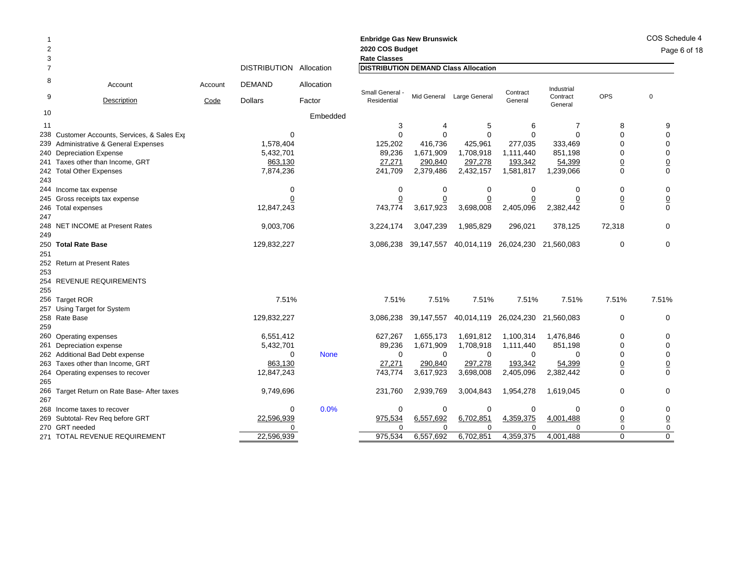| 2<br>3 |                                             |         |                         |             | <b>Enbridge Gas New Brunswick</b><br>2020 COS Budget<br><b>Rate Classes</b> |            |                           |                                  |                     |                 |                 |  |
|--------|---------------------------------------------|---------|-------------------------|-------------|-----------------------------------------------------------------------------|------------|---------------------------|----------------------------------|---------------------|-----------------|-----------------|--|
| 7      |                                             |         | DISTRIBUTION Allocation |             | <b>DISTRIBUTION DEMAND Class Allocation</b>                                 |            |                           |                                  |                     |                 |                 |  |
| 8      | Account                                     | Account | <b>DEMAND</b>           | Allocation  |                                                                             |            |                           |                                  | Industrial          |                 |                 |  |
| 9      | Description                                 | Code    | <b>Dollars</b>          | Factor      | Small General<br>Residential                                                |            | Mid General Large General | Contract<br>General              | Contract<br>General | <b>OPS</b>      | $\mathbf 0$     |  |
| 10     |                                             |         |                         | Embedded    |                                                                             |            |                           |                                  |                     |                 |                 |  |
| 11     |                                             |         |                         |             | 3                                                                           | 4          | 5                         | 6                                | $\overline{7}$      | 8               | 9               |  |
| 238    | Customer Accounts, Services, & Sales Exp    |         | $\mathbf 0$             |             | $\Omega$                                                                    | $\Omega$   | $\Omega$                  | $\Omega$                         | $\Omega$            | $\Omega$        | $\Omega$        |  |
|        | 239 Administrative & General Expenses       |         | 1,578,404               |             | 125,202                                                                     | 416,736    | 425,961                   | 277,035                          | 333,469             | $\Omega$        | $\Omega$        |  |
|        | 240 Depreciation Expense                    |         | 5,432,701               |             | 89,236                                                                      | 1,671,909  | 1,708,918                 | 1,111,440                        | 851,198             | 0               | $\mathbf 0$     |  |
|        | 241 Taxes other than Income, GRT            |         | 863,130                 |             | 27,271                                                                      | 290,840    | 297,278                   | 193,342                          | 54,399              | $\overline{0}$  | $\underline{0}$ |  |
| 243    | 242 Total Other Expenses                    |         | 7,874,236               |             | 241,709                                                                     | 2,379,486  | 2,432,157                 | 1,581,817                        | 1,239,066           | $\Omega$        | $\Omega$        |  |
|        | 244 Income tax expense                      |         | 0                       |             | $\mathbf 0$                                                                 | 0          | $\mathbf 0$               | $\mathbf 0$                      | 0                   | 0               | 0               |  |
|        | 245 Gross receipts tax expense              |         | 0                       |             | $\overline{0}$                                                              |            | $\overline{0}$            | $\overline{0}$                   | <u>0</u>            | <u>0</u>        | $\overline{0}$  |  |
|        | 246 Total expenses                          |         | 12,847,243              |             | 743,774                                                                     | 3,617,923  | 3,698,008                 | 2,405,096                        | 2,382,442           | $\mathbf 0$     | $\mathbf 0$     |  |
| 247    |                                             |         |                         |             |                                                                             |            |                           |                                  |                     |                 |                 |  |
| 249    | 248 NET INCOME at Present Rates             |         | 9,003,706               |             | 3,224,174                                                                   | 3,047,239  | 1,985,829                 | 296,021                          | 378,125             | 72,318          | 0               |  |
|        | 250 Total Rate Base                         |         | 129,832,227             |             | 3,086,238                                                                   | 39,147,557 |                           | 40,014,119 26,024,230 21,560,083 |                     | 0               | 0               |  |
| 251    |                                             |         |                         |             |                                                                             |            |                           |                                  |                     |                 |                 |  |
|        | 252 Return at Present Rates                 |         |                         |             |                                                                             |            |                           |                                  |                     |                 |                 |  |
| 253    |                                             |         |                         |             |                                                                             |            |                           |                                  |                     |                 |                 |  |
|        | 254 REVENUE REQUIREMENTS                    |         |                         |             |                                                                             |            |                           |                                  |                     |                 |                 |  |
| 255    |                                             |         |                         |             |                                                                             |            |                           |                                  |                     |                 |                 |  |
|        | 256 Target ROR                              |         | 7.51%                   |             | 7.51%                                                                       | 7.51%      | 7.51%                     | 7.51%                            | 7.51%               | 7.51%           | 7.51%           |  |
|        | 257 Using Target for System                 |         |                         |             |                                                                             |            |                           |                                  |                     |                 |                 |  |
|        | 258 Rate Base                               |         | 129,832,227             |             | 3,086,238                                                                   | 39,147,557 |                           | 40,014,119 26,024,230 21,560,083 |                     | 0               | $\mathbf 0$     |  |
| 259    |                                             |         |                         |             |                                                                             |            |                           |                                  |                     |                 |                 |  |
|        | 260 Operating expenses                      |         | 6,551,412               |             | 627,267                                                                     | 1,655,173  | 1,691,812                 | 1,100,314                        | 1,476,846           | 0               | $\Omega$        |  |
|        | 261 Depreciation expense                    |         | 5,432,701               |             | 89,236                                                                      | 1,671,909  | 1,708,918                 | 1,111,440                        | 851,198             | $\Omega$        | $\Omega$        |  |
|        | 262 Additional Bad Debt expense             |         | 0                       | <b>None</b> | 0                                                                           | 0          | 0                         | $\Omega$                         | $\Omega$            | 0               | $\mathbf 0$     |  |
|        | 263 Taxes other than Income, GRT            |         | 863,130                 |             | 27,271                                                                      | 290,840    | 297,278                   | 193,342                          | 54,399              | $\underline{0}$ | $\underline{0}$ |  |
|        | 264 Operating expenses to recover           |         | 12,847,243              |             | 743,774                                                                     | 3,617,923  | 3,698,008                 | 2,405,096                        | 2,382,442           | $\Omega$        | $\Omega$        |  |
| 265    |                                             |         |                         |             |                                                                             |            |                           |                                  |                     |                 |                 |  |
|        | 266 Target Return on Rate Base- After taxes |         | 9,749,696               |             | 231,760                                                                     | 2,939,769  | 3,004,843                 | 1,954,278                        | 1,619,045           | 0               | 0               |  |
| 267    |                                             |         |                         |             |                                                                             |            |                           |                                  |                     |                 |                 |  |
|        | 268 Income taxes to recover                 |         | $\Omega$                | 0.0%        | $\Omega$                                                                    | 0          | $\mathbf 0$               | $\mathbf 0$                      | $\mathbf 0$         | 0               | 0               |  |
|        | 269 Subtotal- Rev Reg before GRT            |         | 22,596,939              |             | 975,534                                                                     | 6,557,692  | 6,702,851                 | 4,359,375                        | 4,001,488           | $\underline{0}$ | $\underline{0}$ |  |
|        | 270 GRT needed                              |         | $\Omega$                |             | ∩                                                                           | $\Omega$   | $\Omega$                  | $\Omega$                         | U                   | $\mathbf 0$     | $\pmb{0}$       |  |
|        | 271 TOTAL REVENUE REQUIREMENT               |         | 22,596,939              |             | 975,534                                                                     | 6,557,692  | 6,702,851                 | 4,359,375                        | 4,001,488           | $\Omega$        | $\Omega$        |  |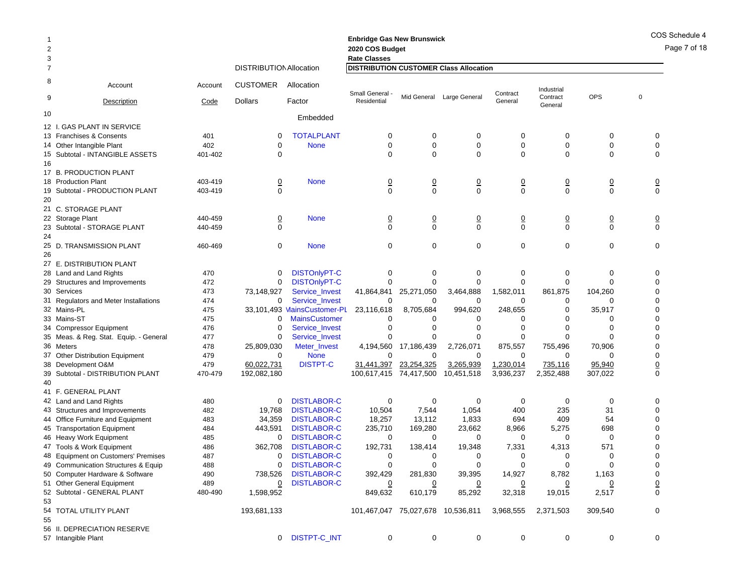| 2                   |                                        |         |                                |                             | 2020 COS Budget                                                      |                            |                           |                            |                        |                |                            |
|---------------------|----------------------------------------|---------|--------------------------------|-----------------------------|----------------------------------------------------------------------|----------------------------|---------------------------|----------------------------|------------------------|----------------|----------------------------|
| 3<br>$\overline{7}$ |                                        |         | <b>DISTRIBUTION Allocation</b> |                             | <b>Rate Classes</b><br><b>DISTRIBUTION CUSTOMER Class Allocation</b> |                            |                           |                            |                        |                |                            |
| 8                   |                                        |         |                                |                             |                                                                      |                            |                           |                            |                        |                |                            |
| 9                   | Account                                | Account | <b>CUSTOMER</b>                | Allocation                  | <b>Small General</b>                                                 |                            | Mid General Large General | Contract                   | Industrial<br>Contract | OPS            | $\mathbf 0$                |
|                     | Description                            | Code    | <b>Dollars</b>                 | Factor                      | Residential                                                          |                            |                           | General                    | General                |                |                            |
| 10                  |                                        |         |                                | Embedded                    |                                                                      |                            |                           |                            |                        |                |                            |
|                     | 12 I. GAS PLANT IN SERVICE             |         |                                |                             |                                                                      |                            |                           |                            |                        |                |                            |
|                     | 13 Franchises & Consents               | 401     | 0                              | <b>TOTALPLANT</b>           | $\mathbf 0$                                                          | $\mathbf 0$                | $\mathbf 0$               | $\mathbf 0$                | 0                      | $\mathbf 0$    | 0                          |
|                     | 14 Other Intangible Plant              | 402     | 0                              | <b>None</b>                 | $\mathbf 0$                                                          | $\mathbf 0$                | $\mathbf 0$               | $\mathbf 0$                | $\mathbf 0$            | $\mathbf 0$    | $\mathbf 0$                |
|                     | 15 Subtotal - INTANGIBLE ASSETS        | 401-402 | 0                              |                             | $\Omega$                                                             | $\Omega$                   | $\mathbf 0$               | $\mathbf 0$                | $\mathbf 0$            | $\mathbf 0$    | $\mathbf 0$                |
| 16                  |                                        |         |                                |                             |                                                                      |                            |                           |                            |                        |                |                            |
|                     | 17 B. PRODUCTION PLANT                 |         |                                |                             |                                                                      |                            |                           |                            |                        |                |                            |
|                     | 18 Production Plant                    | 403-419 | $\underline{0}$                | <b>None</b>                 | $\overline{0}$                                                       | $\frac{0}{0}$              | $\underline{0}$           | $\frac{0}{0}$              | $\frac{0}{0}$          | $\overline{0}$ | $\frac{0}{0}$              |
| 19                  | Subtotal - PRODUCTION PLANT            | 403-419 | $\overline{0}$                 |                             | $\Omega$                                                             |                            | $\mathbf 0$               |                            |                        | $\mathbf 0$    |                            |
| 20                  | 21 C. STORAGE PLANT                    |         |                                |                             |                                                                      |                            |                           |                            |                        |                |                            |
|                     | 22 Storage Plant                       | 440-459 | <u>0</u>                       | <b>None</b>                 |                                                                      |                            | $\overline{0}$            |                            |                        | $\overline{0}$ |                            |
|                     | 23 Subtotal - STORAGE PLANT            | 440-459 | $\mathbf{0}$                   |                             | $\overline{0}$<br>$\Omega$                                           | $\overline{0}$<br>$\Omega$ | $\Omega$                  | $\overline{0}$<br>$\Omega$ | <u>0</u><br>$\Omega$   | $\Omega$       | $\overline{0}$<br>$\Omega$ |
| 24                  |                                        |         |                                |                             |                                                                      |                            |                           |                            |                        |                |                            |
|                     | 25 D. TRANSMISSION PLANT               | 460-469 | $\mathbf 0$                    | <b>None</b>                 | $\Omega$                                                             | $\mathbf 0$                | $\mathbf 0$               | $\mathbf 0$                | $\mathbf 0$            | $\mathbf 0$    | $\mathbf 0$                |
| 26                  |                                        |         |                                |                             |                                                                      |                            |                           |                            |                        |                |                            |
|                     | 27 E. DISTRIBUTION PLANT               |         |                                |                             |                                                                      |                            |                           |                            |                        |                |                            |
|                     | 28 Land and Land Rights                | 470     | 0                              | <b>DISTOnlyPT-C</b>         | 0                                                                    | 0                          | 0                         | $\mathbf 0$                | 0                      | 0              | $\mathbf 0$                |
|                     | 29 Structures and Improvements         | 472     | $\overline{0}$                 | <b>DISTOnlyPT-C</b>         | $\Omega$                                                             | $\Omega$                   | $\Omega$                  | $\Omega$                   | 0                      | $\Omega$       | $\Omega$                   |
|                     | 30 Services                            | 473     | 73,148,927                     | <b>Service Invest</b>       | 41,864,841                                                           | 25,271,050                 | 3,464,888                 | 1,582,011                  | 861,875                | 104,260        | $\mathbf 0$                |
|                     | 31 Regulators and Meter Installations  | 474     | 0                              | Service_Invest              | 0                                                                    | 0                          | 0                         | 0                          | 0                      | O              | $\mathbf 0$                |
|                     | 32 Mains-PL                            | 475     |                                | 33,101,493 MainsCustomer-PL | 23,116,618                                                           | 8,705,684                  | 994,620                   | 248,655                    | $\mathbf 0$            | 35,917         | $\mathbf 0$                |
|                     | 33 Mains-ST                            | 475     | 0                              | <b>MainsCustomer</b>        | $\Omega$                                                             | 0                          | 0                         | 0                          | 0                      | 0              | $\mathbf 0$                |
|                     | 34 Compressor Equipment                | 476     | $\mathbf 0$                    | <b>Service Invest</b>       | $\Omega$                                                             | $\mathbf 0$                | $\mathbf 0$               | $\mathbf 0$                | 0                      | $\mathbf 0$    | $\mathbf 0$                |
|                     | 35 Meas. & Reg. Stat. Equip. - General | 477     | $\mathbf 0$                    | <b>Service Invest</b>       | 0                                                                    | $\Omega$                   | $\Omega$                  | $\mathbf 0$                | $\overline{0}$         | $\Omega$       | $\mathbf 0$                |
|                     | 36 Meters                              | 478     | 25,809,030                     | Meter_Invest                | 4,194,560                                                            | 17,186,439                 | 2,726,071                 | 875,557                    | 755,496                | 70,906         | $\mathbf 0$                |
|                     | 37 Other Distribution Equipment        | 479     | $\Omega$                       | <b>None</b>                 | $\Omega$                                                             | $\Omega$                   | $\Omega$                  | $\Omega$                   | 0                      | $\Omega$       | $\mathbf 0$                |
|                     | 38 Development O&M                     | 479     | 60,022,731                     | <b>DISTPT-C</b>             | 31,441,397                                                           | 23,254,325                 | 3,265,939                 | 1,230,014                  | 735,116                | 95,940         | $\underline{0}$            |
|                     | 39 Subtotal - DISTRIBUTION PLANT       | 470-479 | 192,082,180                    |                             | 100,617,415                                                          | 74,417,500                 | 10,451,518                | 3,936,237                  | 2,352,488              | 307,022        | $\Omega$                   |
| 40                  |                                        |         |                                |                             |                                                                      |                            |                           |                            |                        |                |                            |
|                     | 41 F. GENERAL PLANT                    |         |                                |                             |                                                                      |                            |                           |                            |                        |                |                            |
|                     | 42 Land and Land Rights                | 480     | 0                              | <b>DISTLABOR-C</b>          | 0                                                                    | $\mathbf 0$                | 0                         | 0                          | 0                      | $\mathbf 0$    | $\mathbf 0$                |
|                     | 43 Structures and Improvements         | 482     | 19,768                         | <b>DISTLABOR-C</b>          | 10,504                                                               | 7,544                      | 1,054                     | 400                        | 235                    | 31             | $\mathbf 0$                |
|                     | 44 Office Furniture and Equipment      | 483     | 34,359                         | <b>DISTLABOR-C</b>          | 18,257                                                               | 13,112                     | 1,833                     | 694                        | 409                    | 54             | $\mathbf 0$                |
|                     | 45 Transportation Equipment            | 484     | 443,591                        | <b>DISTLABOR-C</b>          | 235,710                                                              | 169,280                    | 23,662                    | 8.966                      | 5,275                  | 698            | $\mathbf 0$                |
|                     | 46 Heavy Work Equipment                | 485     | 0                              | <b>DISTLABOR-C</b>          | $\mathbf 0$                                                          | 0                          | 0                         | 0                          | 0                      | $\mathbf 0$    | 0                          |
|                     | 47 Tools & Work Equipment              | 486     | 362,708                        | <b>DISTLABOR-C</b>          | 192,731                                                              | 138,414                    | 19,348                    | 7,331                      | 4,313                  | 571            | $\mathbf 0$                |
|                     | 48 Equipment on Customers' Premises    | 487     | $\mathbf 0$                    | <b>DISTLABOR-C</b>          | $\mathbf 0$                                                          | $\mathbf 0$                | 0                         | 0                          | 0                      | $\mathbf 0$    | $\mathbf 0$                |
|                     | 49 Communication Structures & Equip    | 488     | 0                              | <b>DISTLABOR-C</b>          | $\Omega$                                                             | $\Omega$                   | $\Omega$                  | $\Omega$                   | $\Omega$               | $\Omega$       | $\mathbf 0$                |
|                     | 50 Computer Hardware & Software        | 490     | 738.526                        | <b>DISTLABOR-C</b>          | 392,429                                                              | 281,830                    | 39,395                    | 14,927                     | 8,782                  | 1,163          | $\mathbf 0$                |
|                     | 51 Other General Equipment             | 489     | 0                              | <b>DISTLABOR-C</b>          | 0                                                                    | 0                          | 0                         | 0                          | 0                      | 0              | $\overline{0}$             |
|                     | 52 Subtotal - GENERAL PLANT            | 480-490 | 1,598,952                      |                             | 849,632                                                              | 610,179                    | 85,292                    | 32,318                     | 19,015                 | 2,517          | $\mathbf 0$                |
| 53                  |                                        |         |                                |                             |                                                                      |                            |                           |                            |                        |                | $\Omega$                   |
| 55                  | 54 TOTAL UTILITY PLANT                 |         | 193,681,133                    |                             | 101,467,047 75,027,678 10,536,811                                    |                            |                           | 3,968,555                  | 2,371,503              | 309,540        |                            |
|                     | 56 II. DEPRECIATION RESERVE            |         |                                |                             |                                                                      |                            |                           |                            |                        |                |                            |
|                     | 57 Intangible Plant                    |         | 0                              | <b>DISTPT-C INT</b>         | $\mathbf 0$                                                          | $\mathbf 0$                | $\Omega$                  | $\mathbf 0$                | 0                      | $\Omega$       | $\Omega$                   |
|                     |                                        |         |                                |                             |                                                                      |                            |                           |                            |                        |                |                            |

**Enbridge Gas New Brunswick**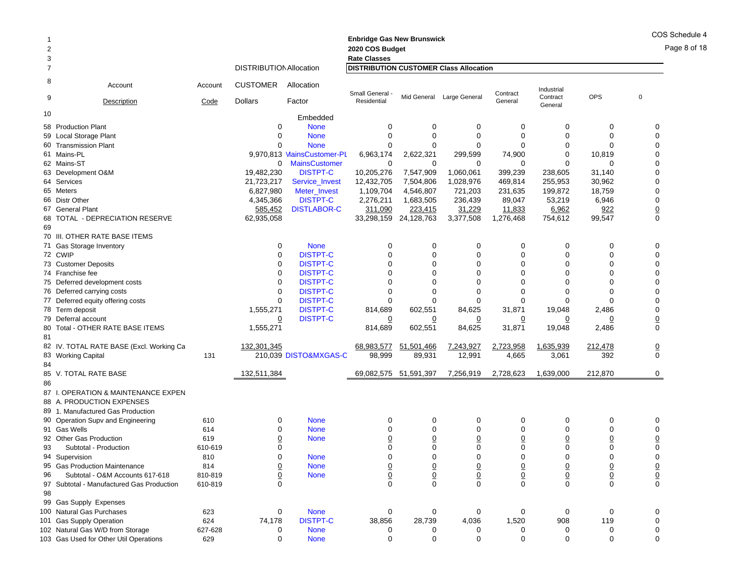Page 8 of 18

| 2  |                                          |         |                                |                            | <b>Enbridge Gas New Brunswick</b><br>2020 COS Budget                 |                  |                           |                            |                        |                          |                 |
|----|------------------------------------------|---------|--------------------------------|----------------------------|----------------------------------------------------------------------|------------------|---------------------------|----------------------------|------------------------|--------------------------|-----------------|
| 3  |                                          |         | <b>DISTRIBUTION Allocation</b> |                            | <b>Rate Classes</b><br><b>DISTRIBUTION CUSTOMER Class Allocation</b> |                  |                           |                            |                        |                          |                 |
| 8  |                                          |         |                                |                            |                                                                      |                  |                           |                            |                        |                          |                 |
| 9  | Account                                  | Account | <b>CUSTOMER</b>                | Allocation                 | Small General                                                        |                  | Mid General Large General | Contract                   | Industrial<br>Contract | OPS                      | $\mathbf 0$     |
|    | Description                              | Code    | <b>Dollars</b>                 | Factor                     | Residential                                                          |                  |                           | General                    | General                |                          |                 |
| 10 |                                          |         |                                | Embedded                   |                                                                      |                  |                           |                            |                        |                          |                 |
|    | 58 Production Plant                      |         | 0                              | <b>None</b>                | 0                                                                    | 0                | 0                         | 0                          | 0                      | 0                        | 0               |
|    | 59 Local Storage Plant                   |         | 0                              | <b>None</b>                | $\Omega$                                                             | $\mathbf 0$      | $\mathbf 0$               | $\Omega$                   | $\mathbf 0$            | $\mathbf 0$              | $\mathbf 0$     |
|    | 60 Transmission Plant                    |         | 0                              | <b>None</b>                | $\Omega$                                                             | $\mathbf 0$      | $\mathbf 0$               | $\Omega$                   | $\mathbf 0$            | $\mathbf 0$              | 0               |
|    | 61 Mains-PL                              |         |                                | 9.970.813 MainsCustomer-PL | 6,963,174                                                            | 2,622,321        | 299,599                   | 74,900                     | 0                      | 10,819                   | $\mathbf 0$     |
|    | 62 Mains-ST                              |         | $\mathbf{0}$                   | <b>MainsCustomer</b>       | 0                                                                    | 0                | 0                         | 0                          | $\mathbf 0$            | $\mathbf 0$              | $\pmb{0}$       |
|    | 63 Development O&M                       |         | 19,482,230                     | <b>DISTPT-C</b>            | 10,205,276                                                           | 7,547,909        | 1,060,061                 | 399.239                    | 238,605                | 31,140                   | $\pmb{0}$       |
|    | 64 Services                              |         | 21,723,217                     | Service_Invest             | 12,432,705                                                           | 7,504,806        | 1,028,976                 | 469,814                    | 255,953                | 30,962                   | 0               |
|    | 65 Meters                                |         | 6,827,980                      | Meter_Invest               | 1,109,704                                                            | 4,546,807        | 721,203                   | 231,635                    | 199,872                | 18,759                   | 0               |
|    | 66 Distr Other                           |         | 4,345,366                      | <b>DISTPT-C</b>            | 2,276,211                                                            | 1,683,505        | 236,439                   | 89,047                     | 53,219                 | 6,946                    | $\pmb{0}$       |
|    | 67 General Plant                         |         | 585,452                        | <b>DISTLABOR-C</b>         | 311,090                                                              | 223,415          | 31,229                    | 11,833                     | 6,962                  | 922                      | $\underline{0}$ |
|    | 68 TOTAL - DEPRECIATION RESERVE          |         | 62,935,058                     |                            | 33,298,159                                                           | 24,128,763       | 3,377,508                 | 1,276,468                  | 754,612                | 99,547                   | $\pmb{0}$       |
| 69 |                                          |         |                                |                            |                                                                      |                  |                           |                            |                        |                          |                 |
|    | 70 III. OTHER RATE BASE ITEMS            |         |                                |                            |                                                                      |                  |                           |                            |                        |                          |                 |
|    | 71 Gas Storage Inventory                 |         | 0                              | <b>None</b>                | 0                                                                    | 0                | 0                         | $\mathbf 0$                | 0                      | 0                        | $\mathbf 0$     |
|    | 72 CWIP                                  |         | $\mathbf 0$                    | <b>DISTPT-C</b>            | $\Omega$                                                             | $\mathbf 0$      | $\mathbf 0$               | $\mathbf 0$                | $\mathbf 0$            | 0                        | 0               |
|    | 73 Customer Deposits                     |         | 0                              | <b>DISTPT-C</b>            | $\Omega$                                                             | $\mathbf 0$      | 0                         | $\Omega$                   | $\mathbf 0$            | $\mathbf 0$              | 0               |
|    | 74 Franchise fee                         |         | 0                              | <b>DISTPT-C</b>            | $\Omega$                                                             | $\Omega$         | 0                         | $\Omega$                   | $\Omega$               | $\Omega$                 | $\mathbf 0$     |
|    | 75 Deferred development costs            |         | 0                              | <b>DISTPT-C</b>            | $\Omega$                                                             | $\mathbf 0$      | 0                         | $\mathbf 0$                | $\mathbf 0$            | $\mathbf 0$              | 0               |
|    | 76 Deferred carrying costs               |         | 0                              | <b>DISTPT-C</b>            | $\Omega$                                                             | $\Omega$         | 0                         | $\Omega$                   | 0                      | $\Omega$                 | $\mathbf 0$     |
|    | 77 Deferred equity offering costs        |         | $\mathbf 0$                    | <b>DISTPT-C</b>            | $\Omega$                                                             | $\Omega$         | $\Omega$                  | $\Omega$                   | $\mathbf 0$            | $\Omega$                 | $\pmb{0}$       |
|    | 78 Term deposit                          |         | 1,555,271                      | <b>DISTPT-C</b>            | 814,689                                                              | 602,551          | 84,625                    | 31,871                     | 19,048                 | 2,486                    | $\pmb{0}$       |
|    | 79 Deferral account                      |         | 0                              | <b>DISTPT-C</b>            | 0                                                                    | 0                | 0                         |                            | 0                      | 0                        |                 |
|    | 80 Total - OTHER RATE BASE ITEMS         |         | 1,555,271                      |                            | 814,689                                                              | 602,551          | 84,625                    | 31,871                     | 19,048                 | 2,486                    | $\frac{0}{0}$   |
| 81 |                                          |         |                                |                            |                                                                      |                  |                           |                            |                        |                          |                 |
|    | 82 IV. TOTAL RATE BASE (Excl. Working Ca |         | 132,301,345                    |                            | 68,983,577                                                           | 51,501,466       | 7,243,927                 | 2,723,958                  | 1,635,939              | 212,478                  | $\underline{0}$ |
|    | 83 Working Capital                       | 131     |                                | 210,039 DISTO&MXGAS-C      | 98,999                                                               | 89,931           | 12,991                    | 4,665                      | 3,061                  | 392                      | $\mathbf 0$     |
| 84 |                                          |         |                                |                            |                                                                      |                  |                           |                            |                        |                          |                 |
|    | 85 V. TOTAL RATE BASE                    |         | 132,511,384                    |                            | 69,082,575 51,591,397                                                |                  | 7,256,919                 | 2,728,623                  | 1,639,000              | 212,870                  | $\mathbf 0$     |
| 86 |                                          |         |                                |                            |                                                                      |                  |                           |                            |                        |                          |                 |
|    | 87 I. OPERATION & MAINTENANCE EXPEN      |         |                                |                            |                                                                      |                  |                           |                            |                        |                          |                 |
|    | 88 A. PRODUCTION EXPENSES                |         |                                |                            |                                                                      |                  |                           |                            |                        |                          |                 |
|    | 89 1. Manufactured Gas Production        |         |                                |                            |                                                                      |                  |                           |                            |                        |                          |                 |
|    |                                          |         |                                |                            |                                                                      |                  |                           |                            |                        |                          |                 |
|    | 90 Operation Supv and Engineering        | 610     | 0<br>0                         | <b>None</b>                | 0<br>$\Omega$                                                        | 0<br>$\mathbf 0$ | $\mathbf 0$               | $\mathbf 0$<br>$\mathbf 0$ | 0                      | 0<br>$\mathbf 0$         | 0               |
|    | 91 Gas Wells                             | 614     |                                | <b>None</b>                |                                                                      |                  | 0                         |                            | 0                      |                          | 0               |
|    | 92 Other Gas Production                  | 619     | $\overline{0}$                 | <b>None</b>                | $\overline{0}$                                                       | $\overline{0}$   | <u>0</u>                  | $\overline{0}$             | $\overline{0}$         | $\overline{0}$           | $\underline{0}$ |
| 93 | Subtotal - Production                    | 610-619 | 0                              |                            | $\Omega$                                                             | $\mathbf 0$      | 0                         | $\mathbf 0$                | $\mathbf 0$            | 0                        | 0               |
|    | 94 Supervision                           | 810     | 0                              | <b>None</b>                | $\Omega$                                                             | $\mathbf 0$      | 0                         | $\mathbf 0$                | 0                      | 0                        | $\mathbf 0$     |
| 95 | <b>Gas Production Maintenance</b>        | 814     | $\overline{0}$                 | <b>None</b>                | $\overline{0}$                                                       | $\overline{0}$   | $\frac{0}{0}$             | $\frac{0}{0}$              | $\overline{0}$         | $\overline{0}$           |                 |
| 96 | Subtotal - O&M Accounts 617-618          | 810-819 | $\underline{0}$                | <b>None</b>                | $\underline{0}$                                                      | $\underline{0}$  |                           |                            | $\mathbf 0$            | $\frac{\overline{0}}{0}$ | $\frac{0}{0}$   |
| 97 | Subtotal - Manufactured Gas Production   | 610-819 | $\Omega$                       |                            | $\Omega$                                                             | $\Omega$         | $\Omega$                  | $\Omega$                   | $\Omega$               |                          |                 |
| 98 |                                          |         |                                |                            |                                                                      |                  |                           |                            |                        |                          |                 |
|    | 99 Gas Supply Expenses                   |         |                                |                            |                                                                      |                  |                           |                            |                        |                          |                 |
|    | 100 Natural Gas Purchases                | 623     | 0                              | <b>None</b>                | 0                                                                    | 0                | 0                         | 0                          | 0                      | 0                        | 0               |
|    | 101 Gas Supply Operation                 | 624     | 74,178                         | <b>DISTPT-C</b>            | 38,856                                                               | 28,739           | 4,036                     | 1,520                      | 908                    | 119                      | $\pmb{0}$       |
|    | 102 Natural Gas W/D from Storage         | 627-628 | 0                              | <b>None</b>                | 0                                                                    | 0                | 0                         | 0                          | 0                      | 0                        | 0               |
|    | 103 Gas Used for Other Util Operations   | 629     | 0                              | <b>None</b>                | 0                                                                    | $\mathbf 0$      | 0                         | 0                          | $\mathbf 0$            | $\mathbf 0$              | 0               |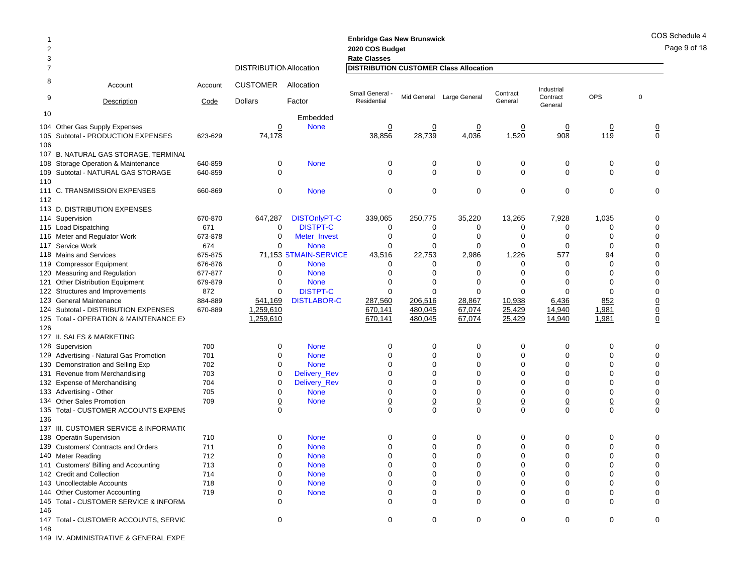**Enbridge Gas New Brunswick**  2 **2020 COS Budget 2020 COS Bud** 3 **Rate Classes Rate Classes** 7 DISTRIBUTIONAllocation **DISTRIBUTION CUSTOMER Class Allocation** 8 Account Account CUSTOMER Allocation9Description Code Dollars Factor 10 Embedded Small General - Residential Mid General Large General Contract General Industrial Contract Generalt OPS 0<br>I 104 Other Gas Supply Expenses 0 None 0 0 0 0 0 0 0 105 Subtotal - PRODUCTION EXPENSES 623-629 74,178 38,856 28,739 4,036 1,520 908 119 0 106107 B. NATURAL GAS STORAGE, TERMINAL 108 Storage Operation & Maintenance 640-859 0 None 000000 0 109Subtotal - NATURAL GAS STORAGE 640-859 0 000000 0 110 111 C. TRANSMISSION EXPENSES 660-869 0 None 000000 0 112113 D. DISTRIBUTION EXPENSES114 Supervision 4 Supervision 670-870 647,287 DISTOnlyPT-C 339,065 250,775 35,220 13,265 7,928 1,035 0 115 Load Dispatching 5 Load Dispatching 671 0 DISTPT-C 0 0 0 0 0 0 116 Meter and Regulator Work 673-878 0 Meter\_Invest 0 0 0 0 0 0 117 Service Work 674 0 None 000000 0 118 Mains and Services 675-875 71,153 STMAIN-SERVICE 43,516 22,753 2,986 1,226 577 94 0 119 Compressor Equipment 676-876 0 None 0 0 0 0 0 120 Measuring and Regulation 677-877 0 None 000000 0 121 Other Distribution Equipment 679-879 0 None 0 0 0 0 0 0 122 Structures and Improvements 872 0 DISTPT-C 000000 0 123 General Maintenance 884-889 541,169 DISTLABOR-C 287,560 206,516 28,867 10,938 6,436 852 0 124 Subtotal - DISTRIBUTION EXPENSES 670-889 1,259,610 670,141 480,045 67,074 25,429 14,940 1,981 0 125 Total - OPERATION & MAINTENANCE EX 1,259,610 670,141 480,045 67,074 25,429 14,940 1,981 0 126127 II. SALES & MARKETING128 Supervision 8 Supervision 700 0 None 0 0 0 0 0 0 129 Advertising - Natural Gas Promotion 701 0 None 0 0 0 0 0 0 130 Demonstration and Selling Exp 702 0 None 000000 0 131 Revenue from Merchandising 703 0 Delivery\_Rev 0 0 0 0 0 0 132 Expense of Merchandising 704 0 Delivery\_Rev 0 0 0 0 0 0 133 Advertising - Other Advertising - Other 705 0 None 000000 0 134 Other Sales Promotion 709 00 None 0 0 0 0 0 0 0 135 Total - CUSTOMER ACCOUNTS EXPENS 0 000000 0 136137 III. CUSTOMER SERVICE & INFORMATI( 138 Operatin Supervision 710 0 None 0 0 0 0 0 0 139 Customers' Contracts and Orders 711 0 None 000000 0 140 Meter Reading 0 Meter Reading 712 0 None 0 0 0 0 0 141 Customers' Billing and Accounting 713 0 None 000000 0 142 Credit and Collection 714 0 None 000000 0 143 Uncollectable Accounts 718 0 None 000000 0 144 Other Customer Accounting 719 0 None 000000 0 145 Total - CUSTOMER SERVICE & INFORMA 0 000000 0 146147 Total - CUSTOMER ACCOUNTS, SERVIC 0 000000 0 148

149 IV. ADMINISTRATIVE & GENERAL EXPE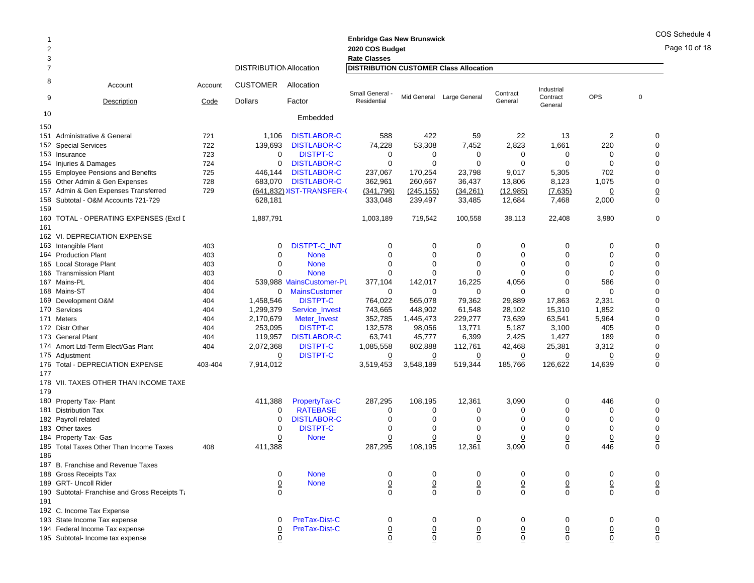#### Page 10 of 18 **Enbridge Gas New Brunswick**  2 **2020 COS Budget 2020 COS Bud** 3 **Rate Classes Rate Classes** 7 DISTRIBUTIONAllocation **DISTRIBUTION CUSTOMER Class Allocation** 8 Account Account CUSTOMER Allocation9Description Code Dollars Factor 10 Embedded Small General - Residential Mid General Large General Contract General Industrial Contract Generalt OPS 0<br>I 150151 Administrative & General 721 1,106 DISTLABOR-C 588 422 59 22 13 2 0 **152 Special Services** 2 Special Services 722 139,693 DISTLABOR-C 74,228 53,308 7,452 2,823 1,661 220 0 153 Insurance 723 00 DISTPT-C  $\begin{array}{ccccccccccccccccccccc} C & & & 0 & & 0 & & 0 & & 0 & & 0 & & 0 \end{array}$ 154 Injuries&Damages 724 0 DISTLABOR-C 0 0 0 0 0 155 Employee Pensions and Benefits 725 446,144 DISTLABOR-C 237,067 170,254 23,798 9,017 5,305 702 0 156 Other Admin & Gen Expenses 728 683,070 DISTLABOR-C 362,961 260,667 36,437 13,806 8,123 1,075 0 157 Admin & Gen Expenses Transferred 729 <u>(641,832)</u> )IST-TRANSFER-( <u>(341,796) (245,155)</u> <u>(34,261)</u> <u>(7,635)</u> <u>0</u> <u>0</u> 158 Subtotal - O&M Accounts 721-7299 628,181 333,048 239,497 33,485 12,684 7,468 2,000 0 159160 TOTAL - OPERATING EXPENSES (Excl I 1,887,791 1,003,189 719,542 100,558 38,113 22,408 3,980 0 161162 VI. DEPRECIATION EXPENSE163 Intangible Plant Intangible Plant 403 0 DISTPT-C\_INT 000000 0 164 Production Plant 403 0 None 000000 0 165 Local Storage Plant 5 Local Storage Plant 403 0 None 0 0 0 0 0 0 166 Transmission Plant 166 Transmission Plant 0 None 000000 0 167 Mains-PL 404 539,988 MainsCustomer-PL 377,104 142,017 16,225 4,056 0 586 0 168 Mains-ST 404 0 MainsCustomer 000000 0 169 Development O&M 9 Development O&M 404 1,458,546 DISTPT-C 764,022 565,078 79,362 29,889 17,863 2,331 0 170 Services 404 1,299,379 Service\_Invest 743,665 448,902 61,548 28,102 15,310 1,852 0 171 Meters 404 2,170,679 Meter\_Invest 352,785 1,445,473 229,277 73,639 63,541 5,964 0 172 Distr Other 404 253,095 DISTPT-C 132,578 98,056 13,771 5,187 3,100 405 0 173 General Plant 404 119,957 DISTLABOR-C 63,741 45,777 6,399 2,425 1,427 189 0 174 Amort Ltd-Term Elect/Gas Plant 174 Amort Ltd-Term 2,072,368 DISTPT-C 1,085,558 802,888 112,761 42,468 25,381 3,312 0 175 Adiustment 5 Adjustment <u>0</u> DISTPT-C <u>0</u> <u>0</u> <u>0</u> <u>0</u> 0 0 176 Total - DEPRECIATION EXPENSE 403-404 7,914,012 3,519,453 3,548,189 519,344 185,766 126,622 14,639 0 177178 VII. TAXES OTHER THAN INCOME TAXE179180 Property Tax- Plant 0 Property Tax- Plant 411,388 PropertyTax-C 287,295 108,195 12,361 3,090 0 446 0 181 Distribution Tax $\mathsf{x}$  0 0 RATEBASE E 0 0 0 0 0 0 0 182 Payroll related 2 Payroll related 0 DISTLABOR-C 0 0 0 0 0 0 183 Other taxes $\sim$  0  $\sim$ 0 DISTPT-C  $\begin{array}{ccccccccccccccccccccc} C & & & 0 & & 0 & & 0 & & 0 & & 0 & & 0 \end{array}$ 184 Property Tax- Gas 4 Property Tax- Gas <u>0</u> None <u>0</u> <u>0</u> <u>0</u> <u>0</u> <u>0</u> <u>0</u> 185 Total Taxes Other Than Income Taxes  $\hspace{1.6cm}$  408 411,388 287,295 108,195 12,361 3,090 0 446 0 186187 B. Franchise and Revenue Taxes 188 Gross Receipts Tax 0 None 000000 0 189 GRT- Uncoll Riderr 0 None 0 0 0 0 0 0 0 190 Subtotal- Franchise and Gross Receipts Ta 0 000000 0 191192 C. Income Tax Expense 193 State Income Tax expense 0 PreTax-Dist-C 000000 0 194 Federal Income Tax expense 0 PreTax-Dist-C 0 0 0 0 0 0 0

195 Subtotal- Income tax expense 0 0 0 0 0 0 0 0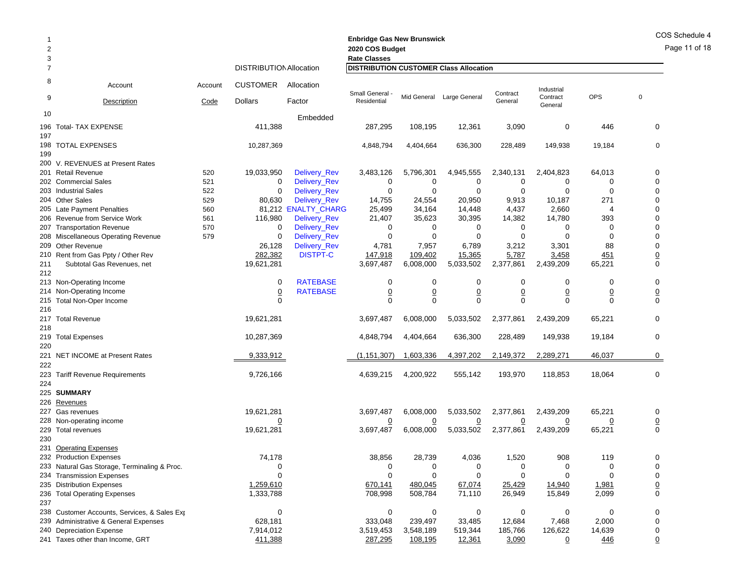| $\overline{2}$<br>3 |                                              |             |                                |                      | <b>Enbridge Gas New Brunswick</b><br>2020 COS Budget<br><b>Rate Classes</b> |                |                           |                 |                     |                 | UL              |
|---------------------|----------------------------------------------|-------------|--------------------------------|----------------------|-----------------------------------------------------------------------------|----------------|---------------------------|-----------------|---------------------|-----------------|-----------------|
| $\overline{7}$      |                                              |             | <b>DISTRIBUTION Allocation</b> |                      | <b>DISTRIBUTION CUSTOMER Class Allocation</b>                               |                |                           |                 |                     |                 |                 |
| 8                   | Account                                      | Account     | <b>CUSTOMER</b>                | Allocation           | Small General -                                                             |                |                           | Contract        | Industrial          |                 |                 |
| 9                   | Description                                  | <u>Code</u> | Dollars                        | Factor               | Residential                                                                 |                | Mid General Large General | General         | Contract<br>General | <b>OPS</b>      | $\mathbf 0$     |
| 10                  |                                              |             |                                | Embedded             |                                                                             |                |                           |                 |                     |                 |                 |
| 196<br>197          | <b>Total- TAX EXPENSE</b>                    |             | 411,388                        |                      | 287,295                                                                     | 108,195        | 12,361                    | 3,090           | 0                   | 446             | 0               |
| 199                 | <b>198 TOTAL EXPENSES</b>                    |             | 10,287,369                     |                      | 4,848,794                                                                   | 4,404,664      | 636,300                   | 228,489         | 149,938             | 19,184          | 0               |
|                     | 200 V. REVENUES at Present Rates             |             |                                |                      |                                                                             |                |                           |                 |                     |                 |                 |
|                     | 201 Retail Revenue                           | 520         | 19,033,950                     | Delivery_Rev         | 3,483,126                                                                   | 5,796,301      | 4,945,555                 | 2,340,131       | 2,404,823           | 64,013          | 0               |
|                     | 202 Commercial Sales                         | 521         | 0                              | Delivery_Rev         | 0                                                                           | 0              | 0                         | 0               | 0                   | 0               | $\mathbf 0$     |
|                     | 203 Industrial Sales                         | 522         | 0                              | Delivery_Rev         | $\mathbf 0$                                                                 | $\mathbf 0$    | 0                         | 0               | 0                   | 0               | $\mathbf 0$     |
|                     | 204 Other Sales                              | 529         | 80,630                         | <b>Delivery_Rev</b>  | 14,755                                                                      | 24,554         | 20,950                    | 9,913           | 10,187              | 271             | $\mathbf 0$     |
|                     | 205 Late Payment Penalties                   | 560         |                                | 81,212 'ENALTY_CHARG | 25,499                                                                      | 34,164         | 14,448                    | 4,437           | 2,660               | 4               | $\mathbf 0$     |
|                     | 206 Revenue from Service Work                | 561         | 116,980                        | Delivery_Rev         | 21,407                                                                      | 35,623         | 30,395                    | 14,382          | 14,780              | 393             | $\mathbf 0$     |
| 207                 | <b>Transportation Revenue</b>                | 570         | 0                              | <b>Delivery_Rev</b>  | 0                                                                           | 0              | 0                         | 0               | 0                   | 0               | $\mathbf 0$     |
|                     | 208 Miscellaneous Operating Revenue          | 579         | 0                              | Delivery_Rev         | 0                                                                           | 0              | 0                         | 0               | 0                   | 0               | $\mathbf 0$     |
|                     | 209 Other Revenue                            |             | 26,128                         | <b>Delivery_Rev</b>  | 4,781                                                                       | 7,957          | 6,789                     | 3,212           | 3,301               | 88              | $\mathbf 0$     |
|                     | 210 Rent from Gas Ppty / Other Rev           |             | 282.382                        | <b>DISTPT-C</b>      | 147,918                                                                     | 109,402        | 15,365                    | 5,787           | 3,458               | 451             | $\underline{0}$ |
| 211                 | Subtotal Gas Revenues, net                   |             | 19,621,281                     |                      | 3,697,487                                                                   | 6,008,000      | 5,033,502                 | 2,377,861       | 2,439,209           | 65,221          | $\mathbf 0$     |
| 212                 |                                              |             |                                |                      |                                                                             |                |                           |                 |                     |                 |                 |
|                     | 213 Non-Operating Income                     |             | 0                              | <b>RATEBASE</b>      | 0                                                                           | 0              | 0                         | 0               | 0                   | 0               | $\mathbf 0$     |
|                     | 214 Non-Operating Income                     |             | $\overline{0}$                 | <b>RATEBASE</b>      | $\underline{0}$                                                             | $\overline{0}$ | $\underline{0}$           | $\underline{0}$ | $\overline{0}$      | $\underline{0}$ | $\frac{0}{0}$   |
| 215<br>216          | <b>Total Non-Oper Income</b>                 |             | $\mathbf 0$                    |                      | $\mathbf 0$                                                                 | $\Omega$       | $\overline{0}$            | $\Omega$        | $\overline{0}$      | $\mathbf 0$     |                 |
| 218                 | 217 Total Revenue                            |             | 19,621,281                     |                      | 3,697,487                                                                   | 6,008,000      | 5,033,502                 | 2,377,861       | 2,439,209           | 65,221          | $\mathbf 0$     |
| 220                 | 219 Total Expenses                           |             | 10,287,369                     |                      | 4,848,794                                                                   | 4,404,664      | 636,300                   | 228,489         | 149,938             | 19,184          | 0               |
|                     | 221 NET INCOME at Present Rates              |             | 9,333,912                      |                      | (1, 151, 307)                                                               | 1,603,336      | 4,397,202                 | 2,149,372       | 2,289,271           | 46,037          | 0               |
| 222                 |                                              |             |                                |                      |                                                                             |                |                           |                 |                     |                 |                 |
|                     | 223 Tariff Revenue Requirements              |             | 9,726,166                      |                      | 4,639,215                                                                   | 4,200,922      | 555,142                   | 193,970         | 118,853             | 18,064          | 0               |
| 224                 |                                              |             |                                |                      |                                                                             |                |                           |                 |                     |                 |                 |
|                     | 225 SUMMARY                                  |             |                                |                      |                                                                             |                |                           |                 |                     |                 |                 |
|                     | 226 Revenues                                 |             |                                |                      |                                                                             |                |                           |                 |                     |                 |                 |
|                     | 227 Gas revenues                             |             | 19,621,281                     |                      | 3,697,487                                                                   | 6,008,000      | 5,033,502                 | 2,377,861       | 2,439,209           | 65,221          | 0               |
|                     | 228 Non-operating income                     |             | $\overline{0}$                 |                      | $\overline{0}$                                                              | $\overline{0}$ | $\overline{0}$            | $\overline{0}$  | $\overline{0}$      | $\overline{0}$  | $\overline{0}$  |
| 230                 | 229 Total revenues                           |             | 19,621,281                     |                      | 3,697,487                                                                   | 6,008,000      | 5,033,502                 | 2,377,861       | 2,439,209           | 65,221          | $\mathbf 0$     |
|                     | 231 Operating Expenses                       |             |                                |                      |                                                                             |                |                           |                 |                     |                 |                 |
|                     | 232 Production Expenses                      |             | 74,178                         |                      | 38,856                                                                      | 28,739         | 4,036                     | 1,520           | 908                 | 119             | 0               |
|                     | 233 Natural Gas Storage, Terminaling & Proc. |             | 0                              |                      | 0                                                                           | 0              | 0                         | 0               | 0                   | 0               | 0               |
|                     | 234 Transmission Expenses                    |             | 0                              |                      | 0                                                                           | $\mathbf 0$    | 0                         | $\Omega$        | 0                   | $\Omega$        | $\mathbf 0$     |
|                     | 235 Distribution Expenses                    |             | 1,259,610                      |                      | 670,141                                                                     | 480,045        | 67,074                    | 25,429          | 14,940              | 1,981           | $\underline{0}$ |
| 237                 | 236 Total Operating Expenses                 |             | 1,333,788                      |                      | 708,998                                                                     | 508,784        | 71,110                    | 26,949          | 15,849              | 2,099           | $\mathbf 0$     |
|                     | 238 Customer Accounts, Services, & Sales Exp |             | 0                              |                      | 0                                                                           | 0              | 0                         | 0               | 0                   | 0               | $\mathbf 0$     |
|                     | 239 Administrative & General Expenses        |             | 628,181                        |                      | 333,048                                                                     | 239,497        | 33,485                    | 12,684          | 7,468               | 2,000           | $\mathbf 0$     |
|                     | 240 Depreciation Expense                     |             | 7,914,012                      |                      | 3,519,453                                                                   | 3,548,189      | 519,344                   | 185,766         | 126,622             | 14,639          | 0               |
|                     | 241 Taxes other than Income, GRT             |             | 411,388                        |                      | 287,295                                                                     | 108,195        | 12,361                    | 3,090           | 0                   | 446             | 0               |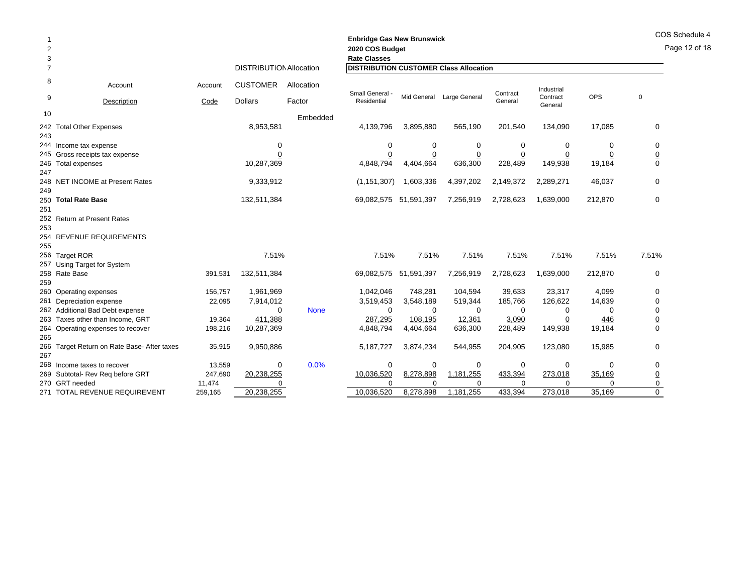|                |                                             |         |                                |             | <b>Enbridge Gas New Brunswick</b>             |                |                           |                |                     |         |                | COS Schedule 4 |
|----------------|---------------------------------------------|---------|--------------------------------|-------------|-----------------------------------------------|----------------|---------------------------|----------------|---------------------|---------|----------------|----------------|
|                |                                             |         |                                |             | 2020 COS Budget                               |                |                           |                |                     |         |                | Page 12 of 18  |
| 3              |                                             |         |                                |             | <b>Rate Classes</b>                           |                |                           |                |                     |         |                |                |
| $\overline{7}$ |                                             |         | <b>DISTRIBUTION Allocation</b> |             | <b>DISTRIBUTION CUSTOMER Class Allocation</b> |                |                           |                |                     |         |                |                |
| 8              | Account                                     | Account | <b>CUSTOMER</b>                | Allocation  | Small General -                               |                |                           | Contract       | Industrial          |         |                |                |
| 9              | Description                                 | Code    | <b>Dollars</b>                 | Factor      | Residential                                   |                | Mid General Large General | General        | Contract<br>General | OPS     | $\mathbf 0$    |                |
| 10             |                                             |         |                                | Embedded    |                                               |                |                           |                |                     |         |                |                |
| 243            | 242 Total Other Expenses                    |         | 8,953,581                      |             | 4,139,796                                     | 3,895,880      | 565,190                   | 201,540        | 134,090             | 17,085  | 0              |                |
|                | 244 Income tax expense                      |         | 0                              |             | 0                                             | 0              | 0                         | 0              | 0                   | 0       | 0              |                |
|                | 245 Gross receipts tax expense              |         | 0                              |             | 0                                             | $\overline{0}$ | $\overline{0}$            | $\overline{0}$ | $\overline{0}$      | 0       | $\overline{0}$ |                |
|                | 246 Total expenses                          |         | 10,287,369                     |             | 4,848,794                                     | 4,404,664      | 636,300                   | 228,489        | 149,938             | 19,184  | $\mathbf 0$    |                |
| 247            |                                             |         |                                |             |                                               |                |                           |                |                     |         |                |                |
| 249            | 248 NET INCOME at Present Rates             |         | 9,333,912                      |             | (1, 151, 307)                                 | 1,603,336      | 4,397,202                 | 2,149,372      | 2,289,271           | 46,037  | 0              |                |
|                | 250 Total Rate Base                         |         | 132,511,384                    |             | 69,082,575 51,591,397                         |                | 7,256,919                 | 2,728,623      | 1,639,000           | 212,870 | 0              |                |
| 251            |                                             |         |                                |             |                                               |                |                           |                |                     |         |                |                |
|                | 252 Return at Present Rates                 |         |                                |             |                                               |                |                           |                |                     |         |                |                |
| 253            |                                             |         |                                |             |                                               |                |                           |                |                     |         |                |                |
|                | 254 REVENUE REQUIREMENTS                    |         |                                |             |                                               |                |                           |                |                     |         |                |                |
| 255            |                                             |         |                                |             |                                               |                |                           |                |                     |         |                |                |
|                | 256 Target ROR                              |         | 7.51%                          |             | 7.51%                                         | 7.51%          | 7.51%                     | 7.51%          | 7.51%               | 7.51%   | 7.51%          |                |
|                | 257 Using Target for System                 |         |                                |             |                                               |                |                           |                |                     |         |                |                |
|                | 258 Rate Base                               | 391,531 | 132,511,384                    |             | 69,082,575 51,591,397                         |                | 7,256,919                 | 2,728,623      | 1,639,000           | 212,870 | 0              |                |
| 259            |                                             |         |                                |             |                                               |                |                           |                |                     |         |                |                |
|                | 260 Operating expenses                      | 156,757 | 1,961,969                      |             | 1,042,046                                     | 748,281        | 104,594                   | 39,633         | 23,317              | 4,099   | 0              |                |
|                | 261 Depreciation expense                    | 22,095  | 7,914,012                      |             | 3,519,453                                     | 3,548,189      | 519,344                   | 185,766        | 126,622             | 14,639  | 0              |                |
|                | 262 Additional Bad Debt expense             |         | $\Omega$                       | <b>None</b> | 0                                             | 0              | $\Omega$                  | $\Omega$       | 0                   | ∩       | $\mathbf 0$    |                |
|                | 263 Taxes other than Income, GRT            | 19,364  | 411,388                        |             | 287,295                                       | 108,195        | 12,361                    | 3,090          | $\overline{0}$      | 446     | $\overline{0}$ |                |
| 265            | 264 Operating expenses to recover           | 198,216 | 10,287,369                     |             | 4,848,794                                     | 4,404,664      | 636,300                   | 228,489        | 149,938             | 19,184  | $\Omega$       |                |
|                | 266 Target Return on Rate Base- After taxes | 35,915  | 9,950,886                      |             | 5,187,727                                     | 3,874,234      | 544,955                   | 204,905        | 123,080             | 15,985  | $\mathbf 0$    |                |
| 267            |                                             |         |                                |             |                                               |                |                           |                |                     |         |                |                |
|                | 268 Income taxes to recover                 | 13,559  | $\mathbf 0$                    | 0.0%        | 0                                             | 0              | 0                         | 0              | 0                   | 0       | 0              |                |
|                | 269 Subtotal- Rev Reg before GRT            | 247,690 | 20,238,255                     |             | 10,036,520                                    | 8,278,898      | 1,181,255                 | 433,394        | 273,018             | 35,169  | $\overline{0}$ |                |
|                | 270 GRT needed                              | 11,474  | $\Omega$                       |             | $\Omega$                                      | 0              |                           | $\Omega$       | $\sqrt{ }$          |         | $\mathsf 0$    |                |
|                | 271 TOTAL REVENUE REQUIREMENT               | 259,165 | 20,238,255                     |             | 10,036,520                                    | 8,278,898      | 1,181,255                 | 433,394        | 273,018             | 35,169  | $\Omega$       |                |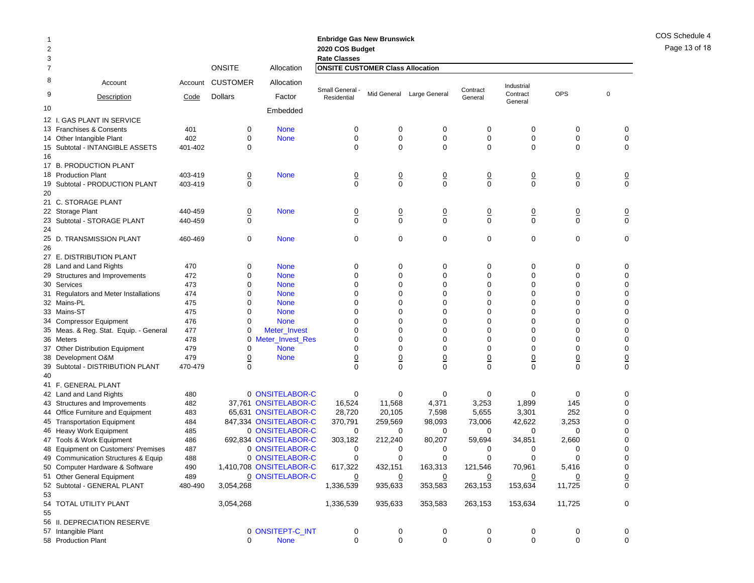| $\overline{2}$<br>3 |                                        |         |                 |                         | <b>Enbridge Gas New Brunswick</b><br>2020 COS Budget           |                |                           |                     |                     |                 |          |                 |
|---------------------|----------------------------------------|---------|-----------------|-------------------------|----------------------------------------------------------------|----------------|---------------------------|---------------------|---------------------|-----------------|----------|-----------------|
| 7                   |                                        |         | <b>ONSITE</b>   | Allocation              | <b>Rate Classes</b><br><b>ONSITE CUSTOMER Class Allocation</b> |                |                           |                     |                     |                 |          |                 |
| 8                   | Account                                | Account | <b>CUSTOMER</b> | Allocation              |                                                                |                |                           |                     | Industrial          |                 |          |                 |
| 9                   | Description                            | Code    | <b>Dollars</b>  | Factor                  | Small General -<br>Residential                                 |                | Mid General Large General | Contract<br>General | Contract<br>General | <b>OPS</b>      | $\Omega$ |                 |
| 10                  |                                        |         |                 | Embedded                |                                                                |                |                           |                     |                     |                 |          |                 |
|                     | 12 I. GAS PLANT IN SERVICE             |         |                 |                         |                                                                |                |                           |                     |                     |                 |          |                 |
|                     | 13 Franchises & Consents               | 401     | 0               | <b>None</b>             | 0                                                              | 0              | 0                         | $\mathbf 0$         | 0                   | 0               |          | 0               |
|                     | 14 Other Intangible Plant              | 402     | $\mathbf 0$     | <b>None</b>             | 0                                                              | $\mathbf 0$    | $\mathbf 0$               | $\pmb{0}$           | $\mathbf 0$         | $\mathbf 0$     |          | 0               |
|                     | 15 Subtotal - INTANGIBLE ASSETS        | 401-402 | 0               |                         | 0                                                              | 0              | $\mathbf 0$               | $\mathbf 0$         | $\mathbf 0$         | $\mathbf 0$     |          | $\mathbf 0$     |
| 16                  |                                        |         |                 |                         |                                                                |                |                           |                     |                     |                 |          |                 |
|                     | 17 B. PRODUCTION PLANT                 |         |                 |                         |                                                                |                |                           |                     |                     |                 |          |                 |
|                     | 18 Production Plant                    | 403-419 | $\underline{0}$ | <b>None</b>             | $\overline{0}$                                                 | $\overline{0}$ | $\overline{0}$            | $\underline{0}$     | $\overline{0}$      | $\pmb{0}$       |          | $\overline{0}$  |
|                     | 19 Subtotal - PRODUCTION PLANT         | 403-419 | $\mathbf 0$     |                         | 0                                                              | $\mathbf 0$    | $\mathbf 0$               | $\pmb{0}$           | $\mathbf 0$         | $\mathbf 0$     |          | $\mathbf 0$     |
| 20                  |                                        |         |                 |                         |                                                                |                |                           |                     |                     |                 |          |                 |
|                     | 21 C. STORAGE PLANT                    |         |                 |                         |                                                                |                |                           |                     |                     |                 |          |                 |
|                     | 22 Storage Plant                       | 440-459 | $\overline{0}$  | <b>None</b>             | $\overline{0}$                                                 | $\overline{0}$ | $\overline{0}$            | $\overline{0}$      | $\overline{0}$      | $\overline{0}$  |          | $\overline{0}$  |
| 23                  | Subtotal - STORAGE PLANT               | 440-459 | $\mathbf 0$     |                         | 0                                                              | $\mathbf 0$    | $\mathbf 0$               | $\mathbf 0$         | $\mathbf 0$         | $\mathbf 0$     |          | $\mathbf 0$     |
| 24                  |                                        |         |                 |                         |                                                                |                |                           |                     |                     |                 |          |                 |
|                     | 25 D. TRANSMISSION PLANT               | 460-469 | 0               | <b>None</b>             | 0                                                              | 0              | $\mathbf 0$               | 0                   | 0                   | 0               |          | 0               |
| 26                  |                                        |         |                 |                         |                                                                |                |                           |                     |                     |                 |          |                 |
|                     | 27 E. DISTRIBUTION PLANT               |         |                 |                         |                                                                |                |                           |                     |                     |                 |          |                 |
|                     | 28 Land and Land Rights                | 470     | 0               | <b>None</b>             | 0                                                              | 0              | 0                         | 0                   | 0                   | 0               |          | 0               |
|                     | 29 Structures and Improvements         | 472     | $\mathbf 0$     | <b>None</b>             | 0                                                              | $\mathbf 0$    | $\mathbf 0$               | $\mathbf 0$         | $\mathbf 0$         | $\mathbf 0$     |          | 0               |
|                     | 30 Services                            | 473     | $\mathbf 0$     | <b>None</b>             | 0                                                              | 0              | $\mathbf 0$               | $\mathbf 0$         | $\mathbf 0$         | 0               |          | 0               |
|                     | 31 Regulators and Meter Installations  | 474     | $\mathbf 0$     | <b>None</b>             | 0                                                              | $\Omega$       | $\mathbf 0$               | $\mathbf 0$         | $\Omega$            | $\Omega$        |          | $\mathbf 0$     |
|                     | 32 Mains-PL                            | 475     | $\mathbf 0$     | <b>None</b>             | 0                                                              | 0              | $\mathbf 0$               | $\mathbf 0$         | $\mathbf 0$         | 0               |          | 0               |
|                     | 33 Mains-ST                            | 475     | $\mathbf 0$     | <b>None</b>             | 0                                                              | 0              | $\mathbf 0$               | $\mathbf 0$         | $\mathbf 0$         | $\Omega$        |          | $\mathbf 0$     |
|                     | 34 Compressor Equipment                | 476     | $\mathbf 0$     | <b>None</b>             | 0                                                              | 0              | $\mathbf 0$               | $\mathbf 0$         | $\mathbf 0$         | 0               |          | 0               |
|                     | 35 Meas. & Reg. Stat. Equip. - General | 477     | $\mathbf 0$     | Meter_Invest            | 0                                                              | 0              | $\mathbf 0$               | $\mathbf 0$         | $\mathbf 0$         | 0               |          | 0               |
|                     | 36 Meters                              | 478     | 0               | <b>Meter_Invest_Res</b> | $\Omega$                                                       | $\Omega$       | $\Omega$                  | $\mathbf 0$         | $\Omega$            | $\Omega$        |          | $\mathbf 0$     |
|                     | 37 Other Distribution Equipment        | 479     | 0               | <b>None</b>             | 0                                                              | 0              | 0                         | 0                   | $\mathbf 0$         | 0               |          | 0               |
|                     | 38 Development O&M                     | 479     | $\underline{0}$ | <b>None</b>             | $\overline{0}$                                                 | $\overline{0}$ | $\overline{0}$            | $\underline{0}$     | $\overline{0}$      | $\underline{0}$ |          | $\underline{0}$ |
|                     | 39 Subtotal - DISTRIBUTION PLANT       | 470-479 | $\mathbf 0$     |                         | $\Omega$                                                       | $\Omega$       | $\mathbf 0$               | $\Omega$            | $\Omega$            | $\Omega$        |          | $\mathbf 0$     |
| 40                  |                                        |         |                 |                         |                                                                |                |                           |                     |                     |                 |          |                 |
|                     | 41 F. GENERAL PLANT                    |         |                 |                         |                                                                |                |                           |                     |                     |                 |          |                 |
|                     | 42 Land and Land Rights                | 480     |                 | 0 ONSITELABOR-C         | $\mathbf 0$                                                    | 0              | 0                         | $\mathbf 0$         | 0                   | 0               |          | 0               |
|                     | 43 Structures and Improvements         | 482     |                 | 37,761 ONSITELABOR-C    | 16,524                                                         | 11,568         | 4,371                     | 3,253               | 1,899               | 145             |          | 0               |
|                     | 44 Office Furniture and Equipment      | 483     |                 | 65,631 ONSITELABOR-C    | 28,720                                                         | 20,105         | 7,598                     | 5,655               | 3,301               | 252             |          | 0               |
|                     | 45 Transportation Equipment            | 484     |                 | 847,334 ONSITELABOR-C   | 370,791                                                        | 259,569        | 98,093                    | 73,006              | 42,622              | 3,253           |          | 0               |
|                     | 46 Heavy Work Equipment                | 485     |                 | 0 ONSITELABOR-C         | 0                                                              | 0              | 0                         | 0                   | 0                   | 0               |          | $\mathbf 0$     |
|                     | 47 Tools & Work Equipment              | 486     |                 | 692,834 ONSITELABOR-C   | 303,182                                                        | 212,240        | 80,207                    | 59,694              | 34,851              | 2,660           |          | 0               |
|                     | 48 Equipment on Customers' Premises    | 487     |                 | 0 ONSITELABOR-C         | 0                                                              | 0              | 0                         | 0                   | 0                   | 0               |          | 0               |
|                     | 49 Communication Structures & Equip    | 488     |                 | 0 ONSITELABOR-C         | 0                                                              | $\Omega$       | $\Omega$                  | $\Omega$            | $\Omega$            | $\Omega$        |          | $\Omega$        |
|                     | 50 Computer Hardware & Software        | 490     |                 | 1,410,708 ONSITELABOR-C | 617,322                                                        | 432,151        | 163,313                   | 121,546             | 70,961              | 5,416           |          | 0               |
|                     | 51 Other General Equipment             | 489     |                 | 0 ONSITELABOR-C         | $\overline{0}$                                                 | <u>0</u>       | $\overline{0}$            | $\overline{0}$      | $\overline{0}$      | $\overline{0}$  |          |                 |
|                     | 52 Subtotal - GENERAL PLANT            | 480-490 | 3,054,268       |                         | 1,336,539                                                      | 935,633        | 353,583                   | 263,153             | 153,634             | 11,725          |          | $\frac{0}{0}$   |
| 53                  |                                        |         |                 |                         |                                                                |                |                           |                     |                     |                 |          |                 |
|                     | 54 TOTAL UTILITY PLANT                 |         | 3,054,268       |                         | 1,336,539                                                      | 935,633        | 353,583                   | 263,153             | 153,634             | 11,725          |          | 0               |
| 55                  |                                        |         |                 |                         |                                                                |                |                           |                     |                     |                 |          |                 |
|                     | 56 II. DEPRECIATION RESERVE            |         |                 |                         |                                                                |                |                           |                     |                     |                 |          |                 |
|                     | 57 Intangible Plant                    |         |                 | 0 ONSITEPT-C_INT        | 0                                                              | 0              | 0                         | 0                   | 0                   | 0               |          | 0               |
|                     | 58 Production Plant                    |         | 0               | <b>None</b>             | 0                                                              | 0              | $\mathbf 0$               | 0                   | $\mathbf 0$         | $\mathbf 0$     |          | 0               |

COS Schedule 4 Page 13 of 18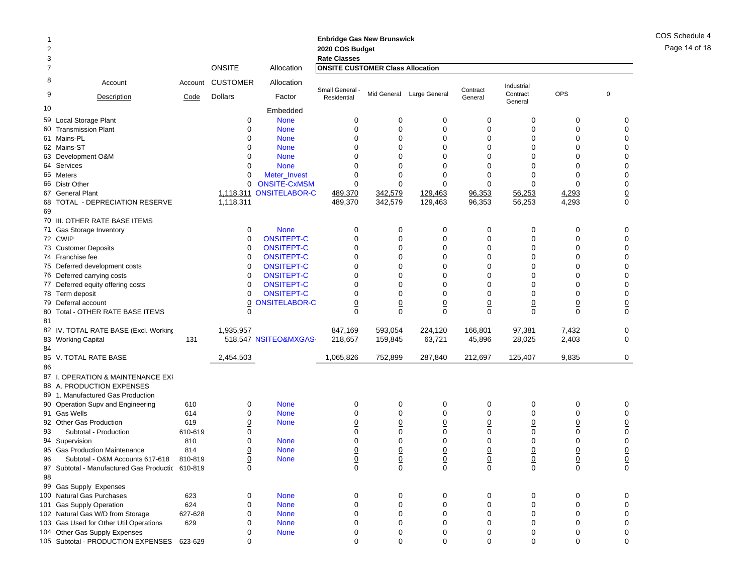| <b>Enbridge Gas New Brunswick</b> |
|-----------------------------------|
| 2020 COS Budget                   |
| <b>Rate Classes</b>               |

| 3              |                                                  |         |                 |                       | <b>Rate Classes</b>                     |                 |                 |                 |                     |                |                 |
|----------------|--------------------------------------------------|---------|-----------------|-----------------------|-----------------------------------------|-----------------|-----------------|-----------------|---------------------|----------------|-----------------|
| $\overline{7}$ |                                                  |         | <b>ONSITE</b>   | Allocation            | <b>ONSITE CUSTOMER Class Allocation</b> |                 |                 |                 |                     |                |                 |
| 8              | Account                                          | Account | <b>CUSTOMER</b> | Allocation            |                                         |                 |                 | Contract        | Industrial          |                |                 |
| 9              | Description                                      | Code    | <b>Dollars</b>  | Factor                | Small General<br>Residential            | Mid General     | Large General   | General         | Contract<br>General | <b>OPS</b>     | $\mathbf 0$     |
| 10             |                                                  |         |                 | Embedded              |                                         |                 |                 |                 |                     |                |                 |
| 59             | <b>Local Storage Plant</b>                       |         | $\mathbf 0$     | <b>None</b>           | $\mathbf 0$                             | 0               | 0               | 0               | 0                   | $\mathbf 0$    | $\mathbf 0$     |
|                | 60 Transmission Plant                            |         | $\mathbf 0$     | <b>None</b>           | $\Omega$                                | $\mathbf 0$     | $\mathbf 0$     | $\mathbf 0$     | 0                   | $\mathbf 0$    | $\mathbf 0$     |
|                | 61 Mains-PL                                      |         | $\Omega$        | <b>None</b>           | $\Omega$                                | $\Omega$        | $\mathbf 0$     | 0               | $\Omega$            | $\Omega$       | $\mathbf 0$     |
|                | 62 Mains-ST                                      |         | $\Omega$        | <b>None</b>           | $\Omega$                                | $\Omega$        | $\Omega$        | 0               | $\Omega$            | $\Omega$       | $\mathbf 0$     |
|                | 63 Development O&M                               |         | $\Omega$        | <b>None</b>           | $\Omega$                                | $\Omega$        | $\Omega$        | 0               | $\Omega$            | $\Omega$       | $\Omega$        |
|                | 64 Services                                      |         | 0               | <b>None</b>           | $\mathbf 0$                             | $\mathbf 0$     | $\mathbf 0$     | 0               | 0                   | $\mathbf 0$    | $\mathbf 0$     |
|                | 65 Meters                                        |         | $\mathbf 0$     | Meter_Invest          | $\Omega$                                | $\mathbf 0$     | $\mathbf 0$     | $\mathbf 0$     | $\Omega$            | $\Omega$       | $\mathbf 0$     |
|                | 66 Distr Other                                   |         | 0               | <b>ONSITE-CxMSM</b>   | $\Omega$                                | $\Omega$        | $\mathbf 0$     | 0               | $\Omega$            | $\Omega$       | $\mathbf 0$     |
|                | 67 General Plant                                 |         | 1,118,311       | <b>ONSITELABOR-C</b>  | 489,370                                 | 342,579         | 129,463         | 96,353          | 56,253              | 4,293          | $\underline{0}$ |
| 68             | TOTAL - DEPRECIATION RESERVE                     |         | 1,118,311       |                       | 489,370                                 | 342,579         | 129.463         | 96,353          | 56,253              | 4,293          | $\Omega$        |
| 69             |                                                  |         |                 |                       |                                         |                 |                 |                 |                     |                |                 |
|                | 70 III. OTHER RATE BASE ITEMS                    |         |                 |                       |                                         |                 |                 |                 |                     |                |                 |
|                | 71 Gas Storage Inventory                         |         | $\mathbf 0$     | <b>None</b>           | $\mathbf 0$                             | $\mathbf 0$     | 0               | $\mathbf 0$     | 0                   | $\mathbf 0$    | $\mathbf 0$     |
|                | 72 CWIP                                          |         | $\mathbf 0$     | <b>ONSITEPT-C</b>     | $\Omega$                                | $\mathbf 0$     | $\mathbf 0$     | 0               | 0                   | $\Omega$       | $\mathbf 0$     |
|                | 73 Customer Deposits                             |         | $\Omega$        | <b>ONSITEPT-C</b>     | $\Omega$                                | $\Omega$        | $\Omega$        | $\overline{0}$  | $\Omega$            | $\Omega$       | $\Omega$        |
|                | 74 Franchise fee                                 |         | $\Omega$        | <b>ONSITEPT-C</b>     | $\Omega$                                | $\Omega$        | $\Omega$        | $\overline{0}$  | $\Omega$            | $\Omega$       | $\Omega$        |
|                | 75 Deferred development costs                    |         | 0               | <b>ONSITEPT-C</b>     | $\Omega$                                | 0               | $\mathbf 0$     | 0               | $\mathbf 0$         | $\mathbf 0$    | 0               |
|                | 76 Deferred carrying costs                       |         | 0               | <b>ONSITEPT-C</b>     | $\Omega$                                | $\Omega$        | $\mathbf 0$     | 0               | $\Omega$            | $\mathbf 0$    | $\mathbf 0$     |
|                | 77 Deferred equity offering costs                |         | 0               | <b>ONSITEPT-C</b>     | $\Omega$                                | $\Omega$        | $\mathbf 0$     | 0               | $\Omega$            | $\Omega$       | 0               |
|                | 78 Term deposit                                  |         | 0               | <b>ONSITEPT-C</b>     | $\Omega$                                | $\Omega$        | $\Omega$        | $\overline{0}$  | $\Omega$            | $\Omega$       | $\mathbf 0$     |
| 79             | Deferral account                                 |         | 0               | <b>ONSITELABOR-C</b>  | $\overline{0}$                          | $\underline{0}$ | $\underline{0}$ | $\overline{0}$  | $\underline{0}$     | $\overline{0}$ | $\underline{0}$ |
|                | 80 Total - OTHER RATE BASE ITEMS                 |         | $\Omega$        |                       | $\Omega$                                | $\Omega$        | $\Omega$        | $\Omega$        | $\Omega$            | $\Omega$       | $\Omega$        |
| 81             |                                                  |         |                 |                       |                                         |                 |                 |                 |                     |                |                 |
|                | 82 IV. TOTAL RATE BASE (Excl. Working            |         | 1,935,957       |                       | 847,169                                 | 593,054         | 224,120         | 166,801         | 97,381              | 7,432          | $\underline{0}$ |
|                | 83 Working Capital                               | 131     |                 | 518,547 NSITEO&MXGAS- | 218,657                                 | 159,845         | 63,721          | 45,896          | 28,025              | 2,403          | $\Omega$        |
| 84             |                                                  |         |                 |                       |                                         |                 |                 |                 |                     |                |                 |
|                | 85 V. TOTAL RATE BASE                            |         | 2,454,503       |                       | 1,065,826                               | 752,899         | 287,840         | 212,697         | 125,407             | 9,835          | $\mathbf 0$     |
| 86             |                                                  |         |                 |                       |                                         |                 |                 |                 |                     |                |                 |
|                | 87 I. OPERATION & MAINTENANCE EXI                |         |                 |                       |                                         |                 |                 |                 |                     |                |                 |
|                | 88 A. PRODUCTION EXPENSES                        |         |                 |                       |                                         |                 |                 |                 |                     |                |                 |
|                | 89 1. Manufactured Gas Production                |         |                 |                       |                                         |                 |                 |                 |                     |                |                 |
|                | 90 Operation Supv and Engineering                | 610     | 0               | <b>None</b>           | $\mathbf 0$                             | $\mathbf 0$     | $\mathbf 0$     | $\mathbf 0$     | $\mathbf 0$         | $\mathbf 0$    | $\mathbf 0$     |
|                | 91 Gas Wells                                     | 614     | 0               | <b>None</b>           | $\mathbf 0$                             | 0               | 0               | 0               | 0                   | $\mathbf 0$    | $\mathbf 0$     |
|                | 92 Other Gas Production                          | 619     | 0               | <b>None</b>           | 0                                       | 0               | $\underline{0}$ | 0               | $\underline{0}$     | $\overline{0}$ | $\mathbf 0$     |
| 93             | Subtotal - Production                            | 610-619 | 0               |                       | $\Omega$                                | $\Omega$        | $\mathbf 0$     | 0               | 0                   | $\mathbf 0$    | $\mathbf{0}$    |
|                | 94 Supervision                                   | 810     | 0               | <b>None</b>           | $\Omega$                                | $\Omega$        | $\Omega$        | 0               | $\Omega$            | $\Omega$       | $\pmb{0}$       |
|                | 95 Gas Production Maintenance                    | 814     | $\overline{0}$  | <b>None</b>           | $\overline{0}$                          | $\underline{0}$ | $\underline{0}$ | $\overline{0}$  | $\overline{0}$      | $\overline{0}$ |                 |
| 96             | Subtotal - O&M Accounts 617-618                  | 810-819 | $\overline{0}$  | <b>None</b>           | $\overline{0}$                          | $\overline{0}$  | $\underline{0}$ | $\underline{0}$ | $\overline{0}$      | $\overline{0}$ | $\frac{0}{0}$   |
|                | 97 Subtotal - Manufactured Gas Productic 610-819 |         | $\Omega$        |                       | $\Omega$                                | $\Omega$        | $\Omega$        | $\Omega$        | $\Omega$            | $\Omega$       | $\Omega$        |
| 98             |                                                  |         |                 |                       |                                         |                 |                 |                 |                     |                |                 |
| 99             | Gas Supply Expenses                              |         |                 |                       |                                         |                 |                 |                 |                     |                |                 |
|                | 100 Natural Gas Purchases                        | 623     | $\Omega$        | <b>None</b>           | $\Omega$                                | $\Omega$        | $\mathbf 0$     | $\mathbf 0$     | $\Omega$            | $\mathbf 0$    | $\Omega$        |
| 101            | <b>Gas Supply Operation</b>                      | 624     | 0               | <b>None</b>           | $\Omega$                                | $\mathbf 0$     | 0               | 0               | 0                   | $\Omega$       | $\mathbf 0$     |
|                | 102 Natural Gas W/D from Storage                 | 627-628 | 0               | <b>None</b>           | $\Omega$                                | $\mathbf 0$     | $\mathbf 0$     | 0               | $\mathbf 0$         | $\mathbf 0$    | $\mathbf 0$     |
| 103            | Gas Used for Other Util Operations               | 629     | 0               | <b>None</b>           | $\Omega$                                | $\Omega$        | $\mathbf 0$     | 0               | 0                   | $\mathbf 0$    | $\mathbf 0$     |
|                | 104 Other Gas Supply Expenses                    |         | 0               | <b>None</b>           | 0                                       | 0               | 0               | 0               | 0                   | 0              | $\underline{0}$ |
|                | 105 Subtotal - PRODUCTION EXPENSES               | 623-629 | 0               |                       | $\Omega$                                | $\Omega$        | $\Omega$        | $\Omega$        | $\Omega$            | $\Omega$       | $\Omega$        |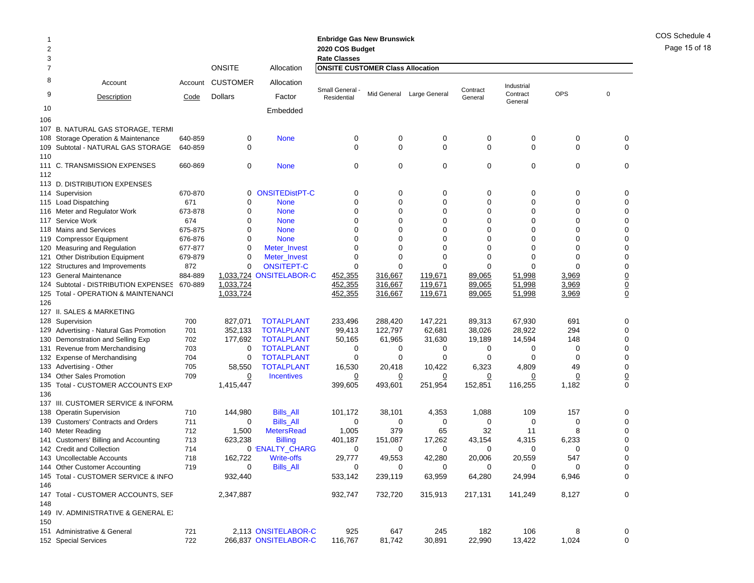| -1<br>2<br>3   |                                                         |            |                 |                               | <b>Enbridge Gas New Brunswick</b><br>2020 COS Budget<br><b>Rate Classes</b> |             |                           |                     |                     |                |             |                 |
|----------------|---------------------------------------------------------|------------|-----------------|-------------------------------|-----------------------------------------------------------------------------|-------------|---------------------------|---------------------|---------------------|----------------|-------------|-----------------|
| $\overline{7}$ |                                                         |            | <b>ONSITE</b>   | Allocation                    | <b>ONSITE CUSTOMER Class Allocation</b>                                     |             |                           |                     |                     |                |             |                 |
| 8              | Account                                                 | Account    | <b>CUSTOMER</b> | Allocation                    |                                                                             |             |                           |                     | Industrial          |                |             |                 |
| 9              | Description                                             | Code       | Dollars         | Factor                        | Small General -<br>Residential                                              |             | Mid General Large General | Contract<br>General | Contract<br>General | <b>OPS</b>     | $\mathbf 0$ |                 |
| 10             |                                                         |            |                 | Embedded                      |                                                                             |             |                           |                     |                     |                |             |                 |
| 106            |                                                         |            |                 |                               |                                                                             |             |                           |                     |                     |                |             |                 |
|                | 107 B. NATURAL GAS STORAGE, TERMI                       |            |                 |                               |                                                                             |             |                           |                     |                     |                |             |                 |
|                | 108 Storage Operation & Maintenance                     | 640-859    | 0               | <b>None</b>                   | 0                                                                           | 0           | 0                         | 0                   | 0                   | 0              |             | 0               |
|                | 109 Subtotal - NATURAL GAS STORAGE                      | 640-859    | 0               |                               | 0                                                                           | 0           | 0                         | $\mathbf 0$         | 0                   | 0              |             | 0               |
| 110            |                                                         |            | 0               | <b>None</b>                   | 0                                                                           | 0           | 0                         | 0                   | $\mathbf 0$         | 0              |             | 0               |
| 112            | 111 C. TRANSMISSION EXPENSES                            | 660-869    |                 |                               |                                                                             |             |                           |                     |                     |                |             |                 |
|                | 113 D. DISTRIBUTION EXPENSES                            |            |                 |                               |                                                                             |             |                           |                     |                     |                |             |                 |
|                | 114 Supervision                                         | 670-870    |                 | 0 ONSITEDistPT-C              | 0                                                                           | 0           | 0                         | 0                   | 0                   | 0              |             | 0               |
|                | 115 Load Dispatching                                    | 671        | 0               | <b>None</b>                   | 0                                                                           | 0           | 0                         | 0                   | 0                   | $\Omega$       |             | 0               |
|                | 116 Meter and Regulator Work                            | 673-878    | 0               | <b>None</b>                   | 0                                                                           | 0           | 0                         | 0                   | 0                   | 0              |             | 0               |
|                | 117 Service Work                                        | 674        | 0               | <b>None</b>                   | 0                                                                           | 0           | 0                         | 0                   | 0                   | 0              |             | 0               |
|                | 118 Mains and Services                                  | 675-875    | 0               | <b>None</b>                   | 0                                                                           | 0           | 0                         | 0                   | 0                   | 0              |             | 0               |
|                | 119 Compressor Equipment                                | 676-876    | 0               | <b>None</b>                   | 0                                                                           | 0           | 0                         | 0                   | 0                   | 0              |             | 0               |
|                | 120 Measuring and Regulation                            | 677-877    | 0               | Meter_Invest                  | 0                                                                           | 0           | 0                         | $\Omega$            | 0                   | $\Omega$       |             | 0               |
|                | 121 Other Distribution Equipment                        | 679-879    | 0               | Meter_Invest                  | 0                                                                           | 0           | 0                         | 0                   | $\Omega$            | 0              |             | 0               |
|                | 122 Structures and Improvements                         | 872        | 0               | <b>ONSITEPT-C</b>             | 0                                                                           | 0           | 0                         | 0                   | 0                   | $\Omega$       |             | 0               |
|                | 123 General Maintenance                                 | 884-889    |                 | 1,033,724 ONSITELABOR-C       | 452,355                                                                     | 316,667     | 119,671                   | 89,065              | 51,998              | 3,969          |             | $\underline{0}$ |
|                | 124 Subtotal - DISTRIBUTION EXPENSES 670-889            |            | 1,033,724       |                               | 452,355                                                                     | 316,667     | 119,671                   | 89,065              | 51,998              | 3,969          |             | $\frac{0}{0}$   |
|                | 125 Total - OPERATION & MAINTENANCI                     |            | 1,033,724       |                               | 452,355                                                                     | 316,667     | 119,671                   | 89,065              | 51,998              | 3,969          |             |                 |
| 126            | 127 II. SALES & MARKETING                               |            |                 |                               |                                                                             |             |                           |                     |                     |                |             |                 |
|                | 128 Supervision                                         | 700        | 827,071         | <b>TOTALPLANT</b>             | 233,496                                                                     | 288,420     | 147,221                   | 89,313              | 67,930              | 691            |             | 0               |
|                | 129 Advertising - Natural Gas Promotion                 | 701        | 352,133         | <b>TOTALPLANT</b>             | 99,413                                                                      | 122,797     | 62,681                    | 38,026              | 28,922              | 294            |             | 0               |
|                | 130 Demonstration and Selling Exp                       | 702        | 177,692         | <b>TOTALPLANT</b>             | 50,165                                                                      | 61,965      | 31,630                    | 19,189              | 14,594              | 148            |             | 0               |
|                | 131 Revenue from Merchandising                          | 703        | 0               | <b>TOTALPLANT</b>             | 0                                                                           | 0           | 0                         | 0                   | 0                   | 0              |             | 0               |
|                | 132 Expense of Merchandising                            | 704        | 0               | <b>TOTALPLANT</b>             | 0                                                                           | 0           | 0                         | 0                   | 0                   | 0              |             | 0               |
|                | 133 Advertising - Other                                 | 705        | 58,550          | <b>TOTALPLANT</b>             | 16,530                                                                      | 20,418      | 10,422                    | 6,323               | 4,809               | 49             |             | 0               |
|                | 134 Other Sales Promotion                               | 709        | 0               | <b>Incentives</b>             | 0                                                                           | 0           | 0                         | $\overline{0}$      | 0                   | $\overline{0}$ |             | $\overline{0}$  |
|                | 135 Total - CUSTOMER ACCOUNTS EXP                       |            | 1,415,447       |                               | 399,605                                                                     | 493,601     | 251,954                   | 152,851             | 116,255             | 1,182          |             | $\mathbf 0$     |
| 136            |                                                         |            |                 |                               |                                                                             |             |                           |                     |                     |                |             |                 |
|                | 137 III. CUSTOMER SERVICE & INFORM.                     |            |                 |                               |                                                                             |             |                           |                     |                     |                |             |                 |
|                | 138 Operatin Supervision                                | 710        | 144,980         | <b>Bills_All</b>              | 101,172                                                                     | 38,101      | 4,353                     | 1,088               | 109                 | 157            |             | 0               |
|                | 139 Customers' Contracts and Orders                     | 711        | 0               | <b>Bills_All</b>              | 0                                                                           | 0           | 0                         | 0                   | 0                   | 0              |             | 0               |
|                | 140 Meter Reading                                       | 712        | 1,500           | <b>MetersRead</b>             | 1,005                                                                       | 379         | 65                        | 32                  | 11                  | 8              |             | 0               |
|                | 141 Customers' Billing and Accounting                   | 713        | 623,238         | <b>Billing</b>                | 401,187                                                                     | 151,087     | 17,262<br>0               | 43,154<br>0         | 4,315<br>0          | 6,233<br>0     |             | 0<br>0          |
|                | 142 Credit and Collection<br>143 Uncollectable Accounts | 714<br>718 | 162,722         | 0 'ENALTY_CHARG<br>Write-offs | 0<br>29,777                                                                 | 0<br>49,553 | 42,280                    | 20,006              | 20,559              | 547            |             | $\Omega$        |
|                | 144 Other Customer Accounting                           | 719        | 0               | <b>Bills_All</b>              | 0                                                                           | $\mathbf 0$ | 0                         | 0                   | 0                   | $\mathbf 0$    |             | 0               |
|                | 145 Total - CUSTOMER SERVICE & INFO                     |            | 932,440         |                               | 533,142                                                                     | 239,119     | 63,959                    | 64,280              | 24,994              | 6,946          |             | 0               |
| 146            |                                                         |            |                 |                               |                                                                             |             |                           |                     |                     |                |             |                 |
|                | 147 Total - CUSTOMER ACCOUNTS, SEF                      |            | 2,347,887       |                               | 932,747                                                                     | 732,720     | 315,913                   | 217,131             | 141,249             | 8,127          |             | 0               |
| 148            |                                                         |            |                 |                               |                                                                             |             |                           |                     |                     |                |             |                 |
| 150            | 149 IV. ADMINISTRATIVE & GENERAL E.                     |            |                 |                               |                                                                             |             |                           |                     |                     |                |             |                 |
|                | 151 Administrative & General                            | 721        |                 | 2,113 ONSITELABOR-C           | 925                                                                         | 647         | 245                       | 182                 | 106                 | 8              |             | 0               |
|                | 152 Special Services                                    | 722        |                 | 266,837 ONSITELABOR-C         | 116,767                                                                     | 81,742      | 30,891                    | 22,990              | 13,422              | 1,024          |             | 0               |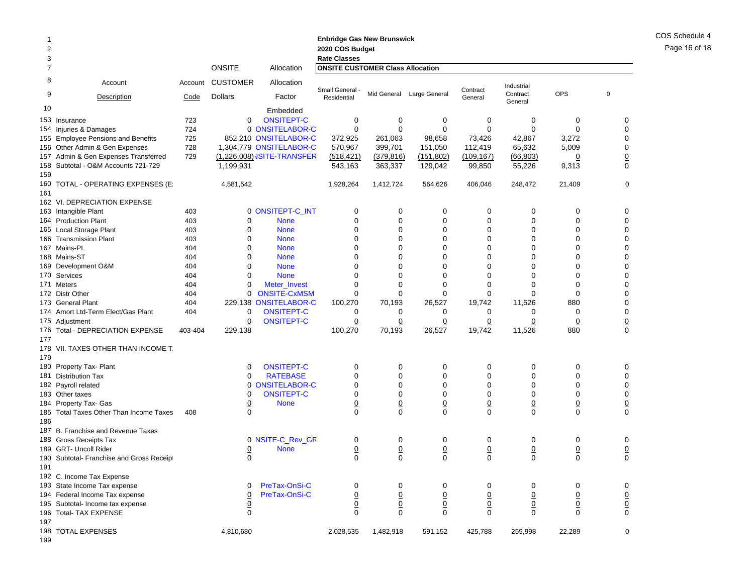| 2<br>3 |                                           |         |                 |                                   | <b>Enbridge Gas New Brunswick</b><br>2020 COS Budget<br><b>Rate Classes</b> |                 |                |                |                        |                |                 |
|--------|-------------------------------------------|---------|-----------------|-----------------------------------|-----------------------------------------------------------------------------|-----------------|----------------|----------------|------------------------|----------------|-----------------|
| 7      |                                           |         | <b>ONSITE</b>   | Allocation                        | <b>ONSITE CUSTOMER Class Allocation</b>                                     |                 |                |                |                        |                |                 |
| 8<br>9 | Account                                   | Account | <b>CUSTOMER</b> | Allocation                        | Small General -                                                             | Mid General     | Large General  | Contract       | Industrial<br>Contract | <b>OPS</b>     | $\mathbf 0$     |
|        | Description                               | Code    | <b>Dollars</b>  | Factor                            | Residential                                                                 |                 |                | General        | General                |                |                 |
| 10     |                                           |         |                 | Embedded                          |                                                                             |                 |                |                |                        |                |                 |
|        | 153 Insurance                             | 723     | 0               | <b>ONSITEPT-C</b>                 | 0                                                                           | 0               | 0              | 0              | 0                      | 0              | 0               |
|        | 154 Injuries & Damages                    | 724     |                 | 0 ONSITELABOR-C                   | 0                                                                           | 0               | 0              | 0              | 0                      | 0              | 0               |
|        | 155 Employee Pensions and Benefits        | 725     |                 | 852,210 ONSITELABOR-C             | 372,925                                                                     | 261,063         | 98,658         | 73,426         | 42,867                 | 3,272          | $\mathbf 0$     |
|        | 156 Other Admin & Gen Expenses            | 728     |                 | 1,304,779 ONSITELABOR-C           | 570,967                                                                     | 399,701         | 151,050        | 112,419        | 65,632                 | 5,009          | 0               |
|        | 157 Admin & Gen Expenses Transferred      | 729     |                 | (1,226,008) <b>JSITE-TRANSFER</b> | (518, 421)                                                                  | (379, 816)      | (151, 802)     | (109, 167)     | (66, 803)              | 0              | 0               |
|        | 158 Subtotal - O&M Accounts 721-729       |         | 1,199,931       |                                   | 543,163                                                                     | 363,337         | 129,042        | 99,850         | 55,226                 | 9,313          | 0               |
| 159    |                                           |         |                 |                                   |                                                                             |                 |                |                |                        |                |                 |
|        | 160 TOTAL - OPERATING EXPENSES (E:        |         | 4,581,542       |                                   | 1,928,264                                                                   | 1,412,724       | 564,626        | 406,046        | 248,472                | 21,409         | $\mathbf 0$     |
| 161    |                                           |         |                 |                                   |                                                                             |                 |                |                |                        |                |                 |
|        | 162 VI. DEPRECIATION EXPENSE              |         |                 |                                   |                                                                             |                 |                |                |                        |                |                 |
|        | 163 Intangible Plant                      | 403     |                 | 0 ONSITEPT-C_INT                  | 0                                                                           | 0               | 0              | 0              | 0                      | 0              | 0               |
|        | 164 Production Plant                      | 403     | 0               | <b>None</b>                       | 0                                                                           | 0               | 0              | 0              | 0                      | 0              | 0               |
|        | 165 Local Storage Plant                   | 403     | $\Omega$        | <b>None</b>                       | $\Omega$                                                                    | $\Omega$        | $\Omega$       | 0              | 0                      | 0              | 0               |
|        | 166 Transmission Plant                    | 403     | 0               | <b>None</b>                       | 0                                                                           | 0               | 0              | 0              | 0                      | 0              | 0               |
|        | 167 Mains-PL                              | 404     | 0               | <b>None</b>                       | $\Omega$                                                                    | $\Omega$        | 0              | 0              | 0                      | $\Omega$       | 0               |
|        | 168 Mains-ST                              | 404     | 0               | <b>None</b>                       | 0                                                                           | 0               | $\Omega$       | 0              | 0                      | 0              | 0               |
|        | 169 Development O&M                       | 404     | 0               | <b>None</b>                       | 0                                                                           | $\Omega$        | 0              | 0              | 0                      | 0              | 0               |
|        | 170 Services                              | 404     | $\Omega$        | <b>None</b>                       | $\Omega$                                                                    | $\Omega$        | $\Omega$       | U              | 0                      | $\Omega$       | $\mathbf 0$     |
|        | 171 Meters                                | 404     | 0               | Meter Invest                      | 0                                                                           | 0               | 0              | 0              | $\Omega$               | 0              | 0               |
|        | 172 Distr Other                           | 404     | 0               | <b>ONSITE-CxMSM</b>               | 0                                                                           | 0               | 0              | 0              | 0                      | 0              | 0               |
|        | 173 General Plant                         | 404     |                 | 229,138 ONSITELABOR-C             | 100,270                                                                     | 70,193          | 26,527         | 19,742         | 11,526                 | 880            | 0               |
|        | 174 Amort Ltd-Term Elect/Gas Plant        | 404     | 0               | <b>ONSITEPT-C</b>                 | 0                                                                           | 0               | 0              | 0              | 0                      | 0              | 0               |
|        | 175 Adjustment                            |         | 0               | <b>ONSITEPT-C</b>                 | 0                                                                           | 0               | 0              | 0              | 0                      | $\overline{0}$ | $\underline{0}$ |
|        | 176 Total - DEPRECIATION EXPENSE          | 403-404 | 229,138         |                                   | 100,270                                                                     | 70,193          | 26,527         | 19,742         | 11,526                 | 880            | $\mathbf 0$     |
| 177    |                                           |         |                 |                                   |                                                                             |                 |                |                |                        |                |                 |
|        | 178 VII. TAXES OTHER THAN INCOME T.       |         |                 |                                   |                                                                             |                 |                |                |                        |                |                 |
| 179    |                                           |         |                 |                                   |                                                                             |                 |                |                |                        |                |                 |
|        | 180 Property Tax- Plant                   |         | $\Omega$        | <b>ONSITEPT-C</b>                 | 0                                                                           | 0               | 0              | 0              | 0                      | 0              | 0               |
|        | 181 Distribution Tax                      |         | 0               | <b>RATEBASE</b>                   | 0                                                                           | 0               | 0              | $\mathbf 0$    | 0                      | 0              | 0               |
|        | 182 Payroll related                       |         |                 | 0 ONSITELABOR-C                   | 0                                                                           | 0               | $\Omega$       | $\Omega$       | 0                      | 0              | 0               |
|        | 183 Other taxes                           |         | 0               | <b>ONSITEPT-C</b>                 | 0                                                                           | $\mathbf 0$     | 0              | 0              | 0                      | 0              | 0               |
|        | 184 Property Tax- Gas                     |         | <u>0</u>        | <b>None</b>                       | $\overline{0}$                                                              | $\pmb{0}$       | $\overline{0}$ | $\overline{0}$ | $\overline{0}$         | $\overline{0}$ | $\underline{0}$ |
|        | 185 Total Taxes Other Than Income Taxes   | 408     | $\Omega$        |                                   | $\Omega$                                                                    | $\Omega$        | $\Omega$       | $\Omega$       | $\Omega$               | $\Omega$       | $\Omega$        |
| 186    |                                           |         |                 |                                   |                                                                             |                 |                |                |                        |                |                 |
|        | 187 B. Franchise and Revenue Taxes        |         |                 |                                   |                                                                             |                 |                |                |                        |                |                 |
|        | 188 Gross Receipts Tax                    |         |                 | 0 NSITE-C_Rev_GR                  | 0                                                                           | 0               | 0              | 0              | 0                      | 0              | 0               |
|        | 189 GRT- Uncoll Rider                     |         | <u>0</u>        | <b>None</b>                       | $\overline{0}$                                                              | $\underline{0}$ | $\overline{0}$ | $\overline{0}$ | $\overline{0}$         | $\overline{0}$ | $\overline{0}$  |
|        | 190 Subtotal- Franchise and Gross Receipt |         | $\Omega$        |                                   | $\Omega$                                                                    | $\Omega$        | $\Omega$       | $\Omega$       | U                      | 0              | $\Omega$        |
| 191    |                                           |         |                 |                                   |                                                                             |                 |                |                |                        |                |                 |
|        | 192 C. Income Tax Expense                 |         |                 |                                   |                                                                             |                 |                |                |                        |                |                 |
|        | 193 State Income Tax expense              |         | 0               | PreTax-OnSi-C                     | 0                                                                           | 0               | 0              | 0              | 0                      | 0              | 0               |
|        | 194 Federal Income Tax expense            |         | $\overline{0}$  | PreTax-OnSi-C                     | $\overline{0}$                                                              | $\underline{0}$ | $\overline{0}$ | $\overline{0}$ | $\overline{0}$         | $\overline{0}$ |                 |
|        | 195 Subtotal- Income tax expense          |         | $\overline{0}$  |                                   | $\overline{0}$                                                              | $\underline{0}$ | $\overline{0}$ | $\overline{0}$ | $\overline{0}$         | $\overline{0}$ | $\frac{0}{0}$   |
|        | 196 Total- TAX EXPENSE                    |         | 0               |                                   | $\mathbf 0$                                                                 | $\mathbf 0$     | 0              | 0              | 0                      | $\mathbf 0$    |                 |
| 197    |                                           |         |                 |                                   |                                                                             |                 |                |                |                        |                |                 |
|        | 198 TOTAL EXPENSES                        |         | 4,810,680       |                                   | 2,028,535                                                                   | 1,482,918       | 591,152        | 425,788        | 259,998                | 22,289         | 0               |

COS Schedule 4 Page 16 of 18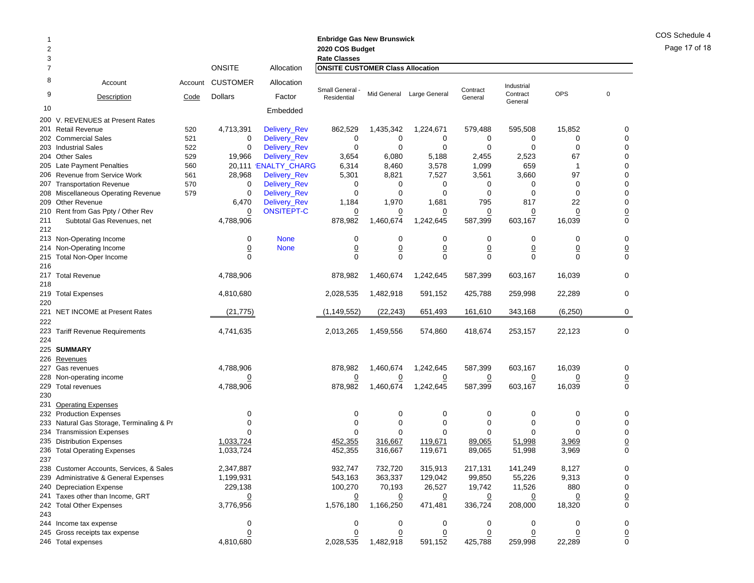| 2<br>3     |                                           |         |                 |                      | <b>Enbridge Gas New Brunswick</b><br>2020 COS Budget<br><b>Rate Classes</b> |                |                           |                |                     |                |                 |
|------------|-------------------------------------------|---------|-----------------|----------------------|-----------------------------------------------------------------------------|----------------|---------------------------|----------------|---------------------|----------------|-----------------|
| 7          |                                           |         | <b>ONSITE</b>   | Allocation           | <b>ONSITE CUSTOMER Class Allocation</b>                                     |                |                           |                |                     |                |                 |
| 8          | Account                                   | Account | <b>CUSTOMER</b> | Allocation           | Small General -                                                             |                |                           | Contract       | Industrial          | <b>OPS</b>     |                 |
| 9          | Description                               | Code    | <b>Dollars</b>  | Factor               | Residential                                                                 |                | Mid General Large General | General        | Contract<br>General |                | $\mathbf 0$     |
| 10         |                                           |         |                 | Embedded             |                                                                             |                |                           |                |                     |                |                 |
|            | 200 V. REVENUES at Present Rates          |         |                 |                      |                                                                             |                |                           |                |                     |                |                 |
|            | 201 Retail Revenue                        | 520     | 4,713,391       | Delivery_Rev         | 862,529                                                                     | 1,435,342      | 1,224,671                 | 579,488        | 595,508             | 15,852         | 0               |
|            | 202 Commercial Sales                      | 521     | 0               | Delivery_Rev         | 0                                                                           | 0              | 0                         | 0              | 0                   | 0              | $\mathbf 0$     |
|            | 203 Industrial Sales                      | 522     | 0               | <b>Delivery Rev</b>  | $\mathbf 0$                                                                 | $\mathbf 0$    | $\mathbf 0$               | 0              | 0                   | $\mathbf 0$    | $\mathbf 0$     |
|            | 204 Other Sales                           | 529     | 19,966          | Delivery_Rev         | 3,654                                                                       | 6,080          | 5,188                     | 2,455          | 2,523               | 67             | 0               |
|            | 205 Late Payment Penalties                | 560     |                 | 20,111 'ENALTY_CHARG | 6,314                                                                       | 8,460          | 3,578                     | 1,099          | 659                 | 1              | 0               |
|            | 206 Revenue from Service Work             | 561     | 28,968          | Delivery_Rev         | 5,301                                                                       | 8,821          | 7,527                     | 3,561          | 3,660               | 97             | 0               |
| 207        | <b>Transportation Revenue</b>             | 570     | 0               | Delivery_Rev         | 0                                                                           | 0              | 0                         | 0              | 0                   | 0              | 0               |
|            | 208 Miscellaneous Operating Revenue       | 579     | 0               | Delivery_Rev         | 0                                                                           | 0              | 0                         | 0              | 0                   | $\mathbf 0$    | 0               |
|            | 209 Other Revenue                         |         | 6,470           | Delivery_Rev         | 1,184                                                                       | 1,970          | 1,681                     | 795            | 817                 | 22             | 0               |
|            | 210 Rent from Gas Ppty / Other Rev        |         | $\overline{0}$  | <b>ONSITEPT-C</b>    | $\overline{0}$                                                              | $\overline{0}$ | <u>0</u>                  | $\overline{0}$ | $\overline{0}$      | $\overline{0}$ | $\frac{0}{0}$   |
| 211<br>212 | Subtotal Gas Revenues, net                |         | 4,788,906       |                      | 878,982                                                                     | 1,460,674      | 1,242,645                 | 587,399        | 603,167             | 16,039         |                 |
|            | 213 Non-Operating Income                  |         | 0               | <b>None</b>          | 0                                                                           | 0              | 0                         | 0              | 0                   | 0              | 0               |
|            | 214 Non-Operating Income                  |         | $\overline{0}$  | <b>None</b>          | $\underline{0}$                                                             | $\overline{0}$ | $\pmb{0}$                 | $\overline{0}$ | $\overline{0}$      | $\overline{0}$ | $\underline{0}$ |
| 215        | Total Non-Oper Income                     |         | $\Omega$        |                      | $\Omega$                                                                    | $\Omega$       | $\Omega$                  | 0              | 0                   | $\Omega$       | $\mathbf 0$     |
| 216        |                                           |         |                 |                      |                                                                             |                |                           |                |                     |                |                 |
| 218        | 217 Total Revenue                         |         | 4,788,906       |                      | 878,982                                                                     | 1,460,674      | 1,242,645                 | 587,399        | 603,167             | 16,039         | $\mathbf 0$     |
| 220        | 219 Total Expenses                        |         | 4,810,680       |                      | 2,028,535                                                                   | 1,482,918      | 591,152                   | 425,788        | 259,998             | 22,289         | 0               |
| 222        | 221 NET INCOME at Present Rates           |         | (21, 775)       |                      | (1, 149, 552)                                                               | (22, 243)      | 651,493                   | 161,610        | 343,168             | (6, 250)       | 0               |
| 224        | 223 Tariff Revenue Requirements           |         | 4,741,635       |                      | 2,013,265                                                                   | 1,459,556      | 574,860                   | 418,674        | 253,157             | 22,123         | $\mathbf 0$     |
|            | 225 SUMMARY                               |         |                 |                      |                                                                             |                |                           |                |                     |                |                 |
|            | 226 Revenues                              |         |                 |                      |                                                                             |                |                           |                |                     |                |                 |
| 227        | Gas revenues                              |         | 4,788,906       |                      | 878,982                                                                     | 1,460,674      | 1,242,645                 | 587,399        | 603,167             | 16,039         | 0               |
|            | 228 Non-operating income                  |         | $\overline{0}$  |                      | $\overline{0}$                                                              | $\overline{0}$ | <u>0</u>                  | $\overline{0}$ | $\overline{0}$      | <u>0</u>       | $\underline{0}$ |
|            | 229 Total revenues                        |         | 4,788,906       |                      | 878,982                                                                     | 1,460,674      | 1,242,645                 | 587,399        | 603,167             | 16,039         | $\mathbf 0$     |
| 230        |                                           |         |                 |                      |                                                                             |                |                           |                |                     |                |                 |
| 231        | <b>Operating Expenses</b>                 |         |                 |                      |                                                                             |                |                           |                |                     |                |                 |
|            | 232 Production Expenses                   |         | 0               |                      | 0                                                                           | 0              | 0                         | 0              | 0                   | 0              | 0               |
|            | 233 Natural Gas Storage, Terminaling & Pr |         | $\Omega$        |                      | 0                                                                           | $\mathbf 0$    | 0                         | 0              | 0                   | 0              | $\mathbf 0$     |
|            | 234 Transmission Expenses                 |         |                 |                      | $\Omega$                                                                    | $\mathbf 0$    | $\Omega$                  | $\Omega$       | $\Omega$            | $\Omega$       | $\mathbf 0$     |
|            | 235 Distribution Expenses                 |         | 1,033,724       |                      | 452,355                                                                     | 316,667        | 119,671                   | 89,065         | 51,998              | 3,969          | $\overline{0}$  |
|            | 236 Total Operating Expenses              |         | 1,033,724       |                      | 452,355                                                                     | 316.667        | 119,671                   | 89,065         | 51,998              | 3,969          | $\mathbf 0$     |
| 237        |                                           |         |                 |                      |                                                                             |                |                           |                |                     |                |                 |
|            | 238 Customer Accounts, Services, & Sales  |         | 2,347,887       |                      | 932,747                                                                     | 732,720        | 315,913                   | 217,131        | 141,249             | 8,127          | 0               |
|            | 239 Administrative & General Expenses     |         | 1,199,931       |                      | 543,163                                                                     | 363,337        | 129,042                   | 99,850         | 55,226              | 9,313          | 0               |
|            | 240 Depreciation Expense                  |         | 229,138         |                      | 100,270                                                                     | 70,193         | 26,527                    | 19,742         | 11,526              | 880            | 0               |
|            | 241 Taxes other than Income, GRT          |         |                 |                      | $\overline{0}$                                                              | $\overline{0}$ | $\overline{0}$            | <u>0</u>       |                     | <u>0</u>       | $\underline{0}$ |
|            | 242 Total Other Expenses                  |         | 3,776,956       |                      | 1,576,180                                                                   | 1,166,250      | 471,481                   | 336,724        | 208,000             | 18,320         | $\mathbf 0$     |
| 243        |                                           |         |                 |                      |                                                                             |                |                           |                |                     |                |                 |
|            | 244 Income tax expense                    |         | 0               |                      | 0                                                                           | 0              | 0                         | 0              | 0                   | 0              | 0               |
|            | 245 Gross receipts tax expense            |         | $\overline{0}$  |                      | $\Omega$                                                                    | $\overline{0}$ | <u>0</u>                  | $\overline{0}$ | $\overline{0}$      | $\overline{0}$ | $\underline{0}$ |
|            | 246 Total expenses                        |         | 4,810,680       |                      | 2,028,535                                                                   | 1,482,918      | 591,152                   | 425,788        | 259,998             | 22,289         | 0               |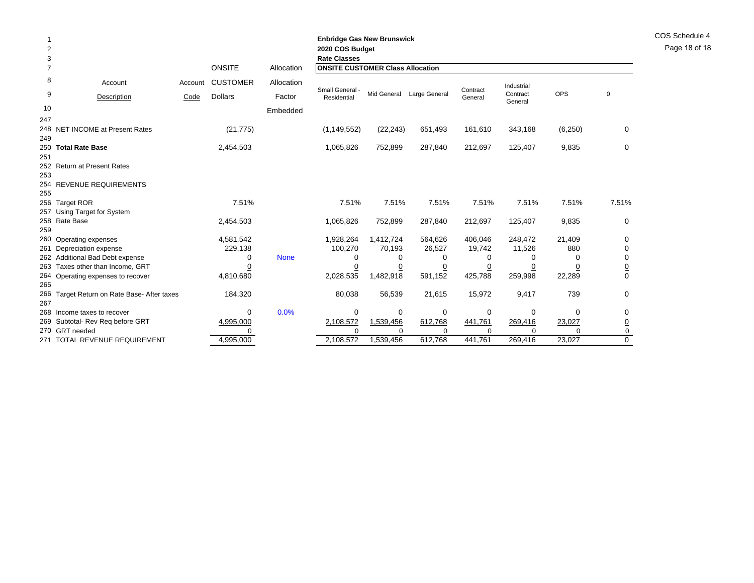| 2<br>3         |                                                             |         |                 |             | <b>Enbridge Gas New Brunswick</b><br>2020 COS Budget<br><b>Rate Classes</b> |             |               |                     |                     |                 |             |
|----------------|-------------------------------------------------------------|---------|-----------------|-------------|-----------------------------------------------------------------------------|-------------|---------------|---------------------|---------------------|-----------------|-------------|
| $\overline{7}$ |                                                             |         | <b>ONSITE</b>   | Allocation  | <b>ONSITE CUSTOMER Class Allocation</b>                                     |             |               |                     |                     |                 |             |
| 8              | Account                                                     | Account | <b>CUSTOMER</b> | Allocation  |                                                                             |             |               |                     | Industrial          |                 |             |
| 9              | Description                                                 | Code    | <b>Dollars</b>  | Factor      | Small General -<br>Residential                                              | Mid General | Large General | Contract<br>General | Contract<br>General | OPS             | $\mathbf 0$ |
| 10             |                                                             |         |                 | Embedded    |                                                                             |             |               |                     |                     |                 |             |
| 247            |                                                             |         |                 |             |                                                                             |             |               |                     |                     |                 |             |
|                | 248 NET INCOME at Present Rates                             |         | (21, 775)       |             | (1, 149, 552)                                                               | (22, 243)   | 651,493       | 161,610             | 343,168             | (6, 250)        | 0           |
| 249            |                                                             |         |                 |             |                                                                             |             |               |                     |                     |                 |             |
| 251            | 250 Total Rate Base                                         |         | 2,454,503       |             | 1,065,826                                                                   | 752,899     | 287,840       | 212,697             | 125,407             | 9,835           | 0           |
|                | 252 Return at Present Rates                                 |         |                 |             |                                                                             |             |               |                     |                     |                 |             |
| 253            |                                                             |         |                 |             |                                                                             |             |               |                     |                     |                 |             |
|                | 254 REVENUE REQUIREMENTS                                    |         |                 |             |                                                                             |             |               |                     |                     |                 |             |
| 255            |                                                             |         |                 |             |                                                                             |             |               |                     |                     |                 |             |
|                | 256 Target ROR                                              |         | 7.51%           |             | 7.51%                                                                       | 7.51%       | 7.51%         | 7.51%               | 7.51%               | 7.51%           | 7.51%       |
|                | 257 Using Target for System                                 |         |                 |             |                                                                             |             |               |                     |                     |                 |             |
|                | 258 Rate Base                                               |         | 2,454,503       |             | 1,065,826                                                                   | 752,899     | 287,840       | 212,697             | 125,407             | 9,835           | $\Omega$    |
| 259            |                                                             |         |                 |             |                                                                             |             |               |                     |                     |                 |             |
|                | 260 Operating expenses                                      |         | 4,581,542       |             | 1,928,264                                                                   | 1,412,724   | 564,626       | 406,046             | 248,472             | 21,409          | 0           |
|                | 261 Depreciation expense<br>262 Additional Bad Debt expense |         | 229,138<br>0    | <b>None</b> | 100,270<br>0                                                                | 70,193<br>0 | 26,527<br>0   | 19,742<br>0         | 11,526<br>0         | 880<br>$\Omega$ | 0           |
|                | 263 Taxes other than Income, GRT                            |         |                 |             | 0                                                                           | 0           | 0             | 0                   | 0                   | 0               |             |
|                | 264 Operating expenses to recover                           |         | 4,810,680       |             | 2,028,535                                                                   | 1,482,918   | 591,152       | 425,788             | 259,998             | 22,289          | $\Omega$    |
| 265            |                                                             |         |                 |             |                                                                             |             |               |                     |                     |                 |             |
|                | 266 Target Return on Rate Base- After taxes                 |         | 184,320         |             | 80,038                                                                      | 56,539      | 21,615        | 15,972              | 9,417               | 739             | 0           |
| 267            |                                                             |         |                 |             |                                                                             |             |               |                     |                     |                 |             |
|                | 268 Income taxes to recover                                 |         | $\Omega$        | 0.0%        | 0                                                                           | 0           | 0             | 0                   | 0                   | $\Omega$        | 0           |
|                | 269 Subtotal- Rev Req before GRT                            |         | 4,995,000       |             | 2,108,572                                                                   | 1,539,456   | 612,768       | 441,761             | 269,416             | 23,027          |             |
|                | 270 GRT needed                                              |         |                 |             | $\Omega$                                                                    | $\Omega$    | $\Omega$      | $\Omega$            | $\Omega$            | $\Omega$        | 0           |
|                | 271 TOTAL REVENUE REQUIREMENT                               |         | 4,995,000       |             | 2,108,572                                                                   | 1,539,456   | 612,768       | 441,761             | 269,416             | 23,027          | $\Omega$    |

COS Schedule 4 Page 18 of 18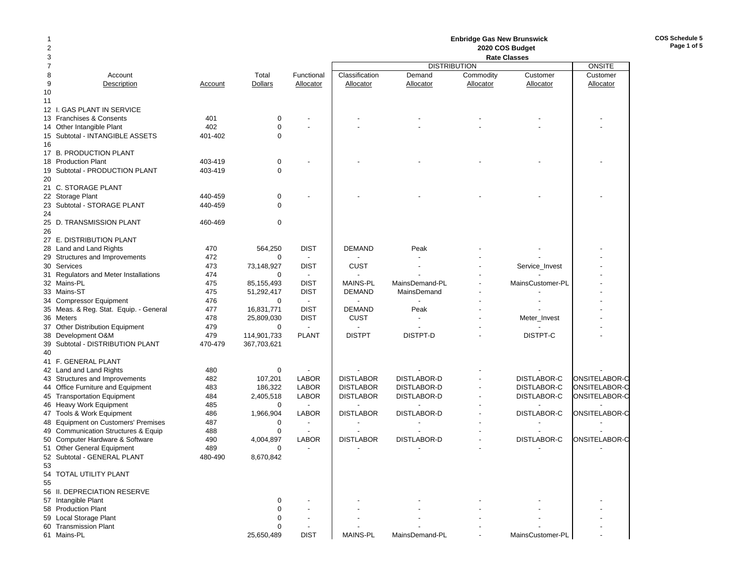### **Enbridge Gas New Brunswick 2020 COS Budget**

**COS Schedule 5Page 1 of 5**

| 3                                      |         |                |                          |                  |                     |           | <b>Rate Classes</b> |               |
|----------------------------------------|---------|----------------|--------------------------|------------------|---------------------|-----------|---------------------|---------------|
| $\overline{7}$                         |         |                |                          |                  | <b>DISTRIBUTION</b> |           |                     | <b>ONSITE</b> |
| 8<br>Account                           |         | Total          | Functional               | Classification   | Demand              | Commodity | Customer            | Customer      |
| 9<br>Description                       | Account | <b>Dollars</b> | Allocator                | Allocator        | Allocator           | Allocator | Allocator           | Allocator     |
| 10                                     |         |                |                          |                  |                     |           |                     |               |
| 11                                     |         |                |                          |                  |                     |           |                     |               |
| 12 I. GAS PLANT IN SERVICE             |         |                |                          |                  |                     |           |                     |               |
| 13 Franchises & Consents               | 401     | 0              |                          |                  |                     |           |                     |               |
| 14 Other Intangible Plant              | 402     | $\mathbf 0$    |                          |                  |                     |           |                     |               |
| 15 Subtotal - INTANGIBLE ASSETS        | 401-402 | $\Omega$       |                          |                  |                     |           |                     |               |
| 16                                     |         |                |                          |                  |                     |           |                     |               |
| 17 B. PRODUCTION PLANT                 |         |                |                          |                  |                     |           |                     |               |
| 18 Production Plant                    | 403-419 | $\mathbf 0$    |                          |                  |                     |           |                     |               |
| 19 Subtotal - PRODUCTION PLANT         | 403-419 | $\mathbf 0$    |                          |                  |                     |           |                     |               |
| 20                                     |         |                |                          |                  |                     |           |                     |               |
| 21 C. STORAGE PLANT                    |         |                |                          |                  |                     |           |                     |               |
| 22 Storage Plant                       | 440-459 | 0              |                          |                  |                     |           |                     |               |
|                                        |         |                |                          |                  |                     |           |                     |               |
| 23 Subtotal - STORAGE PLANT            | 440-459 | $\mathbf 0$    |                          |                  |                     |           |                     |               |
| 24                                     |         |                |                          |                  |                     |           |                     |               |
| 25 D. TRANSMISSION PLANT               | 460-469 | 0              |                          |                  |                     |           |                     |               |
|                                        |         |                |                          |                  |                     |           |                     |               |
| 27 E. DISTRIBUTION PLANT               |         |                |                          |                  |                     |           |                     |               |
| 28 Land and Land Rights                | 470     | 564,250        | <b>DIST</b>              | <b>DEMAND</b>    | Peak                |           |                     |               |
| 29 Structures and Improvements         | 472     | $\Omega$       | $\overline{\phantom{a}}$ |                  |                     |           |                     |               |
| 30 Services                            | 473     | 73,148,927     | <b>DIST</b>              | CUST             |                     |           | Service_Invest      |               |
| 31 Regulators and Meter Installations  | 474     | $\Omega$       | $\overline{\phantom{a}}$ |                  |                     |           |                     |               |
| 32 Mains-PL                            | 475     | 85,155,493     | <b>DIST</b>              | <b>MAINS-PL</b>  | MainsDemand-PL      |           | MainsCustomer-PL    |               |
| 33 Mains-ST                            | 475     | 51,292,417     | <b>DIST</b>              | <b>DEMAND</b>    | MainsDemand         |           |                     |               |
| 34 Compressor Equipment                | 476     | $\mathbf 0$    | $\sim$                   |                  |                     |           |                     |               |
| 35 Meas. & Reg. Stat. Equip. - General | 477     | 16,831,771     | <b>DIST</b>              | <b>DEMAND</b>    | Peak                |           |                     |               |
| 36 Meters                              | 478     | 25,809,030     | <b>DIST</b>              | <b>CUST</b>      |                     |           | Meter_Invest        |               |
| 37 Other Distribution Equipment        | 479     | $\mathbf 0$    | $\overline{\phantom{a}}$ |                  |                     |           |                     |               |
| 38 Development O&M                     | 479     | 114,901,733    | <b>PLANT</b>             | <b>DISTPT</b>    | DISTPT-D            |           | DISTPT-C            |               |
| 39 Subtotal - DISTRIBUTION PLANT       | 470-479 | 367,703,621    |                          |                  |                     |           |                     |               |
| 40                                     |         |                |                          |                  |                     |           |                     |               |
| 41 F. GENERAL PLANT                    |         |                |                          |                  |                     |           |                     |               |
| 42 Land and Land Rights                | 480     | 0              |                          |                  |                     |           |                     |               |
| 43 Structures and Improvements         | 482     | 107,201        | <b>LABOR</b>             | <b>DISTLABOR</b> | DISTLABOR-D         |           | <b>DISTLABOR-C</b>  | ONSITELABOR-C |
| 44 Office Furniture and Equipment      | 483     | 186,322        | <b>LABOR</b>             | <b>DISTLABOR</b> | DISTLABOR-D         |           | <b>DISTLABOR-C</b>  | ONSITELABOR-C |
| 45 Transportation Equipment            | 484     | 2,405,518      | <b>LABOR</b>             | <b>DISTLABOR</b> | DISTLABOR-D         |           | DISTLABOR-C         | ONSITELABOR-C |
| 46 Heavy Work Equipment                | 485     | 0              | $\overline{\phantom{a}}$ |                  |                     |           |                     |               |
| 47 Tools & Work Equipment              | 486     | 1,966,904      | <b>LABOR</b>             | <b>DISTLABOR</b> | <b>DISTLABOR-D</b>  |           | DISTLABOR-C         | ONSITELABOR-C |
| 48 Equipment on Customers' Premises    | 487     | $\mathbf 0$    |                          |                  |                     |           |                     |               |
| 49 Communication Structures & Equip    | 488     | $\mathbf 0$    |                          |                  |                     |           |                     |               |
| 50 Computer Hardware & Software        | 490     | 4,004,897      | <b>LABOR</b>             | <b>DISTLABOR</b> | DISTLABOR-D         |           | <b>DISTLABOR-C</b>  | ONSITELABOR-C |
| 51 Other General Equipment             | 489     | $\mathbf 0$    |                          |                  |                     |           |                     |               |
| 52 Subtotal - GENERAL PLANT            | 480-490 | 8,670,842      |                          |                  |                     |           |                     |               |
| 53                                     |         |                |                          |                  |                     |           |                     |               |
| 54 TOTAL UTILITY PLANT                 |         |                |                          |                  |                     |           |                     |               |
| 55                                     |         |                |                          |                  |                     |           |                     |               |
| 56 II. DEPRECIATION RESERVE            |         |                |                          |                  |                     |           |                     |               |
| 57 Intangible Plant                    |         | 0              |                          |                  |                     |           |                     |               |
| 58 Production Plant                    |         | 0              |                          |                  |                     |           |                     |               |
|                                        |         | 0              |                          |                  |                     |           |                     |               |
| 59 Local Storage Plant                 |         |                |                          |                  |                     |           |                     |               |
| 60 Transmission Plant                  |         | 0              |                          |                  |                     |           |                     |               |
| 61 Mains-PL                            |         | 25,650,489     | <b>DIST</b>              | <b>MAINS-PL</b>  | MainsDemand-PL      |           | MainsCustomer-PL    |               |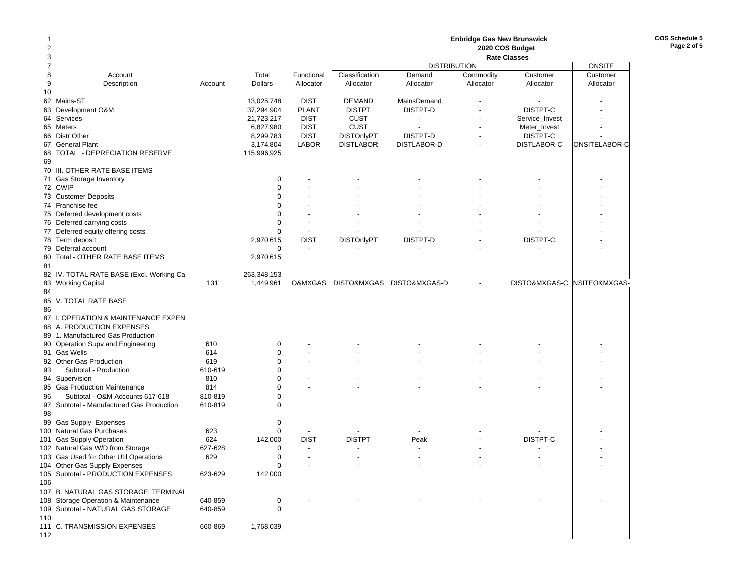| 1<br>2 |                                                                  |                |                      |                          |                   |                           | <b>Enbridge Gas New Brunswick</b> |                                        |                             |
|--------|------------------------------------------------------------------|----------------|----------------------|--------------------------|-------------------|---------------------------|-----------------------------------|----------------------------------------|-----------------------------|
| 3      |                                                                  |                |                      |                          |                   |                           |                                   | 2020 COS Budget<br><b>Rate Classes</b> |                             |
| 7      |                                                                  |                |                      |                          |                   | <b>DISTRIBUTION</b>       |                                   |                                        | <b>ONSITE</b>               |
| 8      | Account                                                          |                | Total                | Functional               | Classification    | Demand                    | Commodity                         | Customer                               | Customer                    |
| 9      | Description                                                      | Account        | <b>Dollars</b>       | Allocator                | <b>Allocator</b>  | Allocator                 | Allocator                         | Allocator                              | Allocator                   |
| 10     |                                                                  |                |                      |                          |                   |                           |                                   |                                        |                             |
|        | 62 Mains-ST                                                      |                | 13,025,748           | <b>DIST</b>              | <b>DEMAND</b>     | <b>MainsDemand</b>        |                                   |                                        |                             |
| 63     | Development O&M                                                  |                | 37,294,904           | <b>PLANT</b>             | <b>DISTPT</b>     | DISTPT-D                  |                                   | DISTPT-C                               |                             |
|        | 64 Services                                                      |                | 21,723,217           | <b>DIST</b>              | <b>CUST</b>       | $\overline{\phantom{a}}$  |                                   | Service_Invest                         |                             |
|        | 65 Meters                                                        |                | 6,827,980            | <b>DIST</b>              | <b>CUST</b>       |                           |                                   | Meter_Invest                           |                             |
| 66     | Distr Other                                                      |                | 8,299,783            | <b>DIST</b>              | <b>DISTOnlyPT</b> | DISTPT-D                  |                                   | DISTPT-C                               |                             |
|        | 67 General Plant                                                 |                | 3,174,804            | <b>LABOR</b>             | <b>DISTLABOR</b>  | DISTLABOR-D               |                                   | DISTLABOR-C                            | ONSITELABOR-C               |
| 68     | TOTAL - DEPRECIATION RESERVE                                     |                | 115,996,925          |                          |                   |                           |                                   |                                        |                             |
| 69     | 70 III. OTHER RATE BASE ITEMS                                    |                |                      |                          |                   |                           |                                   |                                        |                             |
|        |                                                                  |                | 0                    | $\overline{a}$           |                   |                           |                                   |                                        |                             |
|        | 71 Gas Storage Inventory<br>72 CWIP                              |                | $\Omega$             | $\overline{\phantom{a}}$ |                   |                           |                                   |                                        |                             |
|        | 73 Customer Deposits                                             |                | $\mathbf 0$          | $\overline{\phantom{a}}$ |                   |                           |                                   |                                        |                             |
|        | 74 Franchise fee                                                 |                | $\Omega$             |                          |                   |                           |                                   |                                        |                             |
|        | 75 Deferred development costs                                    |                | $\mathbf 0$          | ٠                        |                   |                           |                                   |                                        |                             |
|        | 76 Deferred carrying costs                                       |                | $\mathbf 0$          | $\blacksquare$           |                   |                           |                                   |                                        |                             |
|        | 77 Deferred equity offering costs                                |                | $\mathbf 0$          | $\blacksquare$           |                   |                           |                                   |                                        |                             |
|        | 78 Term deposit                                                  |                | 2,970,615            | <b>DIST</b>              | <b>DISTOnlyPT</b> | <b>DISTPT-D</b>           |                                   | DISTPT-C                               |                             |
|        | 79 Deferral account                                              |                | $\mathbf 0$          | $\blacksquare$           |                   |                           |                                   |                                        |                             |
|        | 80 Total - OTHER RATE BASE ITEMS                                 |                | 2,970,615            |                          |                   |                           |                                   |                                        |                             |
| 81     |                                                                  |                |                      |                          |                   |                           |                                   |                                        |                             |
|        | 82 IV. TOTAL RATE BASE (Excl. Working Ca                         |                | 263,348,153          |                          |                   |                           |                                   |                                        |                             |
|        | 83 Working Capital                                               | 131            | 1,449,961            | O&MXGAS                  |                   | DISTO&MXGAS DISTO&MXGAS-D |                                   |                                        | DISTO&MXGAS-C NSITEO&MXGAS- |
| 84     |                                                                  |                |                      |                          |                   |                           |                                   |                                        |                             |
|        | 85 V. TOTAL RATE BASE                                            |                |                      |                          |                   |                           |                                   |                                        |                             |
| 86     |                                                                  |                |                      |                          |                   |                           |                                   |                                        |                             |
|        | 87 I. OPERATION & MAINTENANCE EXPEN                              |                |                      |                          |                   |                           |                                   |                                        |                             |
|        | 88 A. PRODUCTION EXPENSES                                        |                |                      |                          |                   |                           |                                   |                                        |                             |
|        | 89 1. Manufactured Gas Production                                |                |                      |                          |                   |                           |                                   |                                        |                             |
|        | 90 Operation Supv and Engineering                                | 610            | 0                    |                          |                   |                           |                                   |                                        |                             |
|        | 91 Gas Wells                                                     | 614            | $\mathbf 0$          |                          |                   |                           |                                   |                                        |                             |
|        | 92 Other Gas Production                                          | 619            | $\mathbf 0$          |                          |                   |                           |                                   |                                        |                             |
| 93     | Subtotal - Production                                            | 610-619        | $\Omega$             |                          |                   |                           |                                   |                                        |                             |
|        | 94 Supervision                                                   | 810            | $\Omega$<br>$\Omega$ | $\overline{\phantom{a}}$ |                   |                           |                                   |                                        |                             |
| 96     | 95 Gas Production Maintenance<br>Subtotal - O&M Accounts 617-618 | 814<br>810-819 | $\mathbf 0$          |                          |                   |                           |                                   |                                        |                             |
|        | 97 Subtotal - Manufactured Gas Production                        | 610-819        | $\mathbf 0$          |                          |                   |                           |                                   |                                        |                             |
| 98     |                                                                  |                |                      |                          |                   |                           |                                   |                                        |                             |
|        | 99 Gas Supply Expenses                                           |                | $\mathbf 0$          |                          |                   |                           |                                   |                                        |                             |
|        | 100 Natural Gas Purchases                                        | 623            | $\mathbf 0$          |                          |                   |                           |                                   |                                        |                             |
|        | 101 Gas Supply Operation                                         | 624            | 142,000              | <b>DIST</b>              | <b>DISTPT</b>     | Peak                      |                                   | DISTPT-C                               |                             |
|        | 102 Natural Gas W/D from Storage                                 | 627-628        | $\mathbf 0$          | $\overline{\phantom{a}}$ |                   |                           |                                   |                                        |                             |
|        | 103 Gas Used for Other Util Operations                           | 629            | $\mathbf 0$          | $\overline{\phantom{a}}$ |                   |                           |                                   |                                        |                             |
|        | 104 Other Gas Supply Expenses                                    |                | 0                    |                          |                   |                           |                                   |                                        |                             |
|        | 105 Subtotal - PRODUCTION EXPENSES                               | 623-629        | 142,000              |                          |                   |                           |                                   |                                        |                             |
| 106    |                                                                  |                |                      |                          |                   |                           |                                   |                                        |                             |
|        | 107 B. NATURAL GAS STORAGE, TERMINAL                             |                |                      |                          |                   |                           |                                   |                                        |                             |
|        | 108 Storage Operation & Maintenance                              | 640-859        | 0                    |                          |                   |                           |                                   |                                        |                             |
|        | 109 Subtotal - NATURAL GAS STORAGE                               | 640-859        | 0                    |                          |                   |                           |                                   |                                        |                             |
| 110    |                                                                  |                |                      |                          |                   |                           |                                   |                                        |                             |
|        | 111 C. TRANSMISSION EXPENSES                                     | 660-869        | 1,768,039            |                          |                   |                           |                                   |                                        |                             |
| 112    |                                                                  |                |                      |                          |                   |                           |                                   |                                        |                             |

**COS Schedule 5 Page 2 of 5**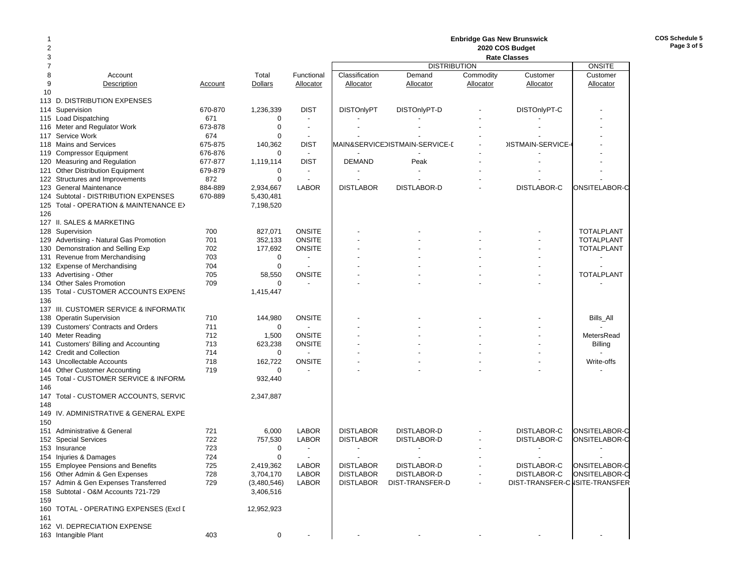| 2   |                                                         |            |             |                                |                   |                                |           | <b>Enbridge Gas New Brunswick</b><br>2020 COS Budget |                      |
|-----|---------------------------------------------------------|------------|-------------|--------------------------------|-------------------|--------------------------------|-----------|------------------------------------------------------|----------------------|
| 3   |                                                         |            |             |                                |                   |                                |           | <b>Rate Classes</b>                                  |                      |
|     |                                                         |            |             |                                |                   | <b>DISTRIBUTION</b>            |           |                                                      | <b>ONSITE</b>        |
| 8   | Account                                                 |            | Total       | Functional                     | Classification    | Demand                         | Commodity | Customer                                             | Customer             |
| 9   | Description                                             | Account    | Dollars     | Allocator                      | Allocator         | Allocator                      | Allocator | Allocator                                            | Allocator            |
| 10  |                                                         |            |             |                                |                   |                                |           |                                                      |                      |
|     | 113 D. DISTRIBUTION EXPENSES                            |            |             |                                |                   |                                |           |                                                      |                      |
| 114 | Supervision                                             | 670-870    | 1,236,339   | <b>DIST</b>                    | <b>DISTOnlyPT</b> | DISTOnlyPT-D                   |           | DISTOnlyPT-C                                         |                      |
| 115 | <b>Load Dispatching</b>                                 | 671        | 0           |                                |                   |                                |           |                                                      |                      |
|     | 116 Meter and Regulator Work                            | 673-878    | $\mathbf 0$ | $\blacksquare$                 |                   |                                |           |                                                      |                      |
| 117 | Service Work                                            | 674        | $\mathbf 0$ | $\blacksquare$                 |                   |                                |           |                                                      |                      |
|     | 118 Mains and Services                                  | 675-875    | 140,362     | <b>DIST</b>                    |                   | MAIN&SERVICEDISTMAIN-SERVICE-E |           | <b>JISTMAIN-SERVICE-</b>                             |                      |
| 119 | <b>Compressor Equipment</b>                             | 676-876    | 0           | $\blacksquare$                 |                   |                                |           |                                                      |                      |
|     | 120 Measuring and Regulation                            | 677-877    | 1,119,114   | <b>DIST</b>                    | <b>DEMAND</b>     | Peak                           |           |                                                      |                      |
| 121 | Other Distribution Equipment                            | 679-879    | 0           | $\overline{a}$                 |                   |                                |           |                                                      |                      |
|     | 122 Structures and Improvements                         | 872        | $\mathbf 0$ | $\overline{a}$                 |                   |                                |           |                                                      |                      |
| 123 | <b>General Maintenance</b>                              | 884-889    | 2,934,667   | <b>LABOR</b>                   | <b>DISTLABOR</b>  | <b>DISTLABOR-D</b>             |           | DISTLABOR-C                                          | ONSITELABOR-C        |
|     | 124 Subtotal - DISTRIBUTION EXPENSES                    | 670-889    | 5,430,481   |                                |                   |                                |           |                                                      |                      |
|     | 125 Total - OPERATION & MAINTENANCE E>                  |            | 7,198,520   |                                |                   |                                |           |                                                      |                      |
| 126 |                                                         |            |             |                                |                   |                                |           |                                                      |                      |
|     | 127 II. SALES & MARKETING                               |            |             |                                |                   |                                |           |                                                      |                      |
|     | 128 Supervision                                         | 700        | 827,071     | <b>ONSITE</b>                  |                   |                                |           |                                                      | <b>TOTALPLANT</b>    |
|     | 129 Advertising - Natural Gas Promotion                 | 701        | 352,133     | <b>ONSITE</b><br><b>ONSITE</b> |                   |                                |           |                                                      | <b>TOTALPLANT</b>    |
|     | 130 Demonstration and Selling Exp                       | 702        | 177,692     |                                |                   |                                |           |                                                      | <b>TOTALPLANT</b>    |
|     | 131 Revenue from Merchandising                          | 703<br>704 | 0           |                                |                   |                                |           |                                                      |                      |
|     | 132 Expense of Merchandising<br>133 Advertising - Other | 705        | 0           | <b>ONSITE</b>                  |                   |                                |           |                                                      | <b>TOTALPLANT</b>    |
|     | 134 Other Sales Promotion                               | 709        | 58,550<br>0 |                                |                   |                                |           |                                                      |                      |
| 135 | Total - CUSTOMER ACCOUNTS EXPENS                        |            | 1,415,447   |                                |                   |                                |           |                                                      |                      |
| 136 |                                                         |            |             |                                |                   |                                |           |                                                      |                      |
|     | 137 III. CUSTOMER SERVICE & INFORMATIO                  |            |             |                                |                   |                                |           |                                                      |                      |
| 138 | <b>Operatin Supervision</b>                             | 710        | 144,980     | <b>ONSITE</b>                  |                   |                                |           |                                                      | Bills_All            |
|     | 139 Customers' Contracts and Orders                     | 711        | $\mathbf 0$ |                                |                   |                                |           |                                                      |                      |
|     | 140 Meter Reading                                       | 712        | 1,500       | <b>ONSITE</b>                  |                   |                                |           |                                                      | MetersRead           |
|     | 141 Customers' Billing and Accounting                   | 713        | 623,238     | <b>ONSITE</b>                  |                   |                                |           |                                                      | Billing              |
|     | 142 Credit and Collection                               | 714        | $\mathbf 0$ |                                |                   |                                |           |                                                      |                      |
|     | 143 Uncollectable Accounts                              | 718        | 162,722     | <b>ONSITE</b>                  |                   |                                |           |                                                      | Write-offs           |
| 144 | <b>Other Customer Accounting</b>                        | 719        | $\mathbf 0$ |                                |                   |                                |           |                                                      |                      |
|     | 145 Total - CUSTOMER SERVICE & INFORM.                  |            | 932,440     |                                |                   |                                |           |                                                      |                      |
| 146 |                                                         |            |             |                                |                   |                                |           |                                                      |                      |
|     | 147 Total - CUSTOMER ACCOUNTS, SERVIC                   |            | 2,347,887   |                                |                   |                                |           |                                                      |                      |
| 148 |                                                         |            |             |                                |                   |                                |           |                                                      |                      |
| 149 | IV. ADMINISTRATIVE & GENERAL EXPE                       |            |             |                                |                   |                                |           |                                                      |                      |
| 150 |                                                         |            |             |                                |                   |                                |           |                                                      |                      |
|     | 151 Administrative & General                            | 721        | 6,000       | <b>LABOR</b>                   | <b>DISTLABOR</b>  | <b>DISTLABOR-D</b>             |           | <b>DISTLABOR-C</b>                                   | ONSITELABOR-C        |
|     | 152 Special Services                                    | 722        | 757,530     | <b>LABOR</b>                   | <b>DISTLABOR</b>  | <b>DISTLABOR-D</b>             |           | DISTLABOR-C                                          | <b>ONSITELABOR-C</b> |
|     | 153 Insurance                                           | 723        | $\mathbf 0$ | $\overline{a}$                 |                   |                                |           |                                                      |                      |
|     | 154 Injuries & Damages                                  | 724        | $\mathbf 0$ |                                |                   |                                |           |                                                      |                      |
|     | 155 Employee Pensions and Benefits                      | 725        | 2,419,362   | LABOR                          | <b>DISTLABOR</b>  | DISTLABOR-D                    |           | DISTLABOR-C                                          | ONSITELABOR-C        |
|     | 156 Other Admin & Gen Expenses                          | 728        | 3,704,170   | <b>LABOR</b>                   | <b>DISTLABOR</b>  | DISTLABOR-D                    |           | DISTLABOR-C                                          | ONSITELABOR-C        |
|     | 157 Admin & Gen Expenses Transferred                    | 729        | (3,480,546) | <b>LABOR</b>                   | <b>DISTLABOR</b>  | DIST-TRANSFER-D                |           | DIST-TRANSFER-C ISITE-TRANSFER                       |                      |
|     | 158 Subtotal - O&M Accounts 721-729                     |            | 3,406,516   |                                |                   |                                |           |                                                      |                      |
| 159 |                                                         |            |             |                                |                   |                                |           |                                                      |                      |
|     | 160 TOTAL - OPERATING EXPENSES (Excl [                  |            | 12,952,923  |                                |                   |                                |           |                                                      |                      |
| 161 |                                                         |            |             |                                |                   |                                |           |                                                      |                      |
|     | 162 VI. DEPRECIATION EXPENSE                            |            |             |                                |                   |                                |           |                                                      |                      |
|     | 163 Intangible Plant                                    | 403        | 0           |                                |                   |                                |           |                                                      |                      |

**COS Schedule 5 Page 3 of 5**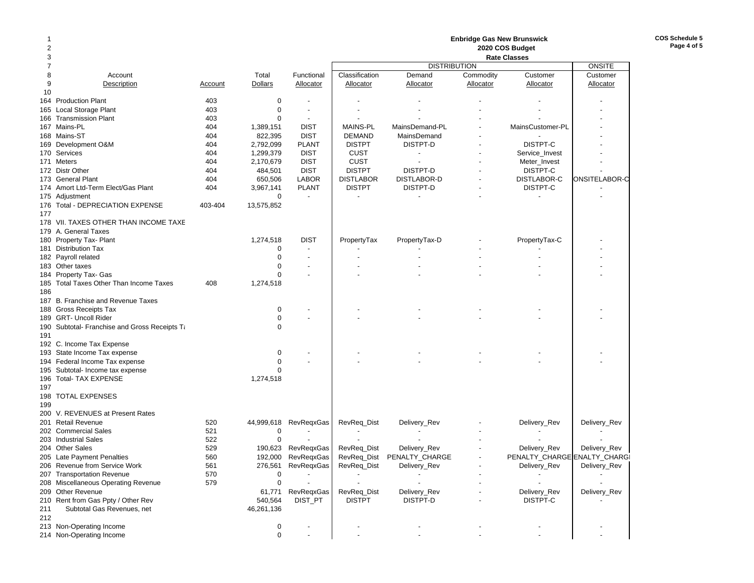| 1              |                                               |         |                |                          |                  |                     | <b>Enbridge Gas New Brunswick</b> |                              |               |
|----------------|-----------------------------------------------|---------|----------------|--------------------------|------------------|---------------------|-----------------------------------|------------------------------|---------------|
| 2              |                                               |         |                |                          |                  |                     |                                   | 2020 COS Budget              |               |
| 3              |                                               |         |                |                          |                  |                     |                                   | <b>Rate Classes</b>          |               |
| $\overline{7}$ |                                               |         |                |                          |                  | <b>DISTRIBUTION</b> |                                   |                              | <b>ONSITE</b> |
| 8              | Account                                       |         | Total          | Functional               | Classification   | Demand              | Commodity                         | Customer                     | Customer      |
| 9              | Description                                   | Account | <b>Dollars</b> | Allocator                | Allocator        | Allocator           | Allocator                         | Allocator                    | Allocator     |
| 10             |                                               |         |                |                          |                  |                     |                                   |                              |               |
|                | 164 Production Plant                          | 403     | 0              |                          |                  |                     |                                   |                              |               |
| 165            | Local Storage Plant                           | 403     | $\mathbf 0$    |                          |                  |                     |                                   |                              |               |
|                | 166 Transmission Plant                        | 403     | 0              | $\overline{\phantom{a}}$ |                  |                     |                                   |                              |               |
|                | 167 Mains-PL                                  | 404     | 1,389,151      | <b>DIST</b>              | <b>MAINS-PL</b>  | MainsDemand-PL      |                                   | MainsCustomer-PL             |               |
|                | 168 Mains-ST                                  | 404     | 822,395        | <b>DIST</b>              | <b>DEMAND</b>    | MainsDemand         |                                   |                              |               |
|                | 169 Development O&M                           | 404     | 2,792,099      | <b>PLANT</b>             | <b>DISTPT</b>    | DISTPT-D            |                                   | DISTPT-C                     |               |
|                | 170 Services                                  | 404     | 1,299,379      | <b>DIST</b>              | <b>CUST</b>      |                     |                                   | Service_Invest               |               |
|                | 171 Meters                                    | 404     | 2,170,679      | <b>DIST</b>              | <b>CUST</b>      |                     |                                   | Meter_Invest                 |               |
|                | 172 Distr Other                               | 404     | 484,501        | <b>DIST</b>              | <b>DISTPT</b>    | DISTPT-D            |                                   | DISTPT-C                     |               |
|                | 173 General Plant                             | 404     | 650,506        | <b>LABOR</b>             | <b>DISTLABOR</b> | DISTLABOR-D         |                                   | DISTLABOR-C                  | ONSITELABOR-C |
|                | 174 Amort Ltd-Term Elect/Gas Plant            | 404     | 3,967,141      | <b>PLANT</b>             | <b>DISTPT</b>    | DISTPT-D            |                                   | DISTPT-C                     |               |
|                | 175 Adjustment                                |         | $\mathbf 0$    | $\blacksquare$           |                  |                     |                                   |                              |               |
|                | 176 Total - DEPRECIATION EXPENSE              | 403-404 | 13,575,852     |                          |                  |                     |                                   |                              |               |
| 177            |                                               |         |                |                          |                  |                     |                                   |                              |               |
|                | 178 VII. TAXES OTHER THAN INCOME TAXE         |         |                |                          |                  |                     |                                   |                              |               |
|                | 179 A. General Taxes                          |         |                |                          |                  |                     |                                   |                              |               |
|                | 180 Property Tax- Plant                       |         | 1,274,518      | <b>DIST</b>              | PropertyTax      | PropertyTax-D       |                                   | PropertyTax-C                |               |
|                | 181 Distribution Tax                          |         | 0              |                          |                  |                     |                                   |                              |               |
|                | 182 Payroll related                           |         | 0              | $\overline{\phantom{a}}$ |                  |                     |                                   |                              |               |
|                | 183 Other taxes                               |         | 0              | $\overline{\phantom{a}}$ |                  |                     |                                   |                              |               |
|                | 184 Property Tax- Gas                         |         | $\Omega$       |                          |                  |                     |                                   |                              |               |
|                | 185 Total Taxes Other Than Income Taxes       | 408     | 1,274,518      |                          |                  |                     |                                   |                              |               |
| 186            |                                               |         |                |                          |                  |                     |                                   |                              |               |
|                | 187 B. Franchise and Revenue Taxes            |         |                |                          |                  |                     |                                   |                              |               |
|                | 188 Gross Receipts Tax                        |         | 0              |                          |                  |                     |                                   |                              |               |
|                | 189 GRT- Uncoll Rider                         |         | $\mathbf 0$    |                          |                  |                     |                                   |                              |               |
|                | 190 Subtotal- Franchise and Gross Receipts Ta |         | $\Omega$       |                          |                  |                     |                                   |                              |               |
| 191            |                                               |         |                |                          |                  |                     |                                   |                              |               |
|                | 192 C. Income Tax Expense                     |         |                |                          |                  |                     |                                   |                              |               |
|                | 193 State Income Tax expense                  |         | 0              |                          |                  |                     |                                   |                              |               |
|                | 194 Federal Income Tax expense                |         | 0              |                          |                  |                     |                                   |                              |               |
|                | 195 Subtotal- Income tax expense              |         | 0              |                          |                  |                     |                                   |                              |               |
|                | 196 Total- TAX EXPENSE                        |         | 1,274,518      |                          |                  |                     |                                   |                              |               |
| 197            |                                               |         |                |                          |                  |                     |                                   |                              |               |
|                | 198 TOTAL EXPENSES                            |         |                |                          |                  |                     |                                   |                              |               |
| 199            |                                               |         |                |                          |                  |                     |                                   |                              |               |
|                | 200 V. REVENUES at Present Rates              |         |                |                          |                  |                     |                                   |                              |               |
|                | 201 Retail Revenue                            | 520     |                | 44,999,618 RevReqxGas    | RevReq_Dist      | Delivery_Rev        |                                   | Delivery_Rev                 | Delivery_Rev  |
|                | 202 Commercial Sales                          | 521     | 0              |                          |                  |                     |                                   |                              |               |
|                | 203 Industrial Sales                          | 522     | $\mathbf 0$    |                          |                  |                     |                                   |                              |               |
|                | 204 Other Sales                               | 529     | 190,623        | <b>RevRegxGas</b>        | RevReq_Dist      | Delivery_Rev        |                                   | Delivery_Rev                 | Delivery_Rev  |
|                | 205 Late Payment Penalties                    | 560     | 192,000        | RevRegxGas               | RevReq_Dist      | PENALTY_CHARGE      |                                   | PENALTY_CHARGE ENALTY_CHARGI |               |
|                | 206 Revenue from Service Work                 | 561     |                | 276,561 RevReqxGas       | RevReq_Dist      | Delivery_Rev        |                                   | Delivery_Rev                 | Delivery_Rev  |
|                | 207 Transportation Revenue                    | 570     | 0              |                          |                  |                     |                                   |                              |               |
|                | 208 Miscellaneous Operating Revenue           | 579     | 0              |                          |                  |                     |                                   |                              |               |
|                | 209 Other Revenue                             |         | 61,771         | RevReqxGas               | RevReq_Dist      | Delivery_Rev        |                                   | Delivery_Rev                 | Delivery_Rev  |
|                | 210 Rent from Gas Ppty / Other Rev            |         | 540,564        | DIST_PT                  | <b>DISTPT</b>    | DISTPT-D            |                                   | DISTPT-C                     |               |
| 211            | Subtotal Gas Revenues, net                    |         | 46,261,136     |                          |                  |                     |                                   |                              |               |
| 212            |                                               |         |                |                          |                  |                     |                                   |                              |               |
|                | 213 Non-Operating Income                      |         | 0              |                          |                  |                     |                                   |                              |               |
|                | 214 Non-Operating Income                      |         | $\pmb{0}$      |                          |                  |                     |                                   |                              |               |
|                |                                               |         |                |                          |                  |                     |                                   |                              |               |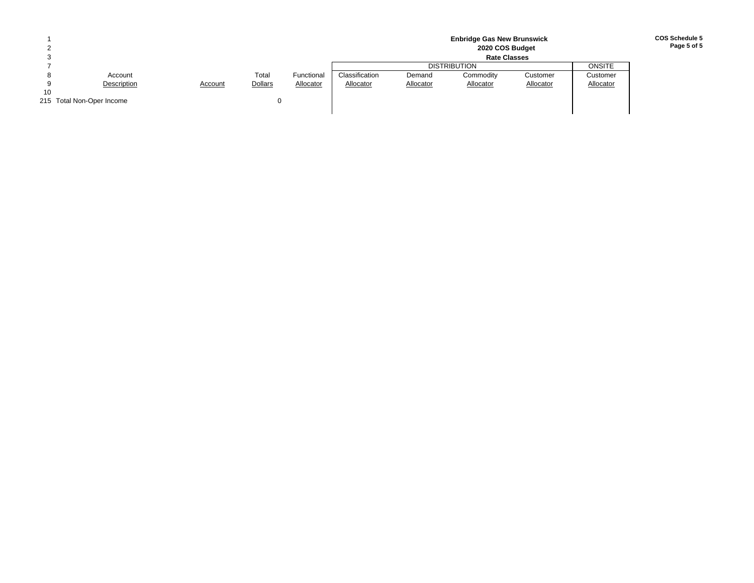|    |                           |         |                |            |                |           | <b>Enbridge Gas New Brunswick</b><br>2020 COS Budget |           |           |
|----|---------------------------|---------|----------------|------------|----------------|-----------|------------------------------------------------------|-----------|-----------|
|    |                           |         |                |            |                |           | <b>Rate Classes</b>                                  |           |           |
|    |                           |         |                |            |                |           | <b>DISTRIBUTION</b>                                  |           | ONSITE    |
|    | Account                   |         | Total          | Functional | Classification | Demand    | Commodity                                            | Customer  | Customer  |
|    | Description               | Account | <b>Dollars</b> | Allocator  | Allocator      | Allocator | Allocator                                            | Allocator | Allocator |
| 10 |                           |         |                |            |                |           |                                                      |           |           |
|    | 215 Total Non-Oper Income |         |                |            |                |           |                                                      |           |           |
|    |                           |         |                |            |                |           |                                                      |           |           |